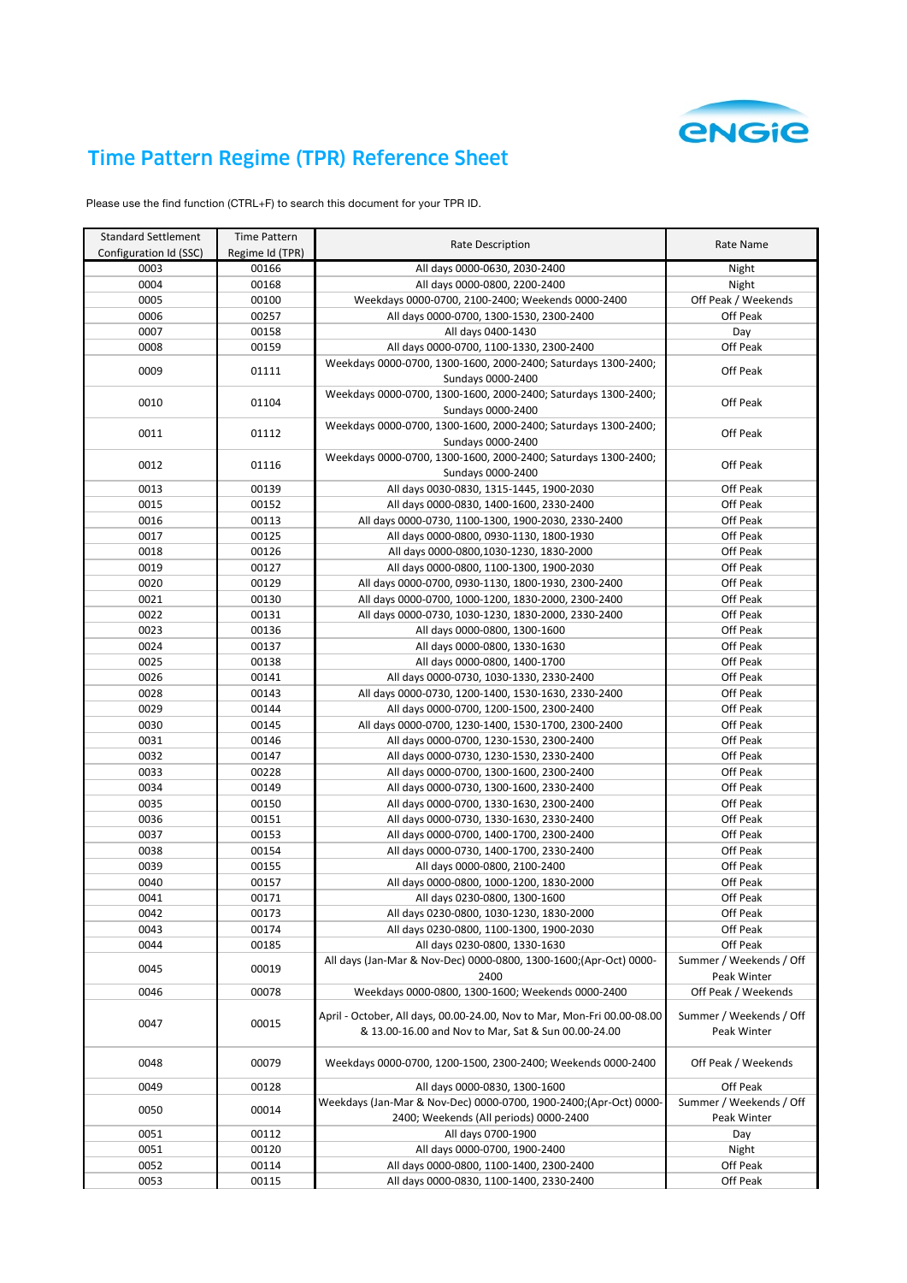

## Time Pattern Regime (TPR) Reference Sheet

Please use the find function (CTRL+F) to search this document for your TPR ID.

| <b>Standard Settlement</b> | Time Pattern    |                                                                         | Rate Name               |
|----------------------------|-----------------|-------------------------------------------------------------------------|-------------------------|
| Configuration Id (SSC)     | Regime Id (TPR) | Rate Description                                                        |                         |
| 0003                       | 00166           | All days 0000-0630, 2030-2400                                           | Night                   |
| 0004                       | 00168           | All days 0000-0800, 2200-2400                                           | Night                   |
| 0005                       | 00100           | Weekdays 0000-0700, 2100-2400; Weekends 0000-2400                       | Off Peak / Weekends     |
| 0006                       | 00257           | All days 0000-0700, 1300-1530, 2300-2400                                | Off Peak                |
| 0007                       | 00158           | All days 0400-1430                                                      | Day                     |
| 0008                       | 00159           | All days 0000-0700, 1100-1330, 2300-2400                                | Off Peak                |
|                            |                 | Weekdays 0000-0700, 1300-1600, 2000-2400; Saturdays 1300-2400;          |                         |
| 0009                       | 01111           | Sundays 0000-2400                                                       | Off Peak                |
|                            |                 | Weekdays 0000-0700, 1300-1600, 2000-2400; Saturdays 1300-2400;          |                         |
| 0010                       | 01104           | Sundays 0000-2400                                                       | Off Peak                |
|                            |                 | Weekdays 0000-0700, 1300-1600, 2000-2400; Saturdays 1300-2400;          |                         |
| 0011                       | 01112           | Sundays 0000-2400                                                       | Off Peak                |
|                            |                 | Weekdays 0000-0700, 1300-1600, 2000-2400; Saturdays 1300-2400;          |                         |
| 0012                       | 01116           | Sundays 0000-2400                                                       | Off Peak                |
| 0013                       | 00139           | All days 0030-0830, 1315-1445, 1900-2030                                | Off Peak                |
| 0015                       | 00152           | All days 0000-0830, 1400-1600, 2330-2400                                | Off Peak                |
| 0016                       | 00113           | All days 0000-0730, 1100-1300, 1900-2030, 2330-2400                     | Off Peak                |
| 0017                       | 00125           | All days 0000-0800, 0930-1130, 1800-1930                                | Off Peak                |
| 0018                       | 00126           | All days 0000-0800,1030-1230, 1830-2000                                 | Off Peak                |
| 0019                       | 00127           | All days 0000-0800, 1100-1300, 1900-2030                                | Off Peak                |
| 0020                       | 00129           | All days 0000-0700, 0930-1130, 1800-1930, 2300-2400                     | Off Peak                |
| 0021                       | 00130           | All days 0000-0700, 1000-1200, 1830-2000, 2300-2400                     | Off Peak                |
| 0022                       | 00131           | All days 0000-0730, 1030-1230, 1830-2000, 2330-2400                     | Off Peak                |
| 0023                       | 00136           | All days 0000-0800, 1300-1600                                           | Off Peak                |
| 0024                       | 00137           | All days 0000-0800, 1330-1630                                           | Off Peak                |
| 0025                       | 00138           | All days 0000-0800, 1400-1700                                           | Off Peak                |
| 0026                       | 00141           | All days 0000-0730, 1030-1330, 2330-2400                                | Off Peak                |
| 0028                       | 00143           | All days 0000-0730, 1200-1400, 1530-1630, 2330-2400                     | Off Peak                |
| 0029                       | 00144           | All days 0000-0700, 1200-1500, 2300-2400                                | Off Peak                |
| 0030                       | 00145           | All days 0000-0700, 1230-1400, 1530-1700, 2300-2400                     | Off Peak                |
| 0031                       | 00146           | All days 0000-0700, 1230-1530, 2300-2400                                | Off Peak                |
| 0032                       | 00147           | All days 0000-0730, 1230-1530, 2330-2400                                | Off Peak                |
| 0033                       | 00228           | All days 0000-0700, 1300-1600, 2300-2400                                | Off Peak                |
| 0034                       | 00149           | All days 0000-0730, 1300-1600, 2330-2400                                | Off Peak                |
|                            | 00150           |                                                                         |                         |
| 0035<br>0036               | 00151           | All days 0000-0700, 1330-1630, 2300-2400                                | Off Peak<br>Off Peak    |
|                            |                 | All days 0000-0730, 1330-1630, 2330-2400                                |                         |
| 0037                       | 00153           | All days 0000-0700, 1400-1700, 2300-2400                                | Off Peak                |
| 0038                       | 00154           | All days 0000-0730, 1400-1700, 2330-2400                                | Off Peak                |
| 0039                       | 00155           | All days 0000-0800, 2100-2400                                           | Off Peak                |
| 0040                       | 00157           | All days 0000-0800, 1000-1200, 1830-2000                                | Off Peak                |
| 0041                       | 00171           | All days 0230-0800, 1300-1600                                           | Off Peak                |
| 0042                       | 00173           | All days 0230-0800, 1030-1230, 1830-2000                                | Off Peak                |
| 0043                       | 00174           | All days 0230-0800, 1100-1300, 1900-2030                                | Off Peak                |
| 0044                       | 00185           | All days 0230-0800, 1330-1630                                           | Off Peak                |
| 0045                       | 00019           | All days (Jan-Mar & Nov-Dec) 0000-0800, 1300-1600;(Apr-Oct) 0000-       | Summer / Weekends / Off |
|                            |                 | 2400                                                                    | Peak Winter             |
| 0046                       | 00078           | Weekdays 0000-0800, 1300-1600; Weekends 0000-2400                       | Off Peak / Weekends     |
|                            |                 | April - October, All days, 00.00-24.00, Nov to Mar, Mon-Fri 00.00-08.00 | Summer / Weekends / Off |
| 0047                       | 00015           | & 13.00-16.00 and Nov to Mar, Sat & Sun 00.00-24.00                     | Peak Winter             |
|                            |                 |                                                                         |                         |
| 0048                       | 00079           | Weekdays 0000-0700, 1200-1500, 2300-2400; Weekends 0000-2400            | Off Peak / Weekends     |
|                            |                 |                                                                         |                         |
| 0049                       | 00128           | All days 0000-0830, 1300-1600                                           | Off Peak                |
| 0050                       | 00014           | Weekdays (Jan-Mar & Nov-Dec) 0000-0700, 1900-2400;(Apr-Oct) 0000-       | Summer / Weekends / Off |
|                            |                 | 2400; Weekends (All periods) 0000-2400                                  | Peak Winter             |
| 0051                       | 00112           | All days 0700-1900                                                      | Day                     |
| 0051                       | 00120           | All days 0000-0700, 1900-2400                                           | Night                   |
| 0052                       | 00114           | All days 0000-0800, 1100-1400, 2300-2400                                | Off Peak                |
| 0053                       | 00115           | All days 0000-0830, 1100-1400, 2330-2400                                | Off Peak                |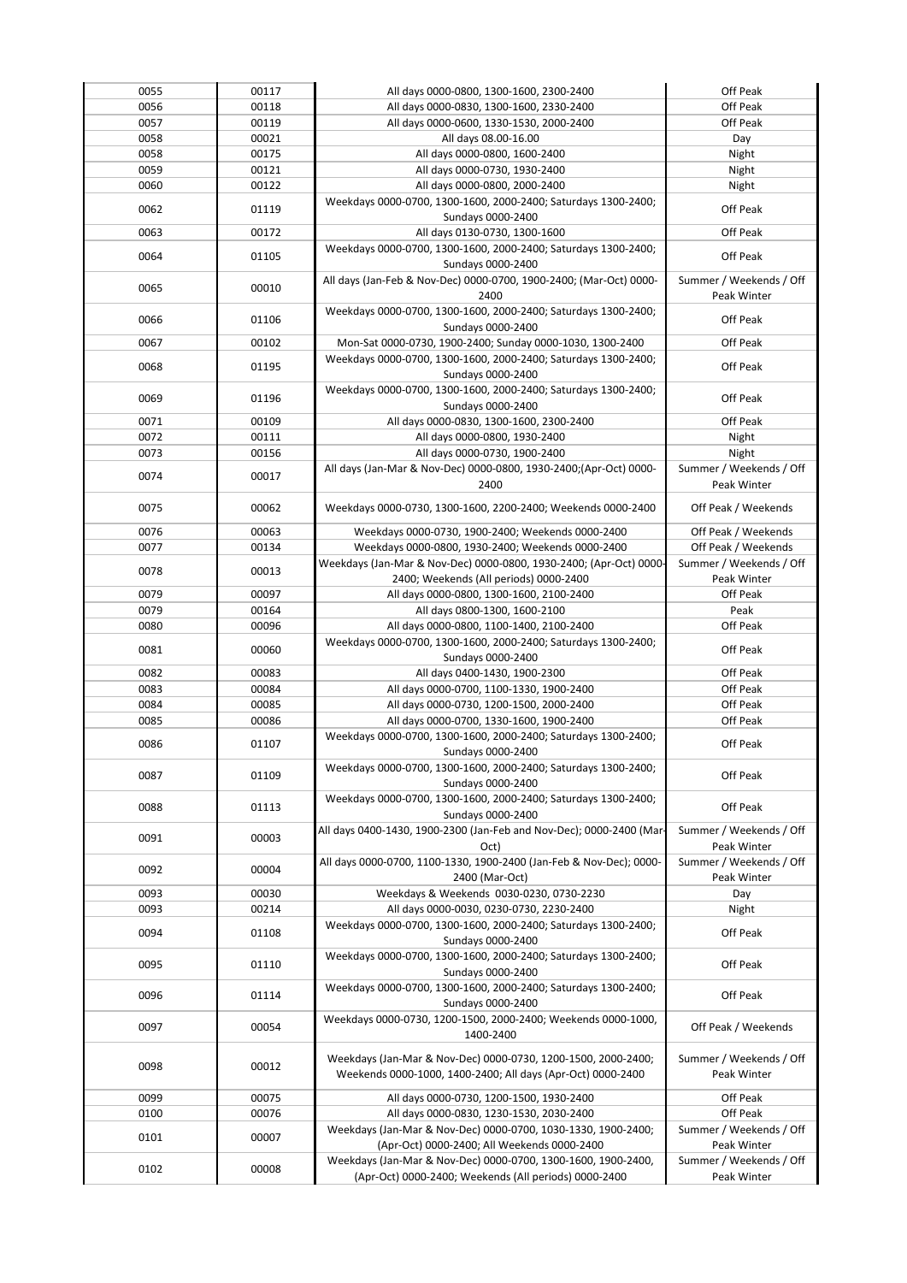| 0055 | 00117 | All days 0000-0800, 1300-1600, 2300-2400                                                                               | Off Peak                               |
|------|-------|------------------------------------------------------------------------------------------------------------------------|----------------------------------------|
| 0056 | 00118 | All days 0000-0830, 1300-1600, 2330-2400                                                                               | Off Peak                               |
| 0057 | 00119 | All days 0000-0600, 1330-1530, 2000-2400                                                                               | Off Peak                               |
| 0058 | 00021 | All days 08.00-16.00                                                                                                   | Day                                    |
| 0058 | 00175 | All days 0000-0800, 1600-2400                                                                                          | Night                                  |
| 0059 | 00121 | All days 0000-0730, 1930-2400                                                                                          | Night                                  |
|      |       |                                                                                                                        | Night                                  |
| 0060 | 00122 | All days 0000-0800, 2000-2400                                                                                          |                                        |
| 0062 | 01119 | Weekdays 0000-0700, 1300-1600, 2000-2400; Saturdays 1300-2400;                                                         | Off Peak                               |
|      |       | Sundays 0000-2400                                                                                                      |                                        |
| 0063 | 00172 | All days 0130-0730, 1300-1600                                                                                          | Off Peak                               |
| 0064 | 01105 | Weekdays 0000-0700, 1300-1600, 2000-2400; Saturdays 1300-2400;                                                         | Off Peak                               |
|      |       | Sundays 0000-2400                                                                                                      |                                        |
| 0065 | 00010 | All days (Jan-Feb & Nov-Dec) 0000-0700, 1900-2400; (Mar-Oct) 0000-                                                     | Summer / Weekends / Off                |
|      |       | 2400                                                                                                                   | Peak Winter                            |
|      |       | Weekdays 0000-0700, 1300-1600, 2000-2400; Saturdays 1300-2400;                                                         |                                        |
| 0066 | 01106 | Sundays 0000-2400                                                                                                      | Off Peak                               |
| 0067 | 00102 | Mon-Sat 0000-0730, 1900-2400; Sunday 0000-1030, 1300-2400                                                              | Off Peak                               |
|      |       | Weekdays 0000-0700, 1300-1600, 2000-2400; Saturdays 1300-2400;                                                         |                                        |
| 0068 | 01195 | Sundays 0000-2400                                                                                                      | Off Peak                               |
|      |       |                                                                                                                        |                                        |
| 0069 | 01196 | Weekdays 0000-0700, 1300-1600, 2000-2400; Saturdays 1300-2400;                                                         | Off Peak                               |
|      |       | Sundays 0000-2400                                                                                                      |                                        |
| 0071 | 00109 | All days 0000-0830, 1300-1600, 2300-2400                                                                               | Off Peak                               |
| 0072 | 00111 | All days 0000-0800, 1930-2400                                                                                          | Night                                  |
| 0073 | 00156 | All days 0000-0730, 1900-2400                                                                                          | Night                                  |
| 0074 |       | All days (Jan-Mar & Nov-Dec) 0000-0800, 1930-2400;(Apr-Oct) 0000-                                                      | Summer / Weekends / Off                |
|      | 00017 | 2400                                                                                                                   | Peak Winter                            |
|      |       |                                                                                                                        |                                        |
| 0075 | 00062 | Weekdays 0000-0730, 1300-1600, 2200-2400; Weekends 0000-2400                                                           | Off Peak / Weekends                    |
| 0076 | 00063 | Weekdays 0000-0730, 1900-2400; Weekends 0000-2400                                                                      | Off Peak / Weekends                    |
| 0077 | 00134 | Weekdays 0000-0800, 1930-2400; Weekends 0000-2400                                                                      | Off Peak / Weekends                    |
|      |       | Weekdays (Jan-Mar & Nov-Dec) 0000-0800, 1930-2400; (Apr-Oct) 0000-                                                     | Summer / Weekends / Off                |
| 0078 | 00013 |                                                                                                                        |                                        |
|      |       | 2400; Weekends (All periods) 0000-2400                                                                                 | Peak Winter                            |
| 0079 | 00097 | All days 0000-0800, 1300-1600, 2100-2400                                                                               | Off Peak                               |
| 0079 | 00164 | All days 0800-1300, 1600-2100                                                                                          | Peak                                   |
| 0080 | 00096 | All days 0000-0800, 1100-1400, 2100-2400                                                                               | Off Peak                               |
| 0081 | 00060 | Weekdays 0000-0700, 1300-1600, 2000-2400; Saturdays 1300-2400;                                                         | Off Peak                               |
|      |       | Sundays 0000-2400                                                                                                      |                                        |
| 0082 | 00083 | All days 0400-1430, 1900-2300                                                                                          | Off Peak                               |
| 0083 | 00084 | All days 0000-0700, 1100-1330, 1900-2400                                                                               | Off Peak                               |
| 0084 | 00085 | All days 0000-0730, 1200-1500, 2000-2400                                                                               | Off Peak                               |
| 0085 | 00086 | All days 0000-0700, 1330-1600, 1900-2400                                                                               | Off Peak                               |
|      |       | Weekdays 0000-0700, 1300-1600, 2000-2400; Saturdays 1300-2400;                                                         |                                        |
| 0086 | 01107 | Sundays 0000-2400                                                                                                      | Off Peak                               |
|      |       | Weekdays 0000-0700, 1300-1600, 2000-2400; Saturdays 1300-2400;                                                         |                                        |
| 0087 | 01109 |                                                                                                                        | Off Peak                               |
|      |       | Sundays 0000-2400                                                                                                      |                                        |
| 0088 | 01113 | Weekdays 0000-0700, 1300-1600, 2000-2400; Saturdays 1300-2400;                                                         | Off Peak                               |
|      |       | Sundays 0000-2400                                                                                                      |                                        |
| 0091 | 00003 | All days 0400-1430, 1900-2300 (Jan-Feb and Nov-Dec); 0000-2400 (Mar-                                                   | Summer / Weekends / Off                |
|      |       | Oct)                                                                                                                   | Peak Winter                            |
| 0092 | 00004 | All days 0000-0700, 1100-1330, 1900-2400 (Jan-Feb & Nov-Dec); 0000-                                                    | Summer / Weekends / Off                |
|      |       | 2400 (Mar-Oct)                                                                                                         | Peak Winter                            |
| 0093 | 00030 | Weekdays & Weekends 0030-0230, 0730-2230                                                                               | Day                                    |
| 0093 | 00214 | All days 0000-0030, 0230-0730, 2230-2400                                                                               | Night                                  |
|      |       | Weekdays 0000-0700, 1300-1600, 2000-2400; Saturdays 1300-2400;                                                         |                                        |
| 0094 | 01108 | Sundays 0000-2400                                                                                                      | Off Peak                               |
|      |       | Weekdays 0000-0700, 1300-1600, 2000-2400; Saturdays 1300-2400;                                                         |                                        |
| 0095 | 01110 | Sundays 0000-2400                                                                                                      | Off Peak                               |
|      |       | Weekdays 0000-0700, 1300-1600, 2000-2400; Saturdays 1300-2400;                                                         |                                        |
| 0096 | 01114 | Sundays 0000-2400                                                                                                      | Off Peak                               |
|      |       |                                                                                                                        |                                        |
| 0097 | 00054 | Weekdays 0000-0730, 1200-1500, 2000-2400; Weekends 0000-1000,                                                          | Off Peak / Weekends                    |
|      |       | 1400-2400                                                                                                              |                                        |
|      |       | Weekdays (Jan-Mar & Nov-Dec) 0000-0730, 1200-1500, 2000-2400;                                                          | Summer / Weekends / Off                |
| 0098 |       |                                                                                                                        |                                        |
|      | 00012 |                                                                                                                        |                                        |
|      |       | Weekends 0000-1000, 1400-2400; All days (Apr-Oct) 0000-2400                                                            | Peak Winter                            |
| 0099 | 00075 | All days 0000-0730, 1200-1500, 1930-2400                                                                               | Off Peak                               |
| 0100 | 00076 | All days 0000-0830, 1230-1530, 2030-2400                                                                               | Off Peak                               |
|      |       | Weekdays (Jan-Mar & Nov-Dec) 0000-0700, 1030-1330, 1900-2400;                                                          | Summer / Weekends / Off                |
| 0101 | 00007 | (Apr-Oct) 0000-2400; All Weekends 0000-2400                                                                            | Peak Winter                            |
|      |       |                                                                                                                        |                                        |
| 0102 | 00008 | Weekdays (Jan-Mar & Nov-Dec) 0000-0700, 1300-1600, 1900-2400,<br>(Apr-Oct) 0000-2400; Weekends (All periods) 0000-2400 | Summer / Weekends / Off<br>Peak Winter |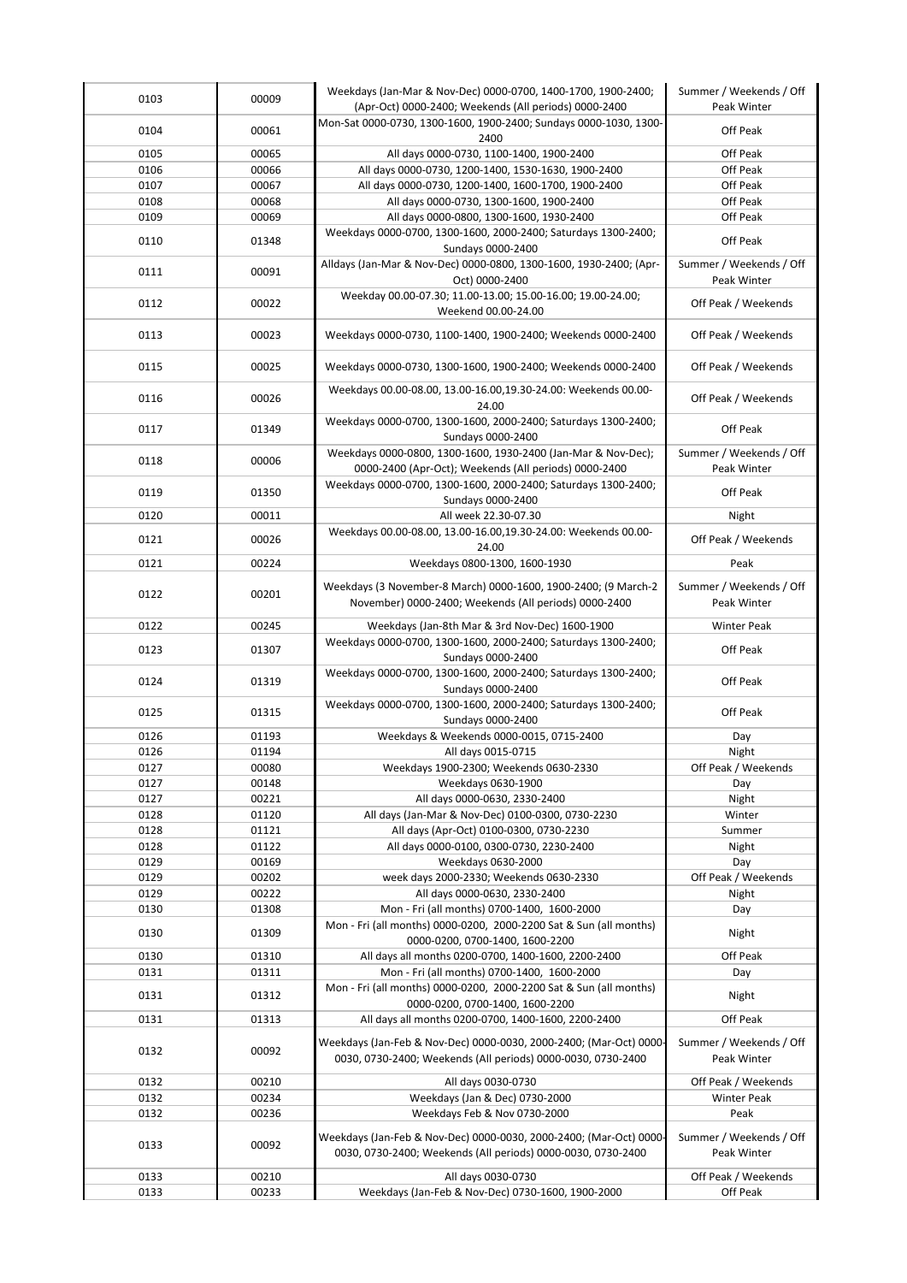| 0103 | 00009 | Weekdays (Jan-Mar & Nov-Dec) 0000-0700, 1400-1700, 1900-2400;<br>(Apr-Oct) 0000-2400; Weekends (All periods) 0000-2400             | Summer / Weekends / Off<br>Peak Winter |
|------|-------|------------------------------------------------------------------------------------------------------------------------------------|----------------------------------------|
|      |       | Mon-Sat 0000-0730, 1300-1600, 1900-2400; Sundays 0000-1030, 1300-                                                                  |                                        |
| 0104 | 00061 | 2400                                                                                                                               | Off Peak                               |
| 0105 | 00065 | All days 0000-0730, 1100-1400, 1900-2400                                                                                           | Off Peak                               |
| 0106 | 00066 | All days 0000-0730, 1200-1400, 1530-1630, 1900-2400                                                                                | Off Peak                               |
| 0107 | 00067 | All days 0000-0730, 1200-1400, 1600-1700, 1900-2400                                                                                | Off Peak                               |
| 0108 | 00068 | All days 0000-0730, 1300-1600, 1900-2400                                                                                           | Off Peak                               |
| 0109 | 00069 | All days 0000-0800, 1300-1600, 1930-2400                                                                                           | Off Peak                               |
| 0110 | 01348 | Weekdays 0000-0700, 1300-1600, 2000-2400; Saturdays 1300-2400;<br>Sundays 0000-2400                                                | Off Peak                               |
|      |       | Alldays (Jan-Mar & Nov-Dec) 0000-0800, 1300-1600, 1930-2400; (Apr-                                                                 | Summer / Weekends / Off                |
| 0111 | 00091 | Oct) 0000-2400                                                                                                                     | Peak Winter                            |
| 0112 | 00022 | Weekday 00.00-07.30; 11.00-13.00; 15.00-16.00; 19.00-24.00;<br>Weekend 00.00-24.00                                                 | Off Peak / Weekends                    |
| 0113 | 00023 | Weekdays 0000-0730, 1100-1400, 1900-2400; Weekends 0000-2400                                                                       | Off Peak / Weekends                    |
| 0115 | 00025 | Weekdays 0000-0730, 1300-1600, 1900-2400; Weekends 0000-2400                                                                       | Off Peak / Weekends                    |
| 0116 | 00026 | Weekdays 00.00-08.00, 13.00-16.00, 19.30-24.00: Weekends 00.00-<br>24.00                                                           | Off Peak / Weekends                    |
| 0117 | 01349 | Weekdays 0000-0700, 1300-1600, 2000-2400; Saturdays 1300-2400;<br>Sundays 0000-2400                                                | Off Peak                               |
| 0118 | 00006 | Weekdays 0000-0800, 1300-1600, 1930-2400 (Jan-Mar & Nov-Dec);<br>0000-2400 (Apr-Oct); Weekends (All periods) 0000-2400             | Summer / Weekends / Off<br>Peak Winter |
|      |       | Weekdays 0000-0700, 1300-1600, 2000-2400; Saturdays 1300-2400;                                                                     |                                        |
| 0119 | 01350 | Sundays 0000-2400                                                                                                                  | Off Peak                               |
| 0120 | 00011 | All week 22.30-07.30<br>Weekdays 00.00-08.00, 13.00-16.00, 19.30-24.00: Weekends 00.00-                                            | Night                                  |
| 0121 | 00026 | 24.00                                                                                                                              | Off Peak / Weekends                    |
| 0121 | 00224 | Weekdays 0800-1300, 1600-1930                                                                                                      | Peak                                   |
| 0122 | 00201 | Weekdays (3 November-8 March) 0000-1600, 1900-2400; (9 March-2<br>November) 0000-2400; Weekends (All periods) 0000-2400            | Summer / Weekends / Off<br>Peak Winter |
| 0122 | 00245 | Weekdays (Jan-8th Mar & 3rd Nov-Dec) 1600-1900                                                                                     | Winter Peak                            |
| 0123 | 01307 | Weekdays 0000-0700, 1300-1600, 2000-2400; Saturdays 1300-2400;<br>Sundays 0000-2400                                                | Off Peak                               |
| 0124 | 01319 | Weekdays 0000-0700, 1300-1600, 2000-2400; Saturdays 1300-2400;<br>Sundays 0000-2400                                                | Off Peak                               |
| 0125 | 01315 | Weekdays 0000-0700, 1300-1600, 2000-2400; Saturdays 1300-2400;<br>Sundays 0000-2400                                                | Off Peak                               |
| 0126 | 01193 | Weekdays & Weekends 0000-0015, 0715-2400                                                                                           | Day                                    |
| 0126 | 01194 | All days 0015-0715                                                                                                                 | Night                                  |
| 0127 | 00080 | Weekdays 1900-2300; Weekends 0630-2330                                                                                             | Off Peak / Weekends                    |
| 0127 | 00148 | Weekdays 0630-1900                                                                                                                 | Day                                    |
| 0127 | 00221 | All days 0000-0630, 2330-2400                                                                                                      | Night                                  |
| 0128 | 01120 | All days (Jan-Mar & Nov-Dec) 0100-0300, 0730-2230                                                                                  | Winter                                 |
| 0128 | 01121 | All days (Apr-Oct) 0100-0300, 0730-2230                                                                                            | Summer                                 |
| 0128 | 01122 | All days 0000-0100, 0300-0730, 2230-2400                                                                                           | Night                                  |
| 0129 | 00169 | Weekdays 0630-2000                                                                                                                 | Day                                    |
| 0129 | 00202 | week days 2000-2330; Weekends 0630-2330                                                                                            | Off Peak / Weekends                    |
| 0129 | 00222 | All days 0000-0630, 2330-2400                                                                                                      | Night                                  |
| 0130 | 01308 | Mon - Fri (all months) 0700-1400, 1600-2000                                                                                        | Day                                    |
| 0130 | 01309 | Mon - Fri (all months) 0000-0200, 2000-2200 Sat & Sun (all months)<br>0000-0200, 0700-1400, 1600-2200                              | Night                                  |
| 0130 | 01310 | All days all months 0200-0700, 1400-1600, 2200-2400                                                                                | Off Peak                               |
| 0131 | 01311 | Mon - Fri (all months) 0700-1400, 1600-2000                                                                                        | Day                                    |
| 0131 | 01312 | Mon - Fri (all months) 0000-0200, 2000-2200 Sat & Sun (all months)                                                                 | Night                                  |
| 0131 | 01313 | 0000-0200, 0700-1400, 1600-2200<br>All days all months 0200-0700, 1400-1600, 2200-2400                                             | Off Peak                               |
|      |       | Weekdays (Jan-Feb & Nov-Dec) 0000-0030, 2000-2400; (Mar-Oct) 0000-                                                                 | Summer / Weekends / Off                |
| 0132 | 00092 | 0030, 0730-2400; Weekends (All periods) 0000-0030, 0730-2400                                                                       | Peak Winter                            |
| 0132 | 00210 | All days 0030-0730                                                                                                                 | Off Peak / Weekends                    |
| 0132 | 00234 | Weekdays (Jan & Dec) 0730-2000                                                                                                     | Winter Peak                            |
| 0132 | 00236 | Weekdays Feb & Nov 0730-2000                                                                                                       | Peak                                   |
| 0133 | 00092 | Weekdays (Jan-Feb & Nov-Dec) 0000-0030, 2000-2400; (Mar-Oct) 0000-<br>0030, 0730-2400; Weekends (All periods) 0000-0030, 0730-2400 | Summer / Weekends / Off<br>Peak Winter |
| 0133 | 00210 | All days 0030-0730                                                                                                                 | Off Peak / Weekends                    |
| 0133 | 00233 | Weekdays (Jan-Feb & Nov-Dec) 0730-1600, 1900-2000                                                                                  | Off Peak                               |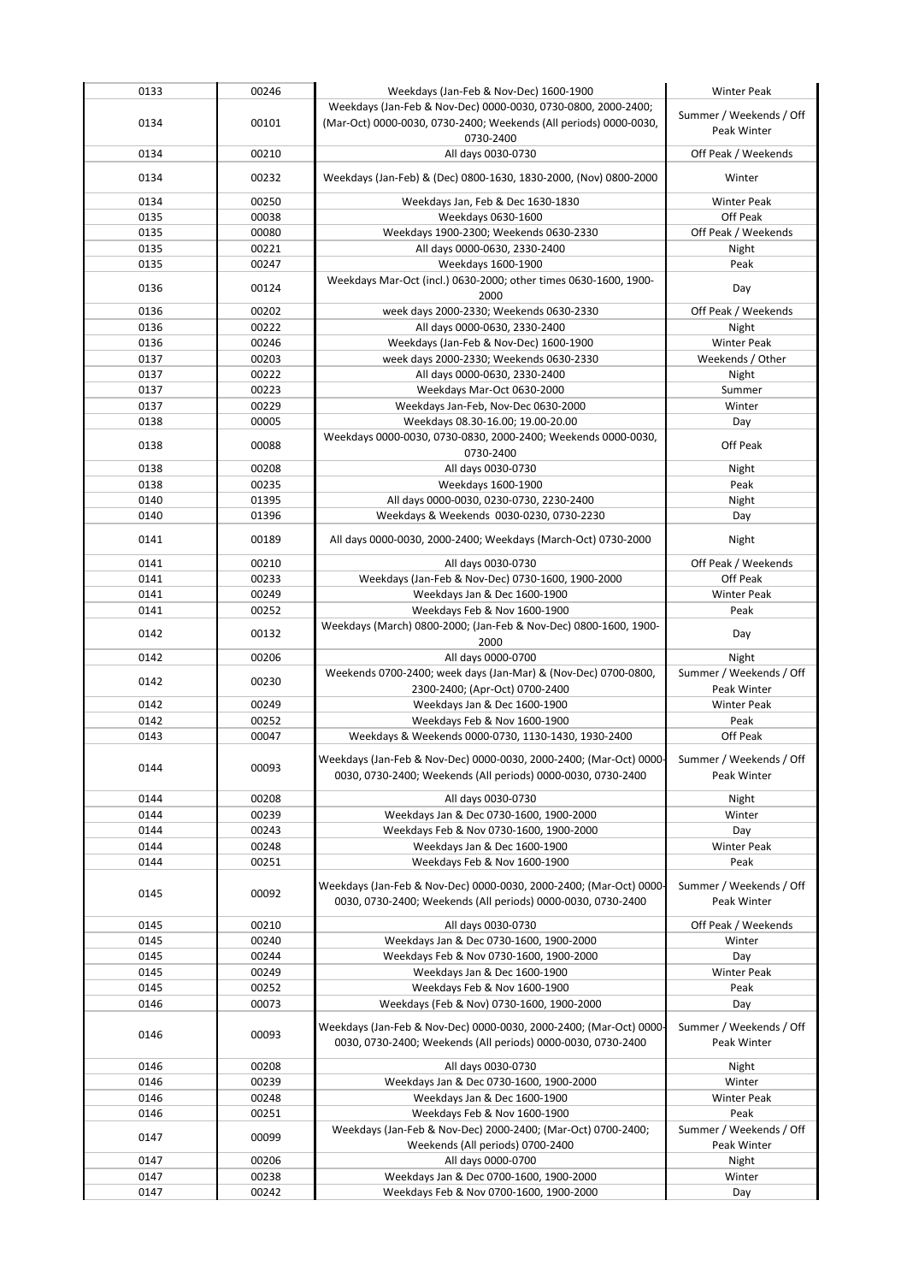| 0133 | 00246 | Weekdays (Jan-Feb & Nov-Dec) 1600-1900                             | <b>Winter Peak</b>      |
|------|-------|--------------------------------------------------------------------|-------------------------|
|      |       | Weekdays (Jan-Feb & Nov-Dec) 0000-0030, 0730-0800, 2000-2400;      |                         |
| 0134 | 00101 | (Mar-Oct) 0000-0030, 0730-2400; Weekends (All periods) 0000-0030,  | Summer / Weekends / Off |
|      |       | 0730-2400                                                          | Peak Winter             |
| 0134 | 00210 | All days 0030-0730                                                 | Off Peak / Weekends     |
|      |       |                                                                    |                         |
| 0134 | 00232 | Weekdays (Jan-Feb) & (Dec) 0800-1630, 1830-2000, (Nov) 0800-2000   | Winter                  |
| 0134 | 00250 | Weekdays Jan, Feb & Dec 1630-1830                                  | <b>Winter Peak</b>      |
| 0135 | 00038 | Weekdays 0630-1600                                                 | Off Peak                |
| 0135 | 00080 | Weekdays 1900-2300; Weekends 0630-2330                             | Off Peak / Weekends     |
| 0135 | 00221 | All days 0000-0630, 2330-2400                                      |                         |
|      |       |                                                                    | Night                   |
| 0135 | 00247 | Weekdays 1600-1900                                                 | Peak                    |
| 0136 | 00124 | Weekdays Mar-Oct (incl.) 0630-2000; other times 0630-1600, 1900-   | Day                     |
|      |       | 2000                                                               |                         |
| 0136 | 00202 | week days 2000-2330; Weekends 0630-2330                            | Off Peak / Weekends     |
| 0136 | 00222 | All days 0000-0630, 2330-2400                                      | Night                   |
| 0136 | 00246 | Weekdays (Jan-Feb & Nov-Dec) 1600-1900                             | <b>Winter Peak</b>      |
| 0137 | 00203 | week days 2000-2330; Weekends 0630-2330                            | Weekends / Other        |
| 0137 | 00222 | All days 0000-0630, 2330-2400                                      | Night                   |
| 0137 | 00223 | Weekdays Mar-Oct 0630-2000                                         | Summer                  |
| 0137 | 00229 | Weekdays Jan-Feb, Nov-Dec 0630-2000                                | Winter                  |
| 0138 | 00005 | Weekdays 08.30-16.00; 19.00-20.00                                  | Day                     |
| 0138 | 00088 | Weekdays 0000-0030, 0730-0830, 2000-2400; Weekends 0000-0030,      | Off Peak                |
|      |       | 0730-2400                                                          |                         |
| 0138 | 00208 | All days 0030-0730                                                 | Night                   |
| 0138 | 00235 | Weekdays 1600-1900                                                 | Peak                    |
| 0140 | 01395 | All days 0000-0030, 0230-0730, 2230-2400                           | Night                   |
| 0140 | 01396 | Weekdays & Weekends 0030-0230, 0730-2230                           | Day                     |
|      |       |                                                                    |                         |
| 0141 | 00189 | All days 0000-0030, 2000-2400; Weekdays (March-Oct) 0730-2000      | Night                   |
| 0141 | 00210 | All days 0030-0730                                                 | Off Peak / Weekends     |
| 0141 | 00233 | Weekdays (Jan-Feb & Nov-Dec) 0730-1600, 1900-2000                  | Off Peak                |
| 0141 | 00249 | Weekdays Jan & Dec 1600-1900                                       | <b>Winter Peak</b>      |
|      |       |                                                                    |                         |
| 0141 | 00252 | Weekdays Feb & Nov 1600-1900                                       | Peak                    |
| 0142 | 00132 | Weekdays (March) 0800-2000; (Jan-Feb & Nov-Dec) 0800-1600, 1900-   | Day                     |
|      |       | 2000                                                               |                         |
| 0142 | 00206 | All days 0000-0700                                                 | Night                   |
| 0142 | 00230 | Weekends 0700-2400; week days (Jan-Mar) & (Nov-Dec) 0700-0800,     | Summer / Weekends / Off |
|      |       | 2300-2400; (Apr-Oct) 0700-2400                                     | Peak Winter             |
| 0142 | 00249 | Weekdays Jan & Dec 1600-1900                                       | <b>Winter Peak</b>      |
| 0142 | 00252 | Weekdays Feb & Nov 1600-1900                                       | Peak                    |
| 0143 | 00047 | Weekdays & Weekends 0000-0730, 1130-1430, 1930-2400                | Off Peak                |
|      |       | Weekdays (Jan-Feb & Nov-Dec) 0000-0030, 2000-2400; (Mar-Oct) 0000- | Summer / Weekends / Off |
| 0144 | 00093 | 0030, 0730-2400; Weekends (All periods) 0000-0030, 0730-2400       | Peak Winter             |
|      |       |                                                                    |                         |
| 0144 | 00208 | All days 0030-0730                                                 | Night                   |
| 0144 | 00239 | Weekdays Jan & Dec 0730-1600, 1900-2000                            | Winter                  |
| 0144 | 00243 | Weekdays Feb & Nov 0730-1600, 1900-2000                            | Day                     |
| 0144 | 00248 | Weekdays Jan & Dec 1600-1900                                       | <b>Winter Peak</b>      |
| 0144 | 00251 | Weekdays Feb & Nov 1600-1900                                       | Peak                    |
|      |       |                                                                    |                         |
| 0145 | 00092 | Weekdays (Jan-Feb & Nov-Dec) 0000-0030, 2000-2400; (Mar-Oct) 0000- | Summer / Weekends / Off |
|      |       | 0030, 0730-2400; Weekends (All periods) 0000-0030, 0730-2400       | Peak Winter             |
| 0145 | 00210 | All days 0030-0730                                                 | Off Peak / Weekends     |
| 0145 | 00240 | Weekdays Jan & Dec 0730-1600, 1900-2000                            | Winter                  |
| 0145 | 00244 | Weekdays Feb & Nov 0730-1600, 1900-2000                            | Day                     |
| 0145 | 00249 | Weekdays Jan & Dec 1600-1900                                       | <b>Winter Peak</b>      |
| 0145 | 00252 | Weekdays Feb & Nov 1600-1900                                       | Peak                    |
| 0146 | 00073 | Weekdays (Feb & Nov) 0730-1600, 1900-2000                          | Day                     |
|      |       |                                                                    |                         |
|      |       | Weekdays (Jan-Feb & Nov-Dec) 0000-0030, 2000-2400; (Mar-Oct) 0000- | Summer / Weekends / Off |
| 0146 | 00093 | 0030, 0730-2400; Weekends (All periods) 0000-0030, 0730-2400       | Peak Winter             |
|      |       |                                                                    |                         |
| 0146 | 00208 | All days 0030-0730                                                 | Night                   |
| 0146 | 00239 | Weekdays Jan & Dec 0730-1600, 1900-2000                            | Winter                  |
| 0146 | 00248 | Weekdays Jan & Dec 1600-1900                                       | <b>Winter Peak</b>      |
| 0146 | 00251 | Weekdays Feb & Nov 1600-1900                                       | Peak                    |
| 0147 | 00099 | Weekdays (Jan-Feb & Nov-Dec) 2000-2400; (Mar-Oct) 0700-2400;       | Summer / Weekends / Off |
|      |       | Weekends (All periods) 0700-2400                                   | Peak Winter             |
| 0147 | 00206 | All days 0000-0700                                                 | Night                   |
| 0147 | 00238 | Weekdays Jan & Dec 0700-1600, 1900-2000                            | Winter                  |
| 0147 | 00242 | Weekdays Feb & Nov 0700-1600, 1900-2000                            | Day                     |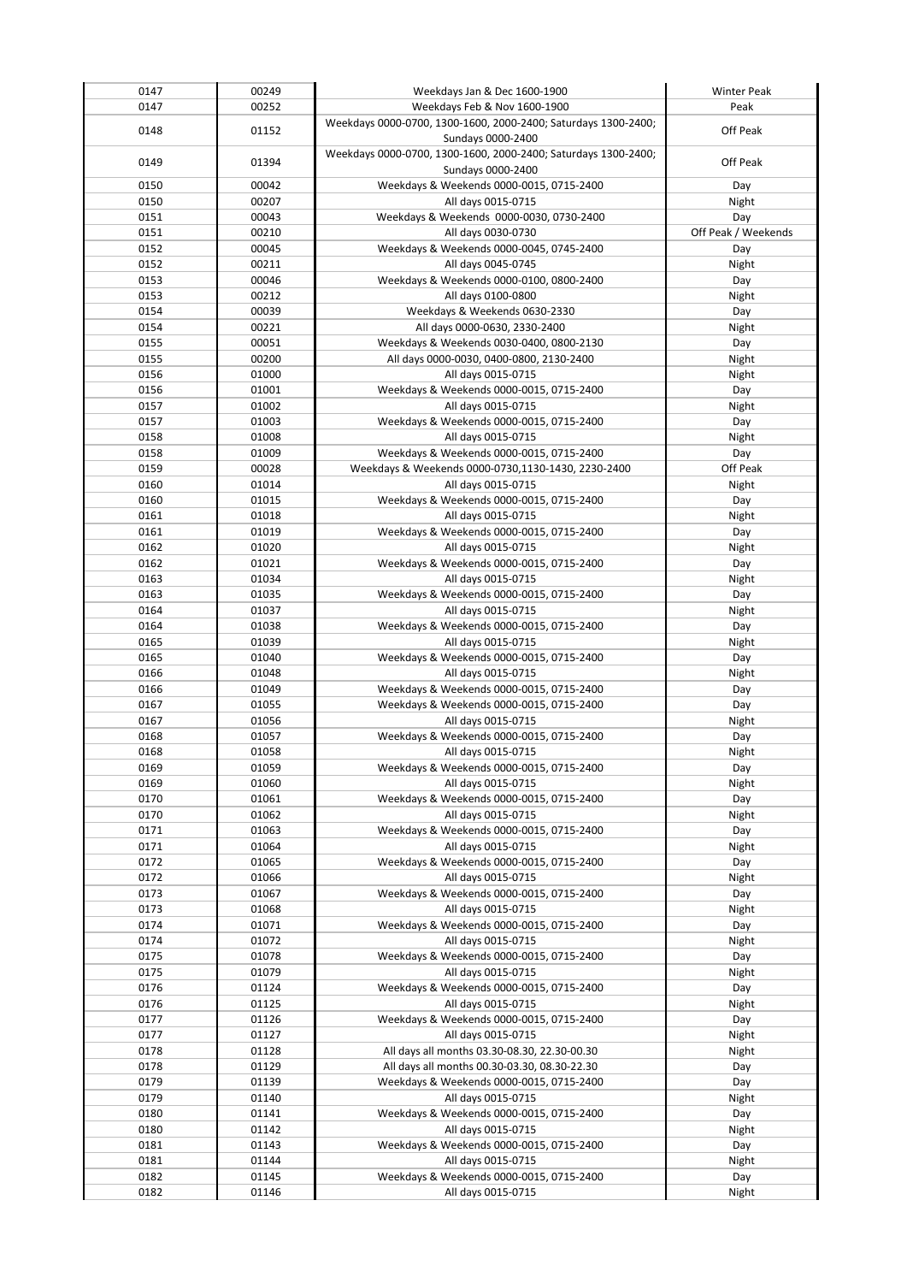| 0147         | 00249          | Weekdays Jan & Dec 1600-1900                                                        | <b>Winter Peak</b>  |
|--------------|----------------|-------------------------------------------------------------------------------------|---------------------|
| 0147         | 00252          | Weekdays Feb & Nov 1600-1900                                                        | Peak                |
| 0148         | 01152          | Weekdays 0000-0700, 1300-1600, 2000-2400; Saturdays 1300-2400;<br>Sundays 0000-2400 | Off Peak            |
| 0149         | 01394          | Weekdays 0000-0700, 1300-1600, 2000-2400; Saturdays 1300-2400;<br>Sundays 0000-2400 | Off Peak            |
| 0150         | 00042          | Weekdays & Weekends 0000-0015, 0715-2400                                            | Day                 |
| 0150         | 00207          | All days 0015-0715                                                                  | Night               |
| 0151         | 00043          | Weekdays & Weekends 0000-0030, 0730-2400                                            | Day                 |
| 0151         | 00210          | All days 0030-0730                                                                  | Off Peak / Weekends |
| 0152         | 00045          | Weekdays & Weekends 0000-0045, 0745-2400                                            | Day                 |
| 0152         | 00211          | All days 0045-0745                                                                  | Night               |
| 0153         | 00046          | Weekdays & Weekends 0000-0100, 0800-2400                                            | Day                 |
| 0153         | 00212          | All days 0100-0800                                                                  | Night               |
| 0154<br>0154 | 00039<br>00221 | Weekdays & Weekends 0630-2330<br>All days 0000-0630, 2330-2400                      | Day<br>Night        |
| 0155         | 00051          | Weekdays & Weekends 0030-0400, 0800-2130                                            | Day                 |
| 0155         | 00200          | All days 0000-0030, 0400-0800, 2130-2400                                            | Night               |
| 0156         | 01000          | All days 0015-0715                                                                  | Night               |
| 0156         | 01001          | Weekdays & Weekends 0000-0015, 0715-2400                                            | Day                 |
| 0157         | 01002          | All days 0015-0715                                                                  | Night               |
| 0157         | 01003          | Weekdays & Weekends 0000-0015, 0715-2400                                            | Day                 |
| 0158         | 01008          | All days 0015-0715                                                                  | Night               |
| 0158         | 01009          | Weekdays & Weekends 0000-0015, 0715-2400                                            | Day                 |
| 0159         | 00028          | Weekdays & Weekends 0000-0730,1130-1430, 2230-2400                                  | Off Peak            |
| 0160         | 01014          | All days 0015-0715                                                                  | Night               |
| 0160         | 01015          | Weekdays & Weekends 0000-0015, 0715-2400                                            | Day                 |
| 0161<br>0161 | 01018<br>01019 | All days 0015-0715<br>Weekdays & Weekends 0000-0015, 0715-2400                      | Night               |
| 0162         | 01020          | All days 0015-0715                                                                  | Day<br>Night        |
| 0162         | 01021          | Weekdays & Weekends 0000-0015, 0715-2400                                            | Day                 |
| 0163         | 01034          | All days 0015-0715                                                                  | Night               |
| 0163         | 01035          | Weekdays & Weekends 0000-0015, 0715-2400                                            | Day                 |
| 0164         | 01037          | All days 0015-0715                                                                  | Night               |
| 0164         | 01038          | Weekdays & Weekends 0000-0015, 0715-2400                                            | Day                 |
| 0165         | 01039          | All days 0015-0715                                                                  | Night               |
| 0165         | 01040          | Weekdays & Weekends 0000-0015, 0715-2400                                            | Day                 |
| 0166         | 01048          | All days 0015-0715                                                                  | Night               |
| 0166         | 01049          | Weekdays & Weekends 0000-0015, 0715-2400                                            | Day                 |
| 0167         | 01055          | Weekdays & Weekends 0000-0015, 0715-2400                                            | Day                 |
| 0167<br>0168 | 01056<br>01057 | All days 0015-0715<br>Weekdays & Weekends 0000-0015, 0715-2400                      | Night               |
| 0168         | 01058          | All days 0015-0715                                                                  | Day<br>Night        |
| 0169         | 01059          | Weekdays & Weekends 0000-0015, 0715-2400                                            | Day                 |
| 0169         | 01060          | All days 0015-0715                                                                  | Night               |
| 0170         | 01061          | Weekdays & Weekends 0000-0015, 0715-2400                                            | Day                 |
| 0170         | 01062          | All days 0015-0715                                                                  | Night               |
| 0171         | 01063          | Weekdays & Weekends 0000-0015, 0715-2400                                            | Day                 |
| 0171         | 01064          | All days 0015-0715                                                                  | Night               |
| 0172         | 01065          | Weekdays & Weekends 0000-0015, 0715-2400                                            | Day                 |
| 0172         | 01066          | All days 0015-0715                                                                  | Night               |
| 0173         | 01067          | Weekdays & Weekends 0000-0015, 0715-2400                                            | Day                 |
| 0173<br>0174 | 01068<br>01071 | All days 0015-0715<br>Weekdays & Weekends 0000-0015, 0715-2400                      | Night               |
| 0174         | 01072          | All days 0015-0715                                                                  | Day<br>Night        |
| 0175         | 01078          | Weekdays & Weekends 0000-0015, 0715-2400                                            | Day                 |
| 0175         | 01079          | All days 0015-0715                                                                  | Night               |
| 0176         | 01124          | Weekdays & Weekends 0000-0015, 0715-2400                                            | Day                 |
| 0176         | 01125          | All days 0015-0715                                                                  | Night               |
| 0177         | 01126          | Weekdays & Weekends 0000-0015, 0715-2400                                            | Day                 |
| 0177         | 01127          | All days 0015-0715                                                                  | Night               |
| 0178         | 01128          | All days all months 03.30-08.30, 22.30-00.30                                        | Night               |
| 0178         | 01129          | All days all months 00.30-03.30, 08.30-22.30                                        | Day                 |
| 0179         | 01139          | Weekdays & Weekends 0000-0015, 0715-2400                                            | Day                 |
| 0179         | 01140          | All days 0015-0715                                                                  | Night               |
| 0180<br>0180 | 01141<br>01142 | Weekdays & Weekends 0000-0015, 0715-2400<br>All days 0015-0715                      | Day                 |
| 0181         | 01143          | Weekdays & Weekends 0000-0015, 0715-2400                                            | Night<br>Day        |
| 0181         | 01144          | All days 0015-0715                                                                  | Night               |
| 0182         | 01145          | Weekdays & Weekends 0000-0015, 0715-2400                                            | Day                 |
| 0182         | 01146          | All days 0015-0715                                                                  | Night               |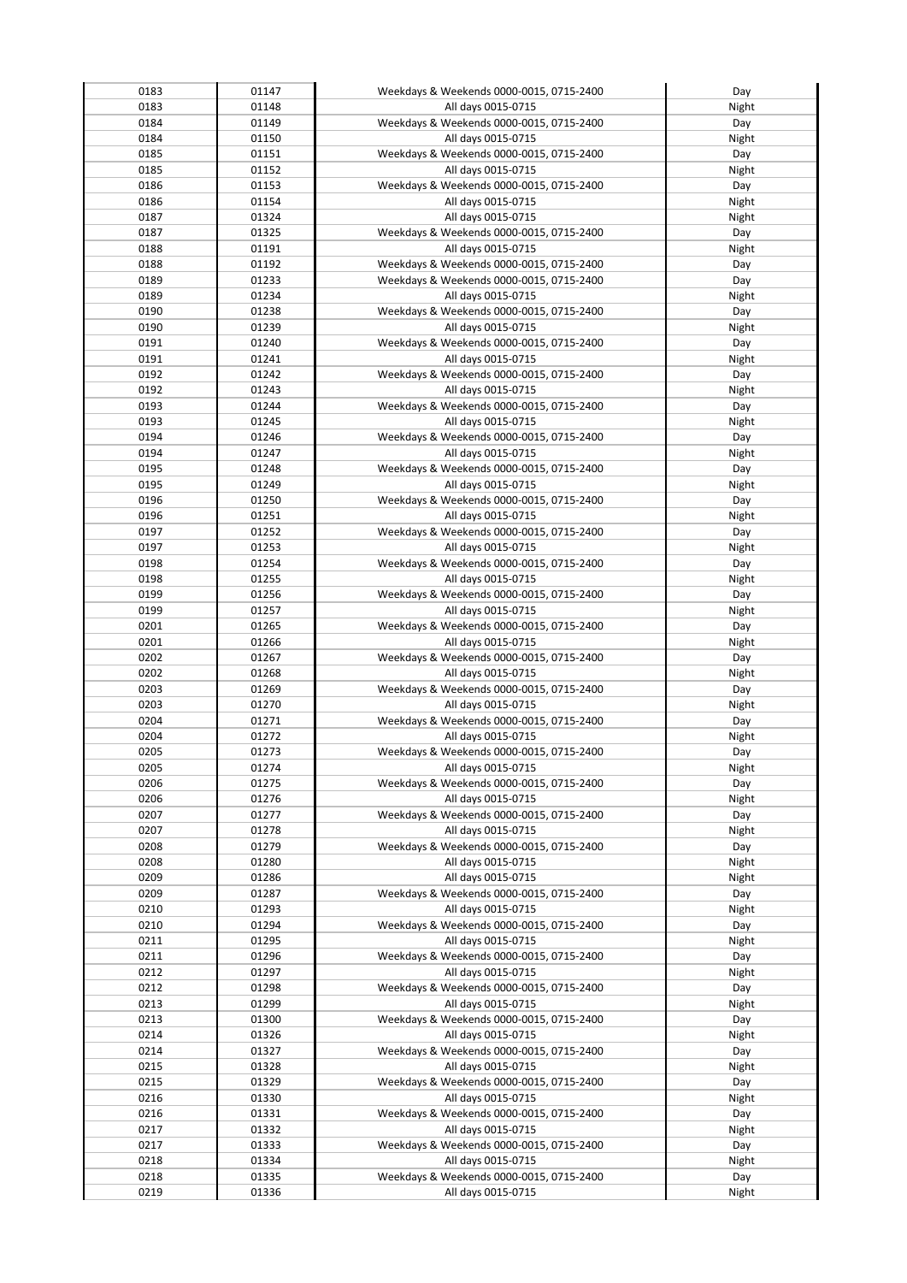| 0183 | 01147 | Weekdays & Weekends 0000-0015, 0715-2400 | Day   |
|------|-------|------------------------------------------|-------|
| 0183 | 01148 | All days 0015-0715                       | Night |
|      |       |                                          |       |
| 0184 | 01149 | Weekdays & Weekends 0000-0015, 0715-2400 | Day   |
| 0184 | 01150 | All days 0015-0715                       | Night |
| 0185 | 01151 | Weekdays & Weekends 0000-0015, 0715-2400 | Day   |
| 0185 | 01152 | All days 0015-0715                       | Night |
| 0186 | 01153 | Weekdays & Weekends 0000-0015, 0715-2400 | Day   |
| 0186 | 01154 | All days 0015-0715                       | Night |
|      |       |                                          |       |
| 0187 | 01324 | All days 0015-0715                       | Night |
| 0187 | 01325 | Weekdays & Weekends 0000-0015, 0715-2400 | Day   |
| 0188 | 01191 | All days 0015-0715                       | Night |
| 0188 | 01192 | Weekdays & Weekends 0000-0015, 0715-2400 | Day   |
| 0189 | 01233 | Weekdays & Weekends 0000-0015, 0715-2400 | Day   |
| 0189 | 01234 |                                          |       |
|      |       | All days 0015-0715                       | Night |
| 0190 | 01238 | Weekdays & Weekends 0000-0015, 0715-2400 | Day   |
| 0190 | 01239 | All days 0015-0715                       | Night |
| 0191 | 01240 | Weekdays & Weekends 0000-0015, 0715-2400 | Day   |
| 0191 | 01241 | All days 0015-0715                       | Night |
| 0192 | 01242 | Weekdays & Weekends 0000-0015, 0715-2400 | Day   |
| 0192 | 01243 | All days 0015-0715                       | Night |
|      |       |                                          |       |
| 0193 | 01244 | Weekdays & Weekends 0000-0015, 0715-2400 | Day   |
| 0193 | 01245 | All days 0015-0715                       | Night |
| 0194 | 01246 | Weekdays & Weekends 0000-0015, 0715-2400 | Day   |
| 0194 | 01247 | All days 0015-0715                       | Night |
| 0195 | 01248 | Weekdays & Weekends 0000-0015, 0715-2400 | Day   |
| 0195 | 01249 | All days 0015-0715                       | Night |
|      |       |                                          |       |
| 0196 | 01250 | Weekdays & Weekends 0000-0015, 0715-2400 | Day   |
| 0196 | 01251 | All days 0015-0715                       | Night |
| 0197 | 01252 | Weekdays & Weekends 0000-0015, 0715-2400 | Day   |
| 0197 | 01253 | All days 0015-0715                       | Night |
| 0198 | 01254 | Weekdays & Weekends 0000-0015, 0715-2400 | Day   |
| 0198 | 01255 | All days 0015-0715                       | Night |
|      |       |                                          |       |
| 0199 | 01256 | Weekdays & Weekends 0000-0015, 0715-2400 | Day   |
| 0199 | 01257 | All days 0015-0715                       | Night |
| 0201 | 01265 | Weekdays & Weekends 0000-0015, 0715-2400 | Day   |
| 0201 | 01266 | All days 0015-0715                       | Night |
| 0202 | 01267 | Weekdays & Weekends 0000-0015, 0715-2400 | Day   |
| 0202 | 01268 | All days 0015-0715                       | Night |
|      |       |                                          |       |
| 0203 | 01269 | Weekdays & Weekends 0000-0015, 0715-2400 | Day   |
| 0203 | 01270 | All days 0015-0715                       | Night |
| 0204 | 01271 | Weekdays & Weekends 0000-0015, 0715-2400 | Day   |
| 0204 | 01272 | All days 0015-0715                       | Night |
| 0205 | 01273 | Weekdays & Weekends 0000-0015, 0715-2400 | Day   |
| 0205 | 01274 | All days 0015-0715                       | Night |
|      |       |                                          |       |
| 0206 | 01275 | Weekdays & Weekends 0000-0015, 0715-2400 | Day   |
| 0206 | 01276 | All days 0015-0715                       | Night |
| 0207 | 01277 | Weekdays & Weekends 0000-0015, 0715-2400 | Day   |
| 0207 | 01278 | All days 0015-0715                       | Night |
| 0208 | 01279 | Weekdays & Weekends 0000-0015, 0715-2400 | Day   |
| 0208 | 01280 | All days 0015-0715                       | Night |
|      |       | All days 0015-0715                       | Night |
| 0209 | 01286 |                                          |       |
| 0209 | 01287 | Weekdays & Weekends 0000-0015, 0715-2400 | Day   |
| 0210 | 01293 | All days 0015-0715                       | Night |
| 0210 | 01294 | Weekdays & Weekends 0000-0015, 0715-2400 | Day   |
| 0211 | 01295 | All days 0015-0715                       | Night |
| 0211 | 01296 | Weekdays & Weekends 0000-0015, 0715-2400 | Day   |
| 0212 | 01297 | All days 0015-0715                       |       |
|      |       |                                          | Night |
| 0212 | 01298 | Weekdays & Weekends 0000-0015, 0715-2400 | Day   |
| 0213 | 01299 | All days 0015-0715                       | Night |
| 0213 | 01300 | Weekdays & Weekends 0000-0015, 0715-2400 | Day   |
| 0214 | 01326 | All days 0015-0715                       | Night |
| 0214 | 01327 | Weekdays & Weekends 0000-0015, 0715-2400 | Day   |
| 0215 | 01328 | All days 0015-0715                       | Night |
|      |       |                                          |       |
| 0215 | 01329 | Weekdays & Weekends 0000-0015, 0715-2400 | Day   |
| 0216 | 01330 | All days 0015-0715                       | Night |
| 0216 | 01331 | Weekdays & Weekends 0000-0015, 0715-2400 | Day   |
| 0217 | 01332 | All days 0015-0715                       | Night |
| 0217 | 01333 | Weekdays & Weekends 0000-0015, 0715-2400 | Day   |
| 0218 | 01334 | All days 0015-0715                       |       |
|      |       |                                          | Night |
| 0218 | 01335 | Weekdays & Weekends 0000-0015, 0715-2400 | Day   |
| 0219 | 01336 | All days 0015-0715                       | Night |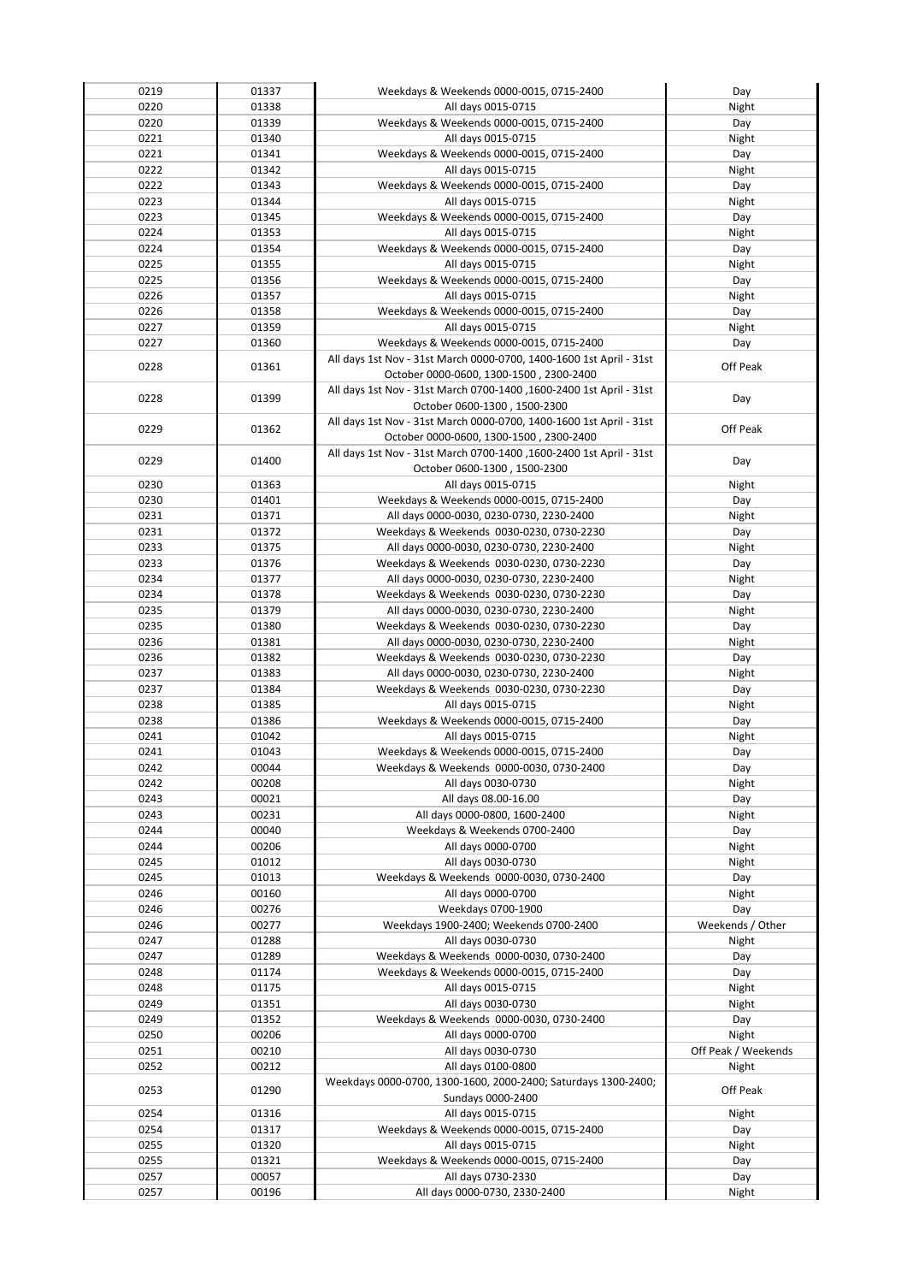| 0219 | 01337 | Weekdays & Weekends 0000-0015, 0715-2400                            | Day                 |
|------|-------|---------------------------------------------------------------------|---------------------|
| 0220 | 01338 | All days 0015-0715                                                  | Night               |
| 0220 | 01339 | Weekdays & Weekends 0000-0015, 0715-2400                            | Day                 |
| 0221 | 01340 |                                                                     |                     |
|      |       | All days 0015-0715                                                  | Night               |
| 0221 | 01341 | Weekdays & Weekends 0000-0015, 0715-2400                            | Day                 |
| 0222 | 01342 | All days 0015-0715                                                  | Night               |
| 0222 | 01343 | Weekdays & Weekends 0000-0015, 0715-2400                            | Day                 |
| 0223 | 01344 | All days 0015-0715                                                  | Night               |
| 0223 | 01345 | Weekdays & Weekends 0000-0015, 0715-2400                            | Day                 |
| 0224 | 01353 | All days 0015-0715                                                  | Night               |
| 0224 | 01354 | Weekdays & Weekends 0000-0015, 0715-2400                            | Day                 |
|      |       |                                                                     |                     |
| 0225 | 01355 | All days 0015-0715                                                  | Night               |
| 0225 | 01356 | Weekdays & Weekends 0000-0015, 0715-2400                            | Day                 |
| 0226 | 01357 | All days 0015-0715                                                  | Night               |
| 0226 | 01358 | Weekdays & Weekends 0000-0015, 0715-2400                            | Day                 |
| 0227 | 01359 | All days 0015-0715                                                  | Night               |
| 0227 | 01360 | Weekdays & Weekends 0000-0015, 0715-2400                            | Day                 |
|      |       | All days 1st Nov - 31st March 0000-0700, 1400-1600 1st April - 31st |                     |
| 0228 | 01361 | October 0000-0600, 1300-1500, 2300-2400                             | Off Peak            |
|      |       | All days 1st Nov - 31st March 0700-1400, 1600-2400 1st April - 31st |                     |
| 0228 | 01399 |                                                                     | Day                 |
|      |       | October 0600-1300, 1500-2300                                        |                     |
| 0229 | 01362 | All days 1st Nov - 31st March 0000-0700, 1400-1600 1st April - 31st | Off Peak            |
|      |       | October 0000-0600, 1300-1500, 2300-2400                             |                     |
| 0229 | 01400 | All days 1st Nov - 31st March 0700-1400, 1600-2400 1st April - 31st | Day                 |
|      |       | October 0600-1300, 1500-2300                                        |                     |
| 0230 | 01363 | All days 0015-0715                                                  | Night               |
| 0230 | 01401 | Weekdays & Weekends 0000-0015, 0715-2400                            | Day                 |
| 0231 | 01371 | All days 0000-0030, 0230-0730, 2230-2400                            | Night               |
| 0231 | 01372 | Weekdays & Weekends 0030-0230, 0730-2230                            | Day                 |
| 0233 | 01375 | All days 0000-0030, 0230-0730, 2230-2400                            | Night               |
| 0233 | 01376 | Weekdays & Weekends 0030-0230, 0730-2230                            | Day                 |
| 0234 | 01377 | All days 0000-0030, 0230-0730, 2230-2400                            | Night               |
| 0234 |       |                                                                     |                     |
|      | 01378 | Weekdays & Weekends 0030-0230, 0730-2230                            | Day                 |
| 0235 | 01379 | All days 0000-0030, 0230-0730, 2230-2400                            | Night               |
| 0235 | 01380 | Weekdays & Weekends 0030-0230, 0730-2230                            | Day                 |
| 0236 | 01381 | All days 0000-0030, 0230-0730, 2230-2400                            | Night               |
| 0236 | 01382 | Weekdays & Weekends 0030-0230, 0730-2230                            | Day                 |
| 0237 | 01383 | All days 0000-0030, 0230-0730, 2230-2400                            | Night               |
| 0237 | 01384 | Weekdays & Weekends 0030-0230, 0730-2230                            | Day                 |
| 0238 | 01385 | All days 0015-0715                                                  | Night               |
| 0238 | 01386 | Weekdays & Weekends 0000-0015, 0715-2400                            | Day                 |
| 0241 | 01042 | All days 0015-0715                                                  | Night               |
| 0241 | 01043 | Weekdays & Weekends 0000-0015, 0715-2400                            | Day                 |
| 0242 | 00044 | Weekdays & Weekends 0000-0030, 0730-2400                            | Day                 |
| 0242 | 00208 | All days 0030-0730                                                  | Night               |
| 0243 | 00021 | All days 08.00-16.00                                                |                     |
|      |       |                                                                     | Day                 |
| 0243 | 00231 | All days 0000-0800, 1600-2400                                       | Night               |
| 0244 | 00040 | Weekdays & Weekends 0700-2400                                       | Day                 |
| 0244 | 00206 | All days 0000-0700                                                  | Night               |
| 0245 | 01012 | All days 0030-0730                                                  | Night               |
| 0245 | 01013 | Weekdays & Weekends 0000-0030, 0730-2400                            | Day                 |
| 0246 | 00160 | All days 0000-0700                                                  | Night               |
| 0246 | 00276 | Weekdays 0700-1900                                                  | Day                 |
| 0246 | 00277 | Weekdays 1900-2400; Weekends 0700-2400                              | Weekends / Other    |
| 0247 | 01288 | All days 0030-0730                                                  | Night               |
| 0247 | 01289 | Weekdays & Weekends 0000-0030, 0730-2400                            | Day                 |
| 0248 | 01174 | Weekdays & Weekends 0000-0015, 0715-2400                            | Day                 |
|      |       |                                                                     |                     |
| 0248 | 01175 | All days 0015-0715                                                  | Night               |
| 0249 | 01351 | All days 0030-0730                                                  | Night               |
| 0249 | 01352 | Weekdays & Weekends 0000-0030, 0730-2400                            | Day                 |
| 0250 | 00206 | All days 0000-0700                                                  | Night               |
| 0251 | 00210 | All days 0030-0730                                                  | Off Peak / Weekends |
| 0252 | 00212 | All days 0100-0800                                                  | Night               |
| 0253 | 01290 | Weekdays 0000-0700, 1300-1600, 2000-2400; Saturdays 1300-2400;      | Off Peak            |
|      |       | Sundays 0000-2400                                                   |                     |
| 0254 | 01316 | All days 0015-0715                                                  | Night               |
| 0254 | 01317 | Weekdays & Weekends 0000-0015, 0715-2400                            | Day                 |
| 0255 | 01320 | All days 0015-0715                                                  | Night               |
| 0255 | 01321 | Weekdays & Weekends 0000-0015, 0715-2400                            | Day                 |
| 0257 | 00057 | All days 0730-2330                                                  | Day                 |
|      |       | All days 0000-0730, 2330-2400                                       |                     |
| 0257 | 00196 |                                                                     | Night               |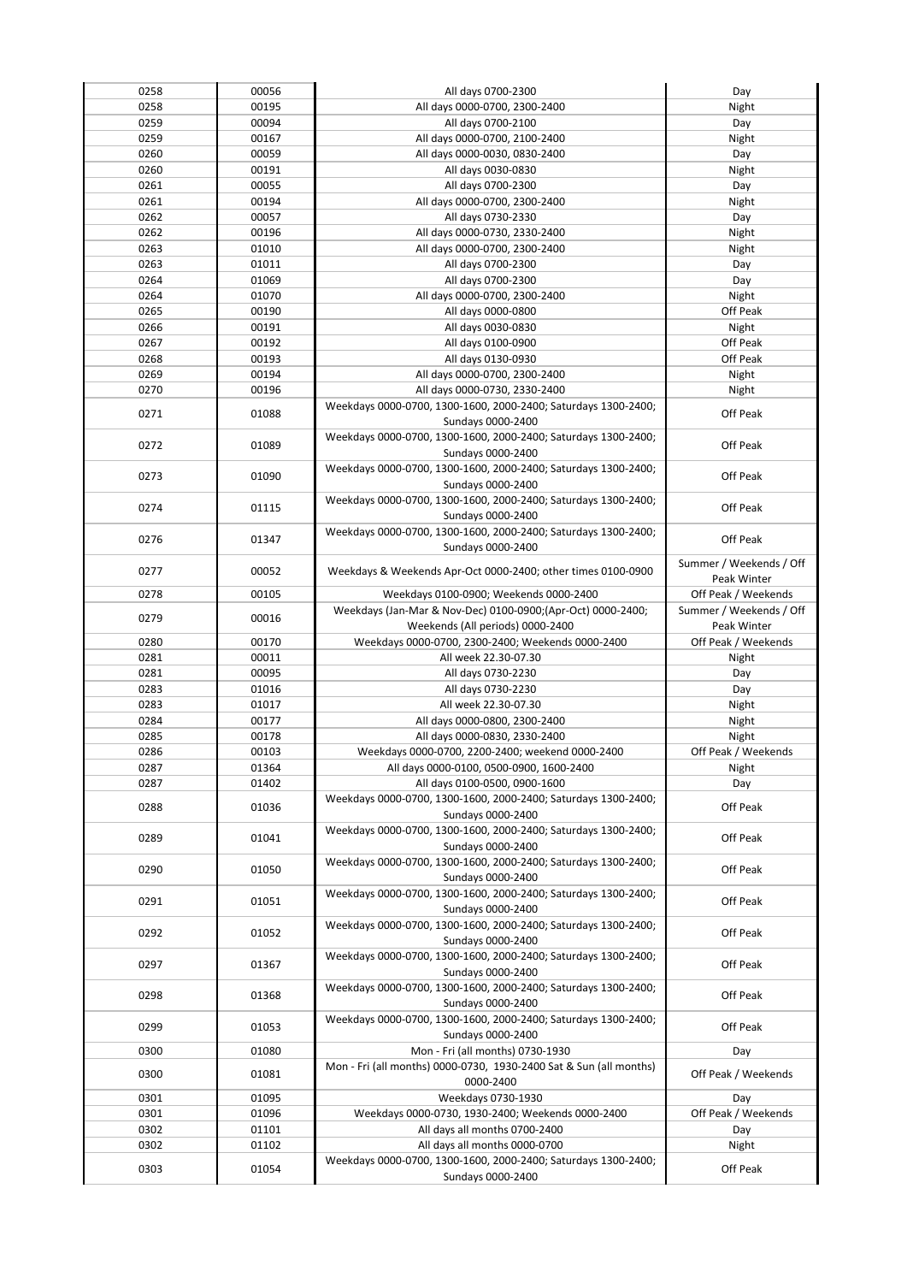| 0258 | 00056 | All days 0700-2300                                                                  | Day                     |
|------|-------|-------------------------------------------------------------------------------------|-------------------------|
| 0258 | 00195 | All days 0000-0700, 2300-2400                                                       | Night                   |
| 0259 | 00094 | All days 0700-2100                                                                  | Day                     |
| 0259 | 00167 | All days 0000-0700, 2100-2400                                                       | Night                   |
| 0260 | 00059 | All days 0000-0030, 0830-2400                                                       | Day                     |
| 0260 | 00191 | All days 0030-0830                                                                  | Night                   |
| 0261 | 00055 | All days 0700-2300                                                                  | Day                     |
| 0261 | 00194 | All days 0000-0700, 2300-2400                                                       | Night                   |
|      |       |                                                                                     |                         |
| 0262 | 00057 | All days 0730-2330                                                                  | Day                     |
| 0262 | 00196 | All days 0000-0730, 2330-2400                                                       | Night                   |
| 0263 | 01010 | All days 0000-0700, 2300-2400                                                       | Night                   |
| 0263 | 01011 | All days 0700-2300                                                                  | Day                     |
| 0264 | 01069 | All days 0700-2300                                                                  | Day                     |
| 0264 | 01070 | All days 0000-0700, 2300-2400                                                       | Night                   |
| 0265 | 00190 | All days 0000-0800                                                                  | Off Peak                |
| 0266 | 00191 | All days 0030-0830                                                                  | Night                   |
| 0267 | 00192 | All days 0100-0900                                                                  | Off Peak                |
| 0268 | 00193 | All days 0130-0930                                                                  | Off Peak                |
| 0269 | 00194 | All days 0000-0700, 2300-2400                                                       | Night                   |
| 0270 | 00196 | All days 0000-0730, 2330-2400                                                       | Night                   |
| 0271 | 01088 | Weekdays 0000-0700, 1300-1600, 2000-2400; Saturdays 1300-2400;                      | Off Peak                |
|      |       | Sundays 0000-2400                                                                   |                         |
| 0272 | 01089 | Weekdays 0000-0700, 1300-1600, 2000-2400; Saturdays 1300-2400;                      | Off Peak                |
|      |       | Sundays 0000-2400                                                                   |                         |
| 0273 | 01090 | Weekdays 0000-0700, 1300-1600, 2000-2400; Saturdays 1300-2400;                      | Off Peak                |
|      |       | Sundays 0000-2400                                                                   |                         |
| 0274 | 01115 | Weekdays 0000-0700, 1300-1600, 2000-2400; Saturdays 1300-2400;                      | Off Peak                |
|      |       | Sundays 0000-2400                                                                   |                         |
| 0276 | 01347 | Weekdays 0000-0700, 1300-1600, 2000-2400; Saturdays 1300-2400;                      | Off Peak                |
|      |       | Sundays 0000-2400                                                                   |                         |
| 0277 | 00052 | Weekdays & Weekends Apr-Oct 0000-2400; other times 0100-0900                        | Summer / Weekends / Off |
|      |       |                                                                                     | Peak Winter             |
| 0278 | 00105 | Weekdays 0100-0900; Weekends 0000-2400                                              | Off Peak / Weekends     |
| 0279 | 00016 | Weekdays (Jan-Mar & Nov-Dec) 0100-0900; (Apr-Oct) 0000-2400;                        | Summer / Weekends / Off |
|      |       | Weekends (All periods) 0000-2400                                                    | Peak Winter             |
|      |       |                                                                                     |                         |
| 0280 | 00170 | Weekdays 0000-0700, 2300-2400; Weekends 0000-2400                                   | Off Peak / Weekends     |
| 0281 | 00011 | All week 22.30-07.30                                                                | Night                   |
| 0281 | 00095 | All days 0730-2230                                                                  | Day                     |
| 0283 | 01016 | All days 0730-2230                                                                  | Day                     |
| 0283 | 01017 | All week 22.30-07.30                                                                | Night                   |
| 0284 | 00177 | All days 0000-0800, 2300-2400                                                       | Night                   |
| 0285 | 00178 | All days 0000-0830, 2330-2400                                                       | Night                   |
| 0286 | 00103 | Weekdays 0000-0700, 2200-2400; weekend 0000-2400                                    | Off Peak / Weekends     |
| 0287 | 01364 | All days 0000-0100, 0500-0900, 1600-2400                                            |                         |
| 0287 | 01402 | All days 0100-0500, 0900-1600                                                       | Night<br>Day            |
|      |       | Weekdays 0000-0700, 1300-1600, 2000-2400; Saturdays 1300-2400;                      |                         |
| 0288 | 01036 | Sundays 0000-2400                                                                   | Off Peak                |
|      |       | Weekdays 0000-0700, 1300-1600, 2000-2400; Saturdays 1300-2400;                      |                         |
| 0289 | 01041 | Sundays 0000-2400                                                                   | Off Peak                |
|      |       | Weekdays 0000-0700, 1300-1600, 2000-2400; Saturdays 1300-2400;                      |                         |
| 0290 | 01050 | Sundays 0000-2400                                                                   | Off Peak                |
|      |       |                                                                                     |                         |
| 0291 | 01051 | Weekdays 0000-0700, 1300-1600, 2000-2400; Saturdays 1300-2400;<br>Sundays 0000-2400 | Off Peak                |
|      |       |                                                                                     |                         |
| 0292 | 01052 | Weekdays 0000-0700, 1300-1600, 2000-2400; Saturdays 1300-2400;                      | Off Peak                |
|      |       | Sundays 0000-2400                                                                   |                         |
| 0297 | 01367 | Weekdays 0000-0700, 1300-1600, 2000-2400; Saturdays 1300-2400;                      | Off Peak                |
|      |       | Sundays 0000-2400                                                                   |                         |
| 0298 | 01368 | Weekdays 0000-0700, 1300-1600, 2000-2400; Saturdays 1300-2400;                      | Off Peak                |
|      |       | Sundays 0000-2400                                                                   |                         |
| 0299 | 01053 | Weekdays 0000-0700, 1300-1600, 2000-2400; Saturdays 1300-2400;                      | Off Peak                |
|      |       | Sundays 0000-2400                                                                   |                         |
| 0300 | 01080 | Mon - Fri (all months) 0730-1930                                                    | Day                     |
| 0300 | 01081 | Mon - Fri (all months) 0000-0730, 1930-2400 Sat & Sun (all months)                  | Off Peak / Weekends     |
|      |       | 0000-2400                                                                           |                         |
| 0301 | 01095 | Weekdays 0730-1930                                                                  | Day                     |
| 0301 | 01096 | Weekdays 0000-0730, 1930-2400; Weekends 0000-2400                                   | Off Peak / Weekends     |
| 0302 | 01101 | All days all months 0700-2400                                                       | Day                     |
| 0302 | 01102 | All days all months 0000-0700                                                       | Night                   |
| 0303 | 01054 | Weekdays 0000-0700, 1300-1600, 2000-2400; Saturdays 1300-2400;<br>Sundays 0000-2400 | Off Peak                |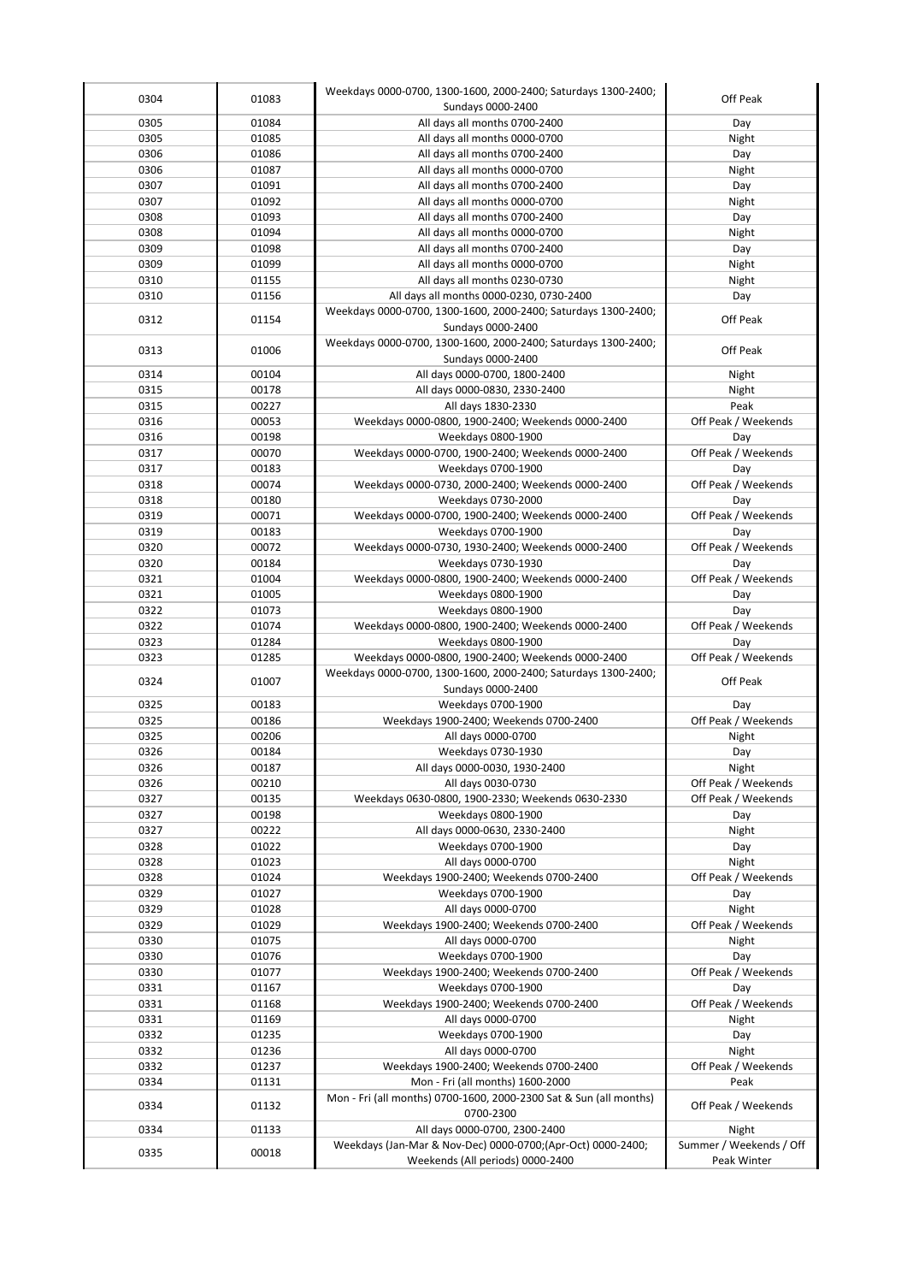| 0304         | 01083          | Weekdays 0000-0700, 1300-1600, 2000-2400; Saturdays 1300-2400;<br>Sundays 0000-2400                    | Off Peak                                   |
|--------------|----------------|--------------------------------------------------------------------------------------------------------|--------------------------------------------|
| 0305         | 01084          | All days all months 0700-2400                                                                          | Day                                        |
| 0305         | 01085          | All days all months 0000-0700                                                                          | Night                                      |
| 0306         | 01086          | All days all months 0700-2400                                                                          | Day                                        |
| 0306         | 01087          | All days all months 0000-0700                                                                          | Night                                      |
| 0307         | 01091          | All days all months 0700-2400                                                                          | Day                                        |
| 0307         | 01092          | All days all months 0000-0700                                                                          | Night                                      |
| 0308         | 01093          | All days all months 0700-2400                                                                          | Day                                        |
| 0308         | 01094          | All days all months 0000-0700                                                                          | Night                                      |
| 0309         | 01098          | All days all months 0700-2400                                                                          | Day                                        |
| 0309         | 01099          | All days all months 0000-0700                                                                          | Night                                      |
| 0310         | 01155          | All days all months 0230-0730                                                                          | Night                                      |
| 0310         | 01156          | All days all months 0000-0230, 0730-2400                                                               | Day                                        |
| 0312         | 01154          | Weekdays 0000-0700, 1300-1600, 2000-2400; Saturdays 1300-2400;                                         | Off Peak                                   |
|              |                | Sundays 0000-2400                                                                                      |                                            |
| 0313         | 01006          | Weekdays 0000-0700, 1300-1600, 2000-2400; Saturdays 1300-2400;                                         | Off Peak                                   |
|              |                | Sundays 0000-2400                                                                                      |                                            |
| 0314         | 00104          | All days 0000-0700, 1800-2400                                                                          | Night                                      |
| 0315         | 00178          | All days 0000-0830, 2330-2400                                                                          | Night                                      |
| 0315         | 00227          | All days 1830-2330                                                                                     | Peak                                       |
| 0316         | 00053          | Weekdays 0000-0800, 1900-2400; Weekends 0000-2400                                                      | Off Peak / Weekends                        |
| 0316         | 00198          | Weekdays 0800-1900                                                                                     | Day                                        |
| 0317         | 00070          | Weekdays 0000-0700, 1900-2400; Weekends 0000-2400                                                      | Off Peak / Weekends                        |
| 0317<br>0318 | 00183<br>00074 | Weekdays 0700-1900<br>Weekdays 0000-0730, 2000-2400; Weekends 0000-2400                                | Day<br>Off Peak / Weekends                 |
| 0318         | 00180          | Weekdays 0730-2000                                                                                     | Day                                        |
| 0319         | 00071          | Weekdays 0000-0700, 1900-2400; Weekends 0000-2400                                                      | Off Peak / Weekends                        |
| 0319         | 00183          | Weekdays 0700-1900                                                                                     | Day                                        |
| 0320         | 00072          | Weekdays 0000-0730, 1930-2400; Weekends 0000-2400                                                      | Off Peak / Weekends                        |
| 0320         | 00184          | Weekdays 0730-1930                                                                                     | Day                                        |
| 0321         | 01004          | Weekdays 0000-0800, 1900-2400; Weekends 0000-2400                                                      | Off Peak / Weekends                        |
| 0321         | 01005          | Weekdays 0800-1900                                                                                     | Day                                        |
| 0322         | 01073          | Weekdays 0800-1900                                                                                     | Day                                        |
| 0322         | 01074          | Weekdays 0000-0800, 1900-2400; Weekends 0000-2400                                                      | Off Peak / Weekends                        |
| 0323         | 01284          | Weekdays 0800-1900                                                                                     | Day                                        |
| 0323         | 01285          | Weekdays 0000-0800, 1900-2400; Weekends 0000-2400                                                      | Off Peak / Weekends                        |
| 0324         | 01007          | Weekdays 0000-0700, 1300-1600, 2000-2400; Saturdays 1300-2400;                                         | Off Peak                                   |
|              |                | Sundays 0000-2400                                                                                      |                                            |
| 0325         | 00183          | Weekdays 0700-1900                                                                                     | Day                                        |
| 0325         | 00186          | Weekdays 1900-2400; Weekends 0700-2400                                                                 | Off Peak / Weekends                        |
| 0325         | 00206          | All days 0000-0700                                                                                     | Night                                      |
| 0326<br>0326 | 00184<br>00187 | Weekdays 0730-1930<br>All days 0000-0030, 1930-2400                                                    | Day<br>Night                               |
| 0326         | 00210          | All days 0030-0730                                                                                     |                                            |
| 0327         | 00135          | Weekdays 0630-0800, 1900-2330; Weekends 0630-2330                                                      | Off Peak / Weekends<br>Off Peak / Weekends |
| 0327         | 00198          | Weekdays 0800-1900                                                                                     | Day                                        |
| 0327         | 00222          | All days 0000-0630, 2330-2400                                                                          | Night                                      |
| 0328         | 01022          | Weekdays 0700-1900                                                                                     | Day                                        |
| 0328         | 01023          | All days 0000-0700                                                                                     | Night                                      |
| 0328         | 01024          | Weekdays 1900-2400; Weekends 0700-2400                                                                 | Off Peak / Weekends                        |
| 0329         | 01027          | Weekdays 0700-1900                                                                                     | Day                                        |
| 0329         | 01028          | All days 0000-0700                                                                                     | Night                                      |
| 0329         | 01029          | Weekdays 1900-2400; Weekends 0700-2400                                                                 | Off Peak / Weekends                        |
| 0330         | 01075          | All days 0000-0700                                                                                     | Night                                      |
| 0330         | 01076          | Weekdays 0700-1900                                                                                     | Day                                        |
| 0330         | 01077          | Weekdays 1900-2400; Weekends 0700-2400                                                                 | Off Peak / Weekends                        |
| 0331         | 01167          | Weekdays 0700-1900                                                                                     | Day                                        |
| 0331         | 01168          | Weekdays 1900-2400; Weekends 0700-2400                                                                 | Off Peak / Weekends                        |
| 0331         | 01169          | All days 0000-0700                                                                                     | Night                                      |
| 0332         | 01235          | Weekdays 0700-1900                                                                                     | Day                                        |
| 0332         | 01236          | All days 0000-0700                                                                                     | Night                                      |
| 0332         | 01237          | Weekdays 1900-2400; Weekends 0700-2400                                                                 | Off Peak / Weekends                        |
| 0334         | 01131          | Mon - Fri (all months) 1600-2000<br>Mon - Fri (all months) 0700-1600, 2000-2300 Sat & Sun (all months) | Peak                                       |
| 0334         | 01132          | 0700-2300                                                                                              | Off Peak / Weekends                        |
| 0334         | 01133          | All days 0000-0700, 2300-2400                                                                          | Night                                      |
|              |                | Weekdays (Jan-Mar & Nov-Dec) 0000-0700;(Apr-Oct) 0000-2400;                                            | Summer / Weekends / Off                    |
| 0335         | 00018          |                                                                                                        |                                            |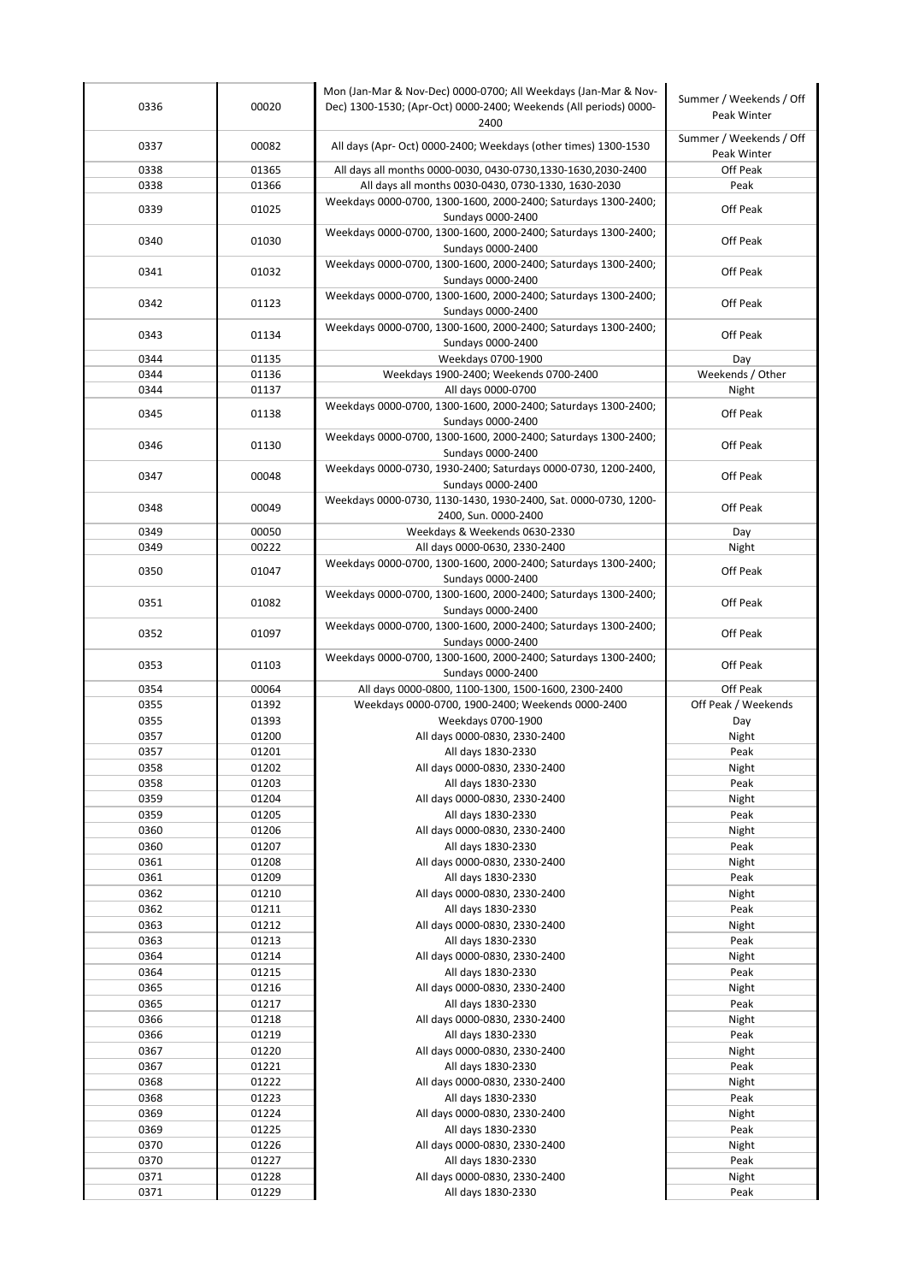| 0336         | 00020          | Mon (Jan-Mar & Nov-Dec) 0000-0700; All Weekdays (Jan-Mar & Nov-<br>Dec) 1300-1530; (Apr-Oct) 0000-2400; Weekends (All periods) 0000-<br>2400 | Summer / Weekends / Off<br>Peak Winter |
|--------------|----------------|----------------------------------------------------------------------------------------------------------------------------------------------|----------------------------------------|
| 0337         | 00082          | All days (Apr- Oct) 0000-2400; Weekdays (other times) 1300-1530                                                                              | Summer / Weekends / Off<br>Peak Winter |
| 0338         | 01365          | All days all months 0000-0030, 0430-0730,1330-1630,2030-2400                                                                                 | Off Peak                               |
| 0338         | 01366          | All days all months 0030-0430, 0730-1330, 1630-2030                                                                                          | Peak                                   |
| 0339         | 01025          | Weekdays 0000-0700, 1300-1600, 2000-2400; Saturdays 1300-2400;<br>Sundays 0000-2400                                                          | Off Peak                               |
| 0340         | 01030          | Weekdays 0000-0700, 1300-1600, 2000-2400; Saturdays 1300-2400;<br>Sundays 0000-2400                                                          | Off Peak                               |
| 0341         | 01032          | Weekdays 0000-0700, 1300-1600, 2000-2400; Saturdays 1300-2400;<br>Sundays 0000-2400                                                          | Off Peak                               |
| 0342         | 01123          | Weekdays 0000-0700, 1300-1600, 2000-2400; Saturdays 1300-2400;<br>Sundays 0000-2400                                                          | Off Peak                               |
| 0343         | 01134          | Weekdays 0000-0700, 1300-1600, 2000-2400; Saturdays 1300-2400;<br>Sundays 0000-2400                                                          | Off Peak                               |
| 0344         | 01135          | Weekdays 0700-1900                                                                                                                           | Day                                    |
| 0344         | 01136          | Weekdays 1900-2400; Weekends 0700-2400                                                                                                       | Weekends / Other                       |
| 0344         | 01137          | All days 0000-0700                                                                                                                           | Night                                  |
| 0345         | 01138          | Weekdays 0000-0700, 1300-1600, 2000-2400; Saturdays 1300-2400;<br>Sundays 0000-2400                                                          | Off Peak                               |
| 0346         | 01130          | Weekdays 0000-0700, 1300-1600, 2000-2400; Saturdays 1300-2400;                                                                               | Off Peak                               |
|              |                | Sundays 0000-2400<br>Weekdays 0000-0730, 1930-2400; Saturdays 0000-0730, 1200-2400,                                                          |                                        |
| 0347         | 00048          | Sundays 0000-2400<br>Weekdays 0000-0730, 1130-1430, 1930-2400, Sat. 0000-0730, 1200-                                                         | Off Peak                               |
| 0348         | 00049          | 2400, Sun. 0000-2400                                                                                                                         | Off Peak                               |
| 0349         | 00050          | Weekdays & Weekends 0630-2330                                                                                                                | Day                                    |
| 0349         | 00222          | All days 0000-0630, 2330-2400                                                                                                                | Night                                  |
| 0350         | 01047          | Weekdays 0000-0700, 1300-1600, 2000-2400; Saturdays 1300-2400;<br>Sundays 0000-2400                                                          | Off Peak                               |
| 0351         | 01082          | Weekdays 0000-0700, 1300-1600, 2000-2400; Saturdays 1300-2400;<br>Sundays 0000-2400                                                          | Off Peak                               |
| 0352         | 01097          | Weekdays 0000-0700, 1300-1600, 2000-2400; Saturdays 1300-2400;<br>Sundays 0000-2400                                                          | Off Peak                               |
| 0353         | 01103          | Weekdays 0000-0700, 1300-1600, 2000-2400; Saturdays 1300-2400;<br>Sundays 0000-2400                                                          | Off Peak                               |
| 0354         | 00064          | All days 0000-0800, 1100-1300, 1500-1600, 2300-2400                                                                                          | Off Peak                               |
| 0355         | 01392          | Weekdays 0000-0700, 1900-2400; Weekends 0000-2400                                                                                            | Off Peak / Weekends                    |
| 0355         | 01393          | Weekdays 0700-1900                                                                                                                           | Day                                    |
| 0357         | 01200          | All days 0000-0830, 2330-2400                                                                                                                | Night                                  |
| 0357         | 01201          | All days 1830-2330                                                                                                                           | Peak                                   |
| 0358         | 01202          | All days 0000-0830, 2330-2400                                                                                                                | Night                                  |
| 0358         | 01203          | All days 1830-2330                                                                                                                           | Peak                                   |
| 0359         | 01204          | All days 0000-0830, 2330-2400                                                                                                                | Night                                  |
| 0359         | 01205          | All days 1830-2330                                                                                                                           | Peak                                   |
| 0360         | 01206          | All days 0000-0830, 2330-2400                                                                                                                | Night                                  |
| 0360         | 01207          | All days 1830-2330                                                                                                                           | Peak                                   |
| 0361         | 01208          | All days 0000-0830, 2330-2400                                                                                                                | Night                                  |
| 0361         | 01209          | All days 1830-2330                                                                                                                           | Peak                                   |
| 0362         | 01210          | All days 0000-0830, 2330-2400                                                                                                                | Night                                  |
| 0362         | 01211          | All days 1830-2330                                                                                                                           | Peak                                   |
| 0363         | 01212          | All days 0000-0830, 2330-2400                                                                                                                | Night                                  |
| 0363         | 01213          | All days 1830-2330                                                                                                                           | Peak                                   |
| 0364         | 01214          | All days 0000-0830, 2330-2400                                                                                                                | Night                                  |
| 0364         | 01215          | All days 1830-2330                                                                                                                           | Peak                                   |
| 0365         | 01216          | All days 0000-0830, 2330-2400                                                                                                                | Night                                  |
| 0365         | 01217          | All days 1830-2330                                                                                                                           | Peak                                   |
| 0366<br>0366 | 01218<br>01219 | All days 0000-0830, 2330-2400<br>All days 1830-2330                                                                                          | Night<br>Peak                          |
| 0367         | 01220          | All days 0000-0830, 2330-2400                                                                                                                | Night                                  |
| 0367         | 01221          | All days 1830-2330                                                                                                                           | Peak                                   |
| 0368         | 01222          | All days 0000-0830, 2330-2400                                                                                                                | Night                                  |
| 0368         | 01223          | All days 1830-2330                                                                                                                           | Peak                                   |
| 0369         | 01224          | All days 0000-0830, 2330-2400                                                                                                                | Night                                  |
| 0369         | 01225          | All days 1830-2330                                                                                                                           | Peak                                   |
| 0370         | 01226          | All days 0000-0830, 2330-2400                                                                                                                | Night                                  |
| 0370         | 01227          | All days 1830-2330                                                                                                                           | Peak                                   |
| 0371         | 01228          | All days 0000-0830, 2330-2400                                                                                                                | Night                                  |
| 0371         | 01229          | All days 1830-2330                                                                                                                           | Peak                                   |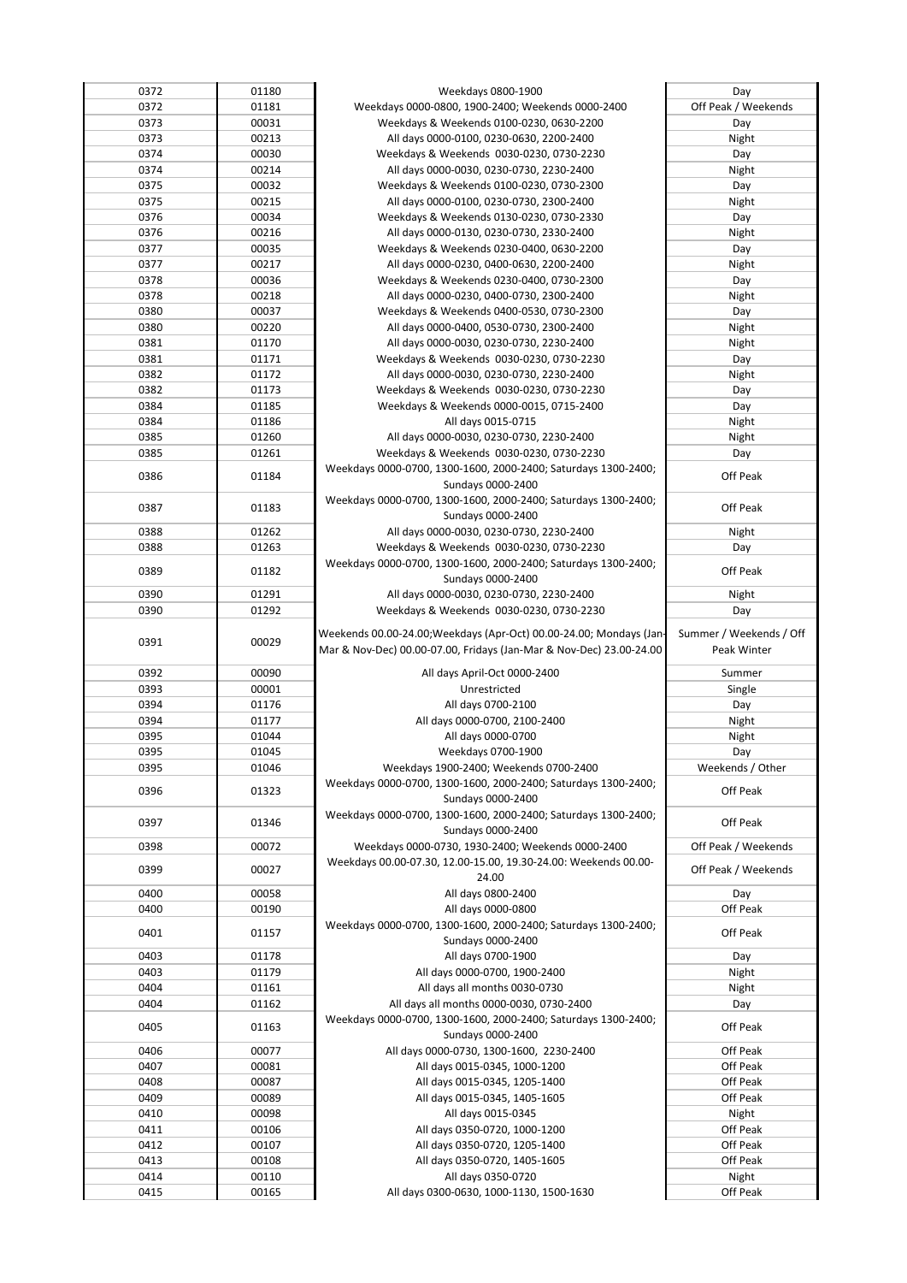| 0372         | 01180          | Weekdays 0800-1900                                                  | Day                     |
|--------------|----------------|---------------------------------------------------------------------|-------------------------|
| 0372         | 01181          | Weekdays 0000-0800, 1900-2400; Weekends 0000-2400                   | Off Peak / Weekends     |
|              |                |                                                                     |                         |
| 0373         | 00031          | Weekdays & Weekends 0100-0230, 0630-2200                            | Day                     |
| 0373         | 00213          | All days 0000-0100, 0230-0630, 2200-2400                            | Night                   |
| 0374         | 00030          | Weekdays & Weekends 0030-0230, 0730-2230                            | Day                     |
| 0374         | 00214          | All days 0000-0030, 0230-0730, 2230-2400                            | Night                   |
| 0375         | 00032          | Weekdays & Weekends 0100-0230, 0730-2300                            | Day                     |
|              |                |                                                                     |                         |
| 0375         | 00215          | All days 0000-0100, 0230-0730, 2300-2400                            | Night                   |
| 0376         | 00034          | Weekdays & Weekends 0130-0230, 0730-2330                            | Day                     |
| 0376         | 00216          | All days 0000-0130, 0230-0730, 2330-2400                            | Night                   |
| 0377         | 00035          | Weekdays & Weekends 0230-0400, 0630-2200                            | Day                     |
|              |                |                                                                     |                         |
| 0377         | 00217          | All days 0000-0230, 0400-0630, 2200-2400                            | Night                   |
| 0378         | 00036          | Weekdays & Weekends 0230-0400, 0730-2300                            | Day                     |
| 0378         | 00218          | All days 0000-0230, 0400-0730, 2300-2400                            | Night                   |
| 0380         | 00037          | Weekdays & Weekends 0400-0530, 0730-2300                            | Day                     |
|              |                |                                                                     |                         |
| 0380         | 00220          | All days 0000-0400, 0530-0730, 2300-2400                            | Night                   |
| 0381         | 01170          | All days 0000-0030, 0230-0730, 2230-2400                            | Night                   |
| 0381         | 01171          | Weekdays & Weekends 0030-0230, 0730-2230                            | Day                     |
| 0382         | 01172          | All days 0000-0030, 0230-0730, 2230-2400                            | Night                   |
|              |                |                                                                     |                         |
| 0382         | 01173          | Weekdays & Weekends 0030-0230, 0730-2230                            | Day                     |
| 0384         | 01185          | Weekdays & Weekends 0000-0015, 0715-2400                            | Day                     |
| 0384         | 01186          | All days 0015-0715                                                  | Night                   |
| 0385         | 01260          | All days 0000-0030, 0230-0730, 2230-2400                            | Night                   |
|              |                |                                                                     |                         |
| 0385         | 01261          | Weekdays & Weekends 0030-0230, 0730-2230                            | Day                     |
| 0386         | 01184          | Weekdays 0000-0700, 1300-1600, 2000-2400; Saturdays 1300-2400;      | Off Peak                |
|              |                | Sundays 0000-2400                                                   |                         |
|              |                | Weekdays 0000-0700, 1300-1600, 2000-2400; Saturdays 1300-2400;      |                         |
| 0387         | 01183          |                                                                     | Off Peak                |
|              |                | Sundays 0000-2400                                                   |                         |
| 0388         | 01262          | All days 0000-0030, 0230-0730, 2230-2400                            | Night                   |
| 0388         | 01263          | Weekdays & Weekends 0030-0230, 0730-2230                            | Day                     |
|              |                | Weekdays 0000-0700, 1300-1600, 2000-2400; Saturdays 1300-2400;      |                         |
| 0389         | 01182          |                                                                     | Off Peak                |
|              |                | Sundays 0000-2400                                                   |                         |
| 0390         | 01291          | All days 0000-0030, 0230-0730, 2230-2400                            | Night                   |
| 0390         | 01292          | Weekdays & Weekends 0030-0230, 0730-2230                            | Day                     |
|              |                |                                                                     |                         |
| 0391         | 00029          | Weekends 00.00-24.00; Weekdays (Apr-Oct) 00.00-24.00; Mondays (Jan- | Summer / Weekends / Off |
|              |                |                                                                     |                         |
|              |                |                                                                     | Peak Winter             |
|              |                | Mar & Nov-Dec) 00.00-07.00, Fridays (Jan-Mar & Nov-Dec) 23.00-24.00 |                         |
| 0392         | 00090          | All days April-Oct 0000-2400                                        | Summer                  |
|              |                |                                                                     |                         |
| 0393         | 00001          | Unrestricted                                                        | Single                  |
| 0394         | 01176          | All days 0700-2100                                                  | Day                     |
| 0394         | 01177          | All days 0000-0700, 2100-2400                                       | Night                   |
| 0395         | 01044          | All days 0000-0700                                                  | Night                   |
|              |                |                                                                     |                         |
| 0395         | 01045          | Weekdays 0700-1900                                                  | Day                     |
| 0395         | 01046          | Weekdays 1900-2400; Weekends 0700-2400                              | Weekends / Other        |
|              |                | Weekdays 0000-0700, 1300-1600, 2000-2400; Saturdays 1300-2400;      |                         |
| 0396         | 01323          | Sundays 0000-2400                                                   | Off Peak                |
|              |                | Weekdays 0000-0700, 1300-1600, 2000-2400; Saturdays 1300-2400;      |                         |
| 0397         | 01346          |                                                                     | Off Peak                |
|              |                | Sundays 0000-2400                                                   |                         |
| 0398         | 00072          | Weekdays 0000-0730, 1930-2400; Weekends 0000-2400                   | Off Peak / Weekends     |
|              |                | Weekdays 00.00-07.30, 12.00-15.00, 19.30-24.00: Weekends 00.00-     |                         |
| 0399         | 00027          | 24.00                                                               | Off Peak / Weekends     |
| 0400         | 00058          | All days 0800-2400                                                  | Day                     |
|              |                |                                                                     |                         |
| 0400         | 00190          | All days 0000-0800                                                  | Off Peak                |
|              |                | Weekdays 0000-0700, 1300-1600, 2000-2400; Saturdays 1300-2400;      |                         |
| 0401         | 01157          | Sundays 0000-2400                                                   | Off Peak                |
| 0403         | 01178          | All days 0700-1900                                                  | Day                     |
|              |                |                                                                     |                         |
| 0403         | 01179          | All days 0000-0700, 1900-2400                                       | Night                   |
| 0404         | 01161          | All days all months 0030-0730                                       | Night                   |
| 0404         | 01162          | All days all months 0000-0030, 0730-2400                            | Day                     |
|              |                | Weekdays 0000-0700, 1300-1600, 2000-2400; Saturdays 1300-2400;      |                         |
| 0405         | 01163          |                                                                     | Off Peak                |
|              |                | Sundays 0000-2400                                                   |                         |
| 0406         | 00077          | All days 0000-0730, 1300-1600, 2230-2400                            | Off Peak                |
| 0407         | 00081          | All days 0015-0345, 1000-1200                                       | Off Peak                |
| 0408         | 00087          | All days 0015-0345, 1205-1400                                       | Off Peak                |
| 0409         | 00089          | All days 0015-0345, 1405-1605                                       |                         |
|              |                |                                                                     | Off Peak                |
| 0410         | 00098          | All days 0015-0345                                                  | Night                   |
| 0411         | 00106          | All days 0350-0720, 1000-1200                                       | Off Peak                |
| 0412         | 00107          | All days 0350-0720, 1205-1400                                       | Off Peak                |
| 0413         | 00108          |                                                                     | Off Peak                |
|              |                | All days 0350-0720, 1405-1605                                       |                         |
| 0414<br>0415 | 00110<br>00165 | All days 0350-0720<br>All days 0300-0630, 1000-1130, 1500-1630      | Night<br>Off Peak       |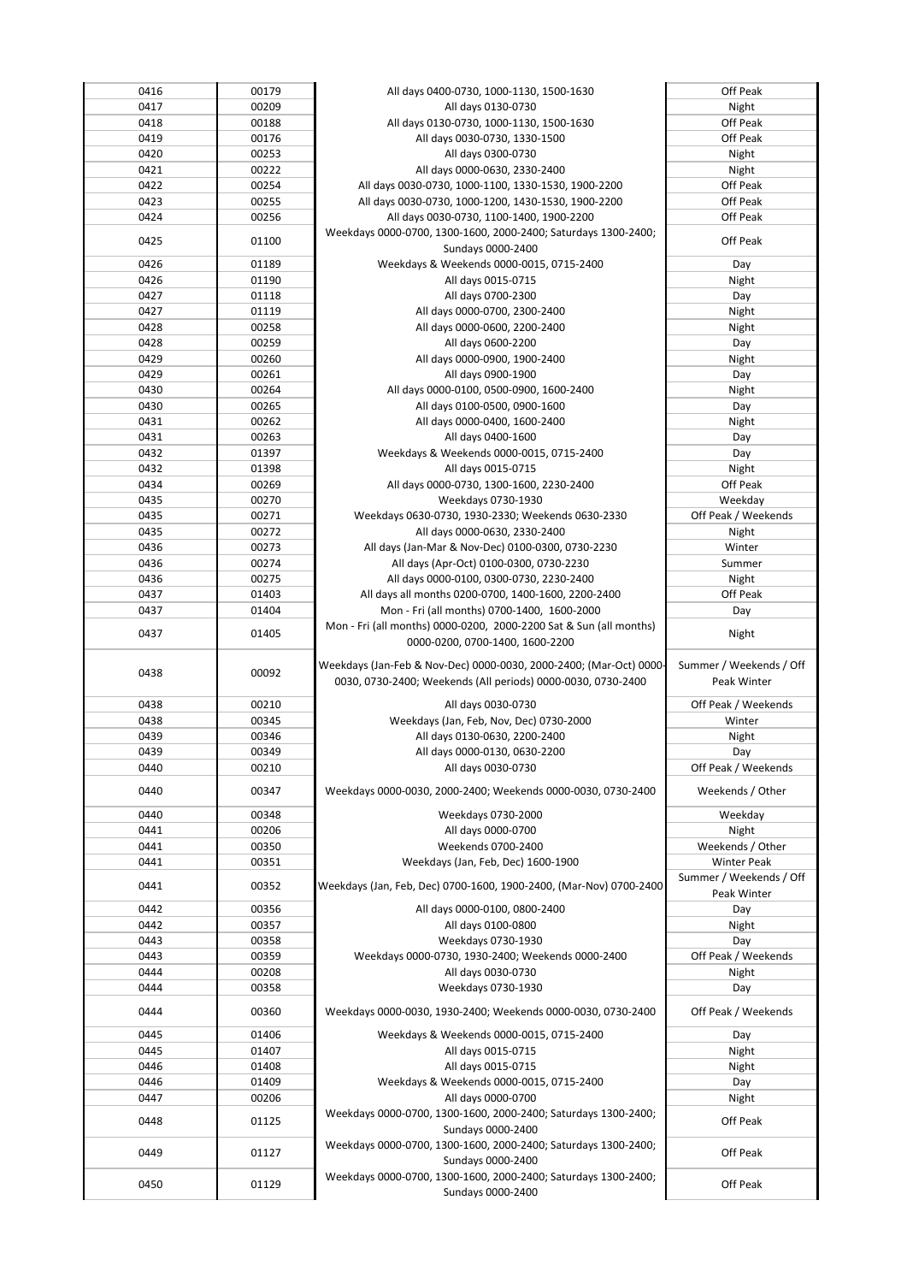| 0416 | 00179 | All days 0400-0730, 1000-1130, 1500-1630                                                                                           | Off Peak                               |
|------|-------|------------------------------------------------------------------------------------------------------------------------------------|----------------------------------------|
| 0417 | 00209 | All days 0130-0730                                                                                                                 | Night                                  |
| 0418 | 00188 | All days 0130-0730, 1000-1130, 1500-1630                                                                                           | Off Peak                               |
| 0419 | 00176 | All days 0030-0730, 1330-1500                                                                                                      | Off Peak                               |
| 0420 | 00253 | All days 0300-0730                                                                                                                 | Night                                  |
| 0421 | 00222 | All days 0000-0630, 2330-2400                                                                                                      | Night                                  |
| 0422 | 00254 | All days 0030-0730, 1000-1100, 1330-1530, 1900-2200                                                                                | Off Peak                               |
| 0423 | 00255 | All days 0030-0730, 1000-1200, 1430-1530, 1900-2200                                                                                | Off Peak                               |
|      |       |                                                                                                                                    |                                        |
| 0424 | 00256 | All days 0030-0730, 1100-1400, 1900-2200                                                                                           | Off Peak                               |
| 0425 | 01100 | Weekdays 0000-0700, 1300-1600, 2000-2400; Saturdays 1300-2400;                                                                     | Off Peak                               |
| 0426 | 01189 | Sundays 0000-2400<br>Weekdays & Weekends 0000-0015, 0715-2400                                                                      | Day                                    |
| 0426 | 01190 | All days 0015-0715                                                                                                                 | Night                                  |
| 0427 | 01118 | All days 0700-2300                                                                                                                 |                                        |
|      |       |                                                                                                                                    | Day                                    |
| 0427 | 01119 | All days 0000-0700, 2300-2400                                                                                                      | Night                                  |
| 0428 | 00258 | All days 0000-0600, 2200-2400                                                                                                      | Night                                  |
| 0428 | 00259 | All days 0600-2200                                                                                                                 | Day                                    |
| 0429 | 00260 | All days 0000-0900, 1900-2400                                                                                                      | Night                                  |
| 0429 | 00261 | All days 0900-1900                                                                                                                 | Day                                    |
| 0430 | 00264 | All days 0000-0100, 0500-0900, 1600-2400                                                                                           | Night                                  |
| 0430 | 00265 | All days 0100-0500, 0900-1600                                                                                                      | Day                                    |
| 0431 | 00262 | All days 0000-0400, 1600-2400                                                                                                      | Night                                  |
| 0431 | 00263 | All days 0400-1600                                                                                                                 | Day                                    |
| 0432 | 01397 | Weekdays & Weekends 0000-0015, 0715-2400                                                                                           | Day                                    |
| 0432 | 01398 | All days 0015-0715                                                                                                                 | Night                                  |
| 0434 | 00269 | All days 0000-0730, 1300-1600, 2230-2400                                                                                           | Off Peak                               |
| 0435 | 00270 | Weekdays 0730-1930                                                                                                                 | Weekday                                |
| 0435 | 00271 | Weekdays 0630-0730, 1930-2330; Weekends 0630-2330                                                                                  | Off Peak / Weekends                    |
| 0435 | 00272 | All days 0000-0630, 2330-2400                                                                                                      | Night                                  |
| 0436 | 00273 | All days (Jan-Mar & Nov-Dec) 0100-0300, 0730-2230                                                                                  | Winter                                 |
| 0436 | 00274 | All days (Apr-Oct) 0100-0300, 0730-2230                                                                                            | Summer                                 |
| 0436 | 00275 | All days 0000-0100, 0300-0730, 2230-2400                                                                                           | Night                                  |
| 0437 | 01403 | All days all months 0200-0700, 1400-1600, 2200-2400                                                                                | Off Peak                               |
| 0437 | 01404 | Mon - Fri (all months) 0700-1400, 1600-2000                                                                                        | Day                                    |
|      |       | Mon - Fri (all months) 0000-0200, 2000-2200 Sat & Sun (all months)                                                                 |                                        |
| 0437 | 01405 | 0000-0200, 0700-1400, 1600-2200                                                                                                    | Night                                  |
| 0438 | 00092 | Weekdays (Jan-Feb & Nov-Dec) 0000-0030, 2000-2400; (Mar-Oct) 0000-<br>0030, 0730-2400; Weekends (All periods) 0000-0030, 0730-2400 | Summer / Weekends / Off<br>Peak Winter |
| 0438 | 00210 | All days 0030-0730                                                                                                                 | Off Peak / Weekends                    |
| 0438 | 00345 | Weekdays (Jan, Feb, Nov, Dec) 0730-2000                                                                                            | Winter                                 |
| 0439 | 00346 | All days 0130-0630, 2200-2400                                                                                                      | Night                                  |
| 0439 | 00349 | All days 0000-0130, 0630-2200                                                                                                      | Day                                    |
| 0440 | 00210 | All days 0030-0730                                                                                                                 | Off Peak / Weekends                    |
|      |       |                                                                                                                                    |                                        |
| 0440 | 00347 | Weekdays 0000-0030, 2000-2400; Weekends 0000-0030, 0730-2400                                                                       | Weekends / Other                       |
| 0440 | 00348 | Weekdays 0730-2000                                                                                                                 | Weekday                                |
| 0441 | 00206 | All days 0000-0700                                                                                                                 | Night                                  |
| 0441 | 00350 | Weekends 0700-2400                                                                                                                 | Weekends / Other                       |
| 0441 | 00351 | Weekdays (Jan, Feb, Dec) 1600-1900                                                                                                 | <b>Winter Peak</b>                     |
| 0441 | 00352 | Weekdays (Jan, Feb, Dec) 0700-1600, 1900-2400, (Mar-Nov) 0700-2400                                                                 | Summer / Weekends / Off<br>Peak Winter |
| 0442 | 00356 | All days 0000-0100, 0800-2400                                                                                                      | Day                                    |
| 0442 | 00357 | All days 0100-0800                                                                                                                 | Night                                  |
| 0443 | 00358 | Weekdays 0730-1930                                                                                                                 | Day                                    |
| 0443 | 00359 | Weekdays 0000-0730, 1930-2400; Weekends 0000-2400                                                                                  | Off Peak / Weekends                    |
| 0444 | 00208 | All days 0030-0730                                                                                                                 | Night                                  |
| 0444 | 00358 | Weekdays 0730-1930                                                                                                                 | Day                                    |
| 0444 | 00360 | Weekdays 0000-0030, 1930-2400; Weekends 0000-0030, 0730-2400                                                                       | Off Peak / Weekends                    |
| 0445 | 01406 | Weekdays & Weekends 0000-0015, 0715-2400                                                                                           | Day                                    |
| 0445 | 01407 | All days 0015-0715                                                                                                                 | Night                                  |
| 0446 | 01408 | All days 0015-0715                                                                                                                 | Night                                  |
| 0446 | 01409 | Weekdays & Weekends 0000-0015, 0715-2400                                                                                           | Day                                    |
| 0447 | 00206 | All days 0000-0700                                                                                                                 | Night                                  |
| 0448 | 01125 | Weekdays 0000-0700, 1300-1600, 2000-2400; Saturdays 1300-2400;<br>Sundays 0000-2400                                                | Off Peak                               |
| 0449 | 01127 | Weekdays 0000-0700, 1300-1600, 2000-2400; Saturdays 1300-2400;<br>Sundays 0000-2400                                                | Off Peak                               |
| 0450 |       | Weekdays 0000-0700, 1300-1600, 2000-2400; Saturdays 1300-2400;                                                                     | Off Peak                               |
|      | 01129 | Sundays 0000-2400                                                                                                                  |                                        |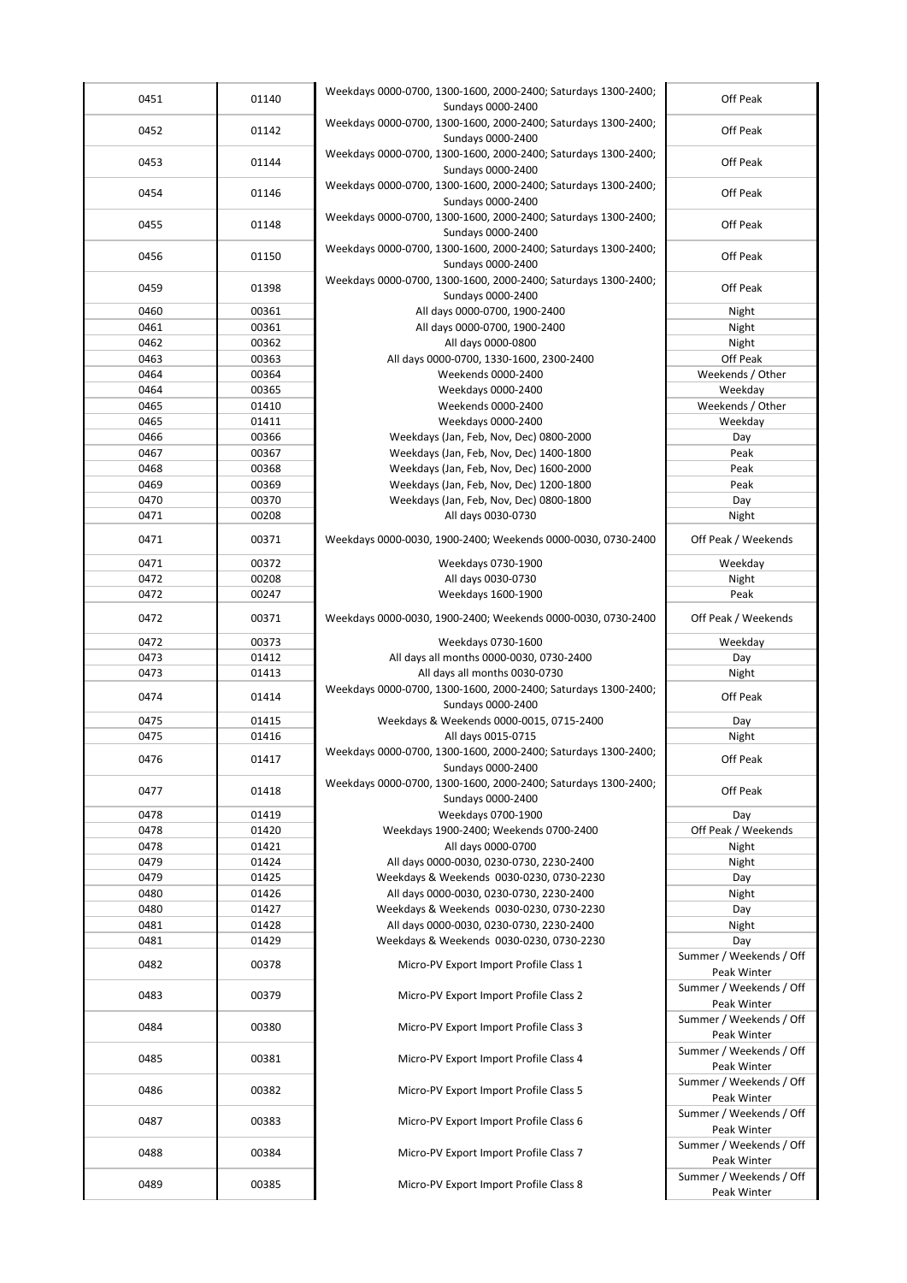| 0451         | 01140          | Weekdays 0000-0700, 1300-1600, 2000-2400; Saturdays 1300-2400;                      | Off Peak                               |
|--------------|----------------|-------------------------------------------------------------------------------------|----------------------------------------|
|              |                | Sundays 0000-2400<br>Weekdays 0000-0700, 1300-1600, 2000-2400; Saturdays 1300-2400; |                                        |
| 0452         | 01142          | Sundays 0000-2400                                                                   | Off Peak                               |
| 0453         | 01144          | Weekdays 0000-0700, 1300-1600, 2000-2400; Saturdays 1300-2400;                      | Off Peak                               |
|              |                | Sundays 0000-2400                                                                   |                                        |
| 0454         | 01146          | Weekdays 0000-0700, 1300-1600, 2000-2400; Saturdays 1300-2400;<br>Sundays 0000-2400 | Off Peak                               |
|              |                | Weekdays 0000-0700, 1300-1600, 2000-2400; Saturdays 1300-2400;                      |                                        |
| 0455         | 01148          | Sundays 0000-2400                                                                   | Off Peak                               |
| 0456         | 01150          | Weekdays 0000-0700, 1300-1600, 2000-2400; Saturdays 1300-2400;                      | Off Peak                               |
|              |                | Sundays 0000-2400                                                                   |                                        |
| 0459         | 01398          | Weekdays 0000-0700, 1300-1600, 2000-2400; Saturdays 1300-2400;<br>Sundays 0000-2400 | Off Peak                               |
| 0460         | 00361          | All days 0000-0700, 1900-2400                                                       | Night                                  |
| 0461         | 00361          | All days 0000-0700, 1900-2400                                                       | Night                                  |
| 0462         | 00362          | All days 0000-0800                                                                  | Night                                  |
| 0463         | 00363          | All days 0000-0700, 1330-1600, 2300-2400                                            | Off Peak                               |
| 0464         | 00364          | Weekends 0000-2400                                                                  | Weekends / Other                       |
| 0464         | 00365          | Weekdays 0000-2400                                                                  | Weekday                                |
| 0465         | 01410          | Weekends 0000-2400                                                                  | Weekends / Other                       |
| 0465         | 01411          | Weekdays 0000-2400                                                                  | Weekday                                |
| 0466         | 00366          | Weekdays (Jan, Feb, Nov, Dec) 0800-2000                                             | Day                                    |
| 0467         | 00367          | Weekdays (Jan, Feb, Nov, Dec) 1400-1800                                             | Peak                                   |
| 0468         | 00368          | Weekdays (Jan, Feb, Nov, Dec) 1600-2000                                             | Peak                                   |
| 0469         | 00369          | Weekdays (Jan, Feb, Nov, Dec) 1200-1800                                             | Peak                                   |
| 0470         | 00370          | Weekdays (Jan, Feb, Nov, Dec) 0800-1800                                             | Day                                    |
| 0471         | 00208          | All days 0030-0730                                                                  | Night                                  |
|              |                |                                                                                     |                                        |
| 0471         | 00371          | Weekdays 0000-0030, 1900-2400; Weekends 0000-0030, 0730-2400                        | Off Peak / Weekends                    |
| 0471         | 00372          | Weekdays 0730-1900                                                                  | Weekday                                |
| 0472         | 00208          | All days 0030-0730                                                                  | Night                                  |
| 0472         | 00247          | Weekdays 1600-1900                                                                  | Peak                                   |
| 0472         | 00371          | Weekdays 0000-0030, 1900-2400; Weekends 0000-0030, 0730-2400                        | Off Peak / Weekends                    |
| 0472         | 00373          | Weekdays 0730-1600                                                                  | Weekday                                |
| 0473         | 01412          | All days all months 0000-0030, 0730-2400                                            | Day                                    |
| 0473         | 01413          | All days all months 0030-0730                                                       | Night                                  |
| 0474         | 01414          | Weekdays 0000-0700, 1300-1600, 2000-2400; Saturdays 1300-2400;<br>Sundays 0000-2400 | Off Peak                               |
| 0475         | 01415          | Weekdays & Weekends 0000-0015, 0715-2400                                            | Day                                    |
| 0475         | 01416          | All days 0015-0715                                                                  | Night                                  |
| 0476         | 01417          | Weekdays 0000-0700, 1300-1600, 2000-2400; Saturdays 1300-2400;                      | Off Peak                               |
|              |                | Sundays 0000-2400                                                                   |                                        |
| 0477         | 01418          | Weekdays 0000-0700, 1300-1600, 2000-2400; Saturdays 1300-2400;<br>Sundays 0000-2400 | Off Peak                               |
|              |                |                                                                                     |                                        |
| 0478<br>0478 | 01419<br>01420 | Weekdays 0700-1900<br>Weekdays 1900-2400; Weekends 0700-2400                        | Day<br>Off Peak / Weekends             |
|              |                |                                                                                     |                                        |
| 0478         | 01421          | All days 0000-0700                                                                  | Night                                  |
| 0479         | 01424          | All days 0000-0030, 0230-0730, 2230-2400                                            | Night                                  |
| 0479         | 01425          | Weekdays & Weekends 0030-0230, 0730-2230                                            | Day                                    |
| 0480         | 01426          | All days 0000-0030, 0230-0730, 2230-2400                                            | Night                                  |
| 0480         | 01427          | Weekdays & Weekends 0030-0230, 0730-2230                                            | Day                                    |
| 0481         | 01428          | All days 0000-0030, 0230-0730, 2230-2400                                            | Night                                  |
| 0481         | 01429          | Weekdays & Weekends 0030-0230, 0730-2230                                            | Day                                    |
| 0482         | 00378          | Micro-PV Export Import Profile Class 1                                              | Summer / Weekends / Off<br>Peak Winter |
| 0483         | 00379          | Micro-PV Export Import Profile Class 2                                              | Summer / Weekends / Off<br>Peak Winter |
| 0484         | 00380          | Micro-PV Export Import Profile Class 3                                              | Summer / Weekends / Off<br>Peak Winter |
| 0485         | 00381          | Micro-PV Export Import Profile Class 4                                              | Summer / Weekends / Off<br>Peak Winter |
| 0486         | 00382          | Micro-PV Export Import Profile Class 5                                              | Summer / Weekends / Off<br>Peak Winter |
| 0487         | 00383          | Micro-PV Export Import Profile Class 6                                              | Summer / Weekends / Off<br>Peak Winter |
| 0488         | 00384          | Micro-PV Export Import Profile Class 7                                              | Summer / Weekends / Off<br>Peak Winter |
| 0489         | 00385          | Micro-PV Export Import Profile Class 8                                              | Summer / Weekends / Off<br>Peak Winter |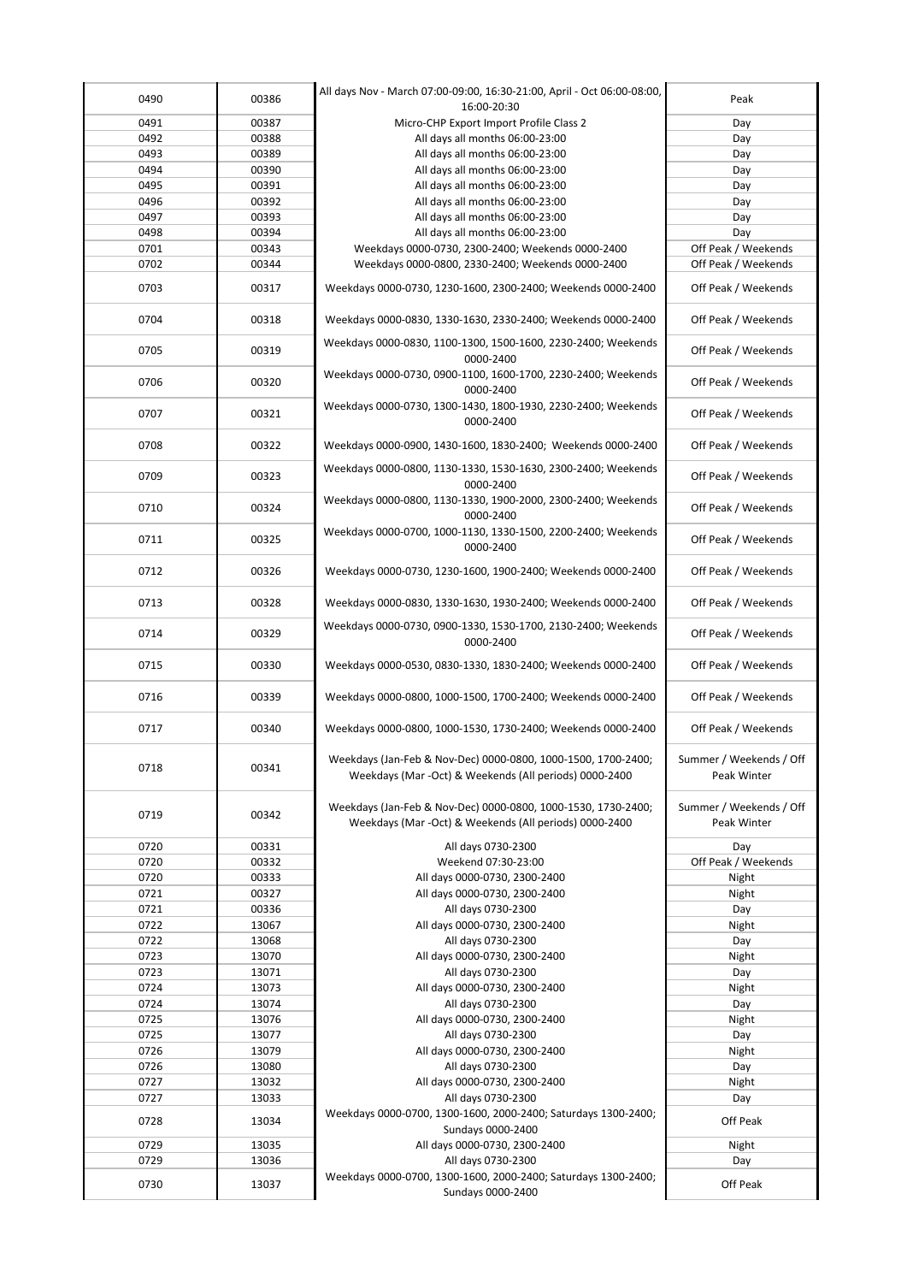| 0490 | 00386 | All days Nov - March 07:00-09:00, 16:30-21:00, April - Oct 06:00-08:00,<br>16:00-20:30                                  | Peak                                   |
|------|-------|-------------------------------------------------------------------------------------------------------------------------|----------------------------------------|
| 0491 | 00387 | Micro-CHP Export Import Profile Class 2                                                                                 | Day                                    |
| 0492 | 00388 | All days all months 06:00-23:00                                                                                         | Day                                    |
| 0493 | 00389 | All days all months 06:00-23:00                                                                                         | Day                                    |
| 0494 | 00390 | All days all months 06:00-23:00                                                                                         | Day                                    |
| 0495 | 00391 | All days all months 06:00-23:00                                                                                         | Day                                    |
| 0496 | 00392 | All days all months 06:00-23:00                                                                                         | Day                                    |
| 0497 | 00393 | All days all months 06:00-23:00                                                                                         | Day                                    |
| 0498 | 00394 | All days all months 06:00-23:00                                                                                         |                                        |
| 0701 | 00343 | Weekdays 0000-0730, 2300-2400; Weekends 0000-2400                                                                       | Day<br>Off Peak / Weekends             |
| 0702 | 00344 | Weekdays 0000-0800, 2330-2400; Weekends 0000-2400                                                                       | Off Peak / Weekends                    |
|      |       |                                                                                                                         |                                        |
| 0703 | 00317 | Weekdays 0000-0730, 1230-1600, 2300-2400; Weekends 0000-2400                                                            | Off Peak / Weekends                    |
| 0704 | 00318 | Weekdays 0000-0830, 1330-1630, 2330-2400; Weekends 0000-2400                                                            | Off Peak / Weekends                    |
| 0705 | 00319 | Weekdays 0000-0830, 1100-1300, 1500-1600, 2230-2400; Weekends<br>0000-2400                                              | Off Peak / Weekends                    |
| 0706 | 00320 | Weekdays 0000-0730, 0900-1100, 1600-1700, 2230-2400; Weekends<br>0000-2400                                              | Off Peak / Weekends                    |
| 0707 | 00321 | Weekdays 0000-0730, 1300-1430, 1800-1930, 2230-2400; Weekends<br>0000-2400                                              | Off Peak / Weekends                    |
| 0708 | 00322 | Weekdays 0000-0900, 1430-1600, 1830-2400; Weekends 0000-2400                                                            | Off Peak / Weekends                    |
| 0709 | 00323 | Weekdays 0000-0800, 1130-1330, 1530-1630, 2300-2400; Weekends<br>0000-2400                                              | Off Peak / Weekends                    |
| 0710 | 00324 | Weekdays 0000-0800, 1130-1330, 1900-2000, 2300-2400; Weekends<br>0000-2400                                              | Off Peak / Weekends                    |
| 0711 | 00325 | Weekdays 0000-0700, 1000-1130, 1330-1500, 2200-2400; Weekends<br>0000-2400                                              | Off Peak / Weekends                    |
| 0712 | 00326 | Weekdays 0000-0730, 1230-1600, 1900-2400; Weekends 0000-2400                                                            | Off Peak / Weekends                    |
| 0713 | 00328 | Weekdays 0000-0830, 1330-1630, 1930-2400; Weekends 0000-2400                                                            | Off Peak / Weekends                    |
| 0714 | 00329 | Weekdays 0000-0730, 0900-1330, 1530-1700, 2130-2400; Weekends<br>0000-2400                                              | Off Peak / Weekends                    |
| 0715 | 00330 | Weekdays 0000-0530, 0830-1330, 1830-2400; Weekends 0000-2400                                                            | Off Peak / Weekends                    |
| 0716 | 00339 | Weekdays 0000-0800, 1000-1500, 1700-2400; Weekends 0000-2400                                                            | Off Peak / Weekends                    |
| 0717 | 00340 | Weekdays 0000-0800, 1000-1530, 1730-2400; Weekends 0000-2400                                                            | Off Peak / Weekends                    |
| 0718 | 00341 | Weekdays (Jan-Feb & Nov-Dec) 0000-0800, 1000-1500, 1700-2400;<br>Weekdays (Mar -Oct) & Weekends (All periods) 0000-2400 | Summer / Weekends / Off<br>Peak Winter |
| 0719 | 00342 | Weekdays (Jan-Feb & Nov-Dec) 0000-0800, 1000-1530, 1730-2400;<br>Weekdays (Mar -Oct) & Weekends (All periods) 0000-2400 | Summer / Weekends / Off<br>Peak Winter |
| 0720 | 00331 | All days 0730-2300                                                                                                      | Day                                    |
| 0720 | 00332 | Weekend 07:30-23:00                                                                                                     | Off Peak / Weekends                    |
| 0720 | 00333 | All days 0000-0730, 2300-2400                                                                                           | Night                                  |
| 0721 | 00327 | All days 0000-0730, 2300-2400                                                                                           | Night                                  |
| 0721 | 00336 | All days 0730-2300                                                                                                      | Day                                    |
| 0722 | 13067 | All days 0000-0730, 2300-2400                                                                                           | Night                                  |
| 0722 | 13068 | All days 0730-2300                                                                                                      | Day                                    |
| 0723 | 13070 | All days 0000-0730, 2300-2400                                                                                           | Night                                  |
| 0723 | 13071 | All days 0730-2300                                                                                                      | Day                                    |
| 0724 | 13073 | All days 0000-0730, 2300-2400                                                                                           | Night                                  |
| 0724 | 13074 | All days 0730-2300                                                                                                      | Day                                    |
| 0725 | 13076 | All days 0000-0730, 2300-2400                                                                                           | Night                                  |
| 0725 | 13077 | All days 0730-2300                                                                                                      | Day                                    |
| 0726 | 13079 | All days 0000-0730, 2300-2400                                                                                           | Night                                  |
| 0726 | 13080 | All days 0730-2300                                                                                                      | Day                                    |
| 0727 | 13032 | All days 0000-0730, 2300-2400                                                                                           | Night                                  |
| 0727 | 13033 | All days 0730-2300                                                                                                      | Day                                    |
| 0728 | 13034 | Weekdays 0000-0700, 1300-1600, 2000-2400; Saturdays 1300-2400;<br>Sundays 0000-2400                                     | Off Peak                               |
| 0729 | 13035 | All days 0000-0730, 2300-2400                                                                                           | Night                                  |
| 0729 | 13036 | All days 0730-2300                                                                                                      | Day                                    |
| 0730 | 13037 | Weekdays 0000-0700, 1300-1600, 2000-2400; Saturdays 1300-2400;<br>Sundays 0000-2400                                     | Off Peak                               |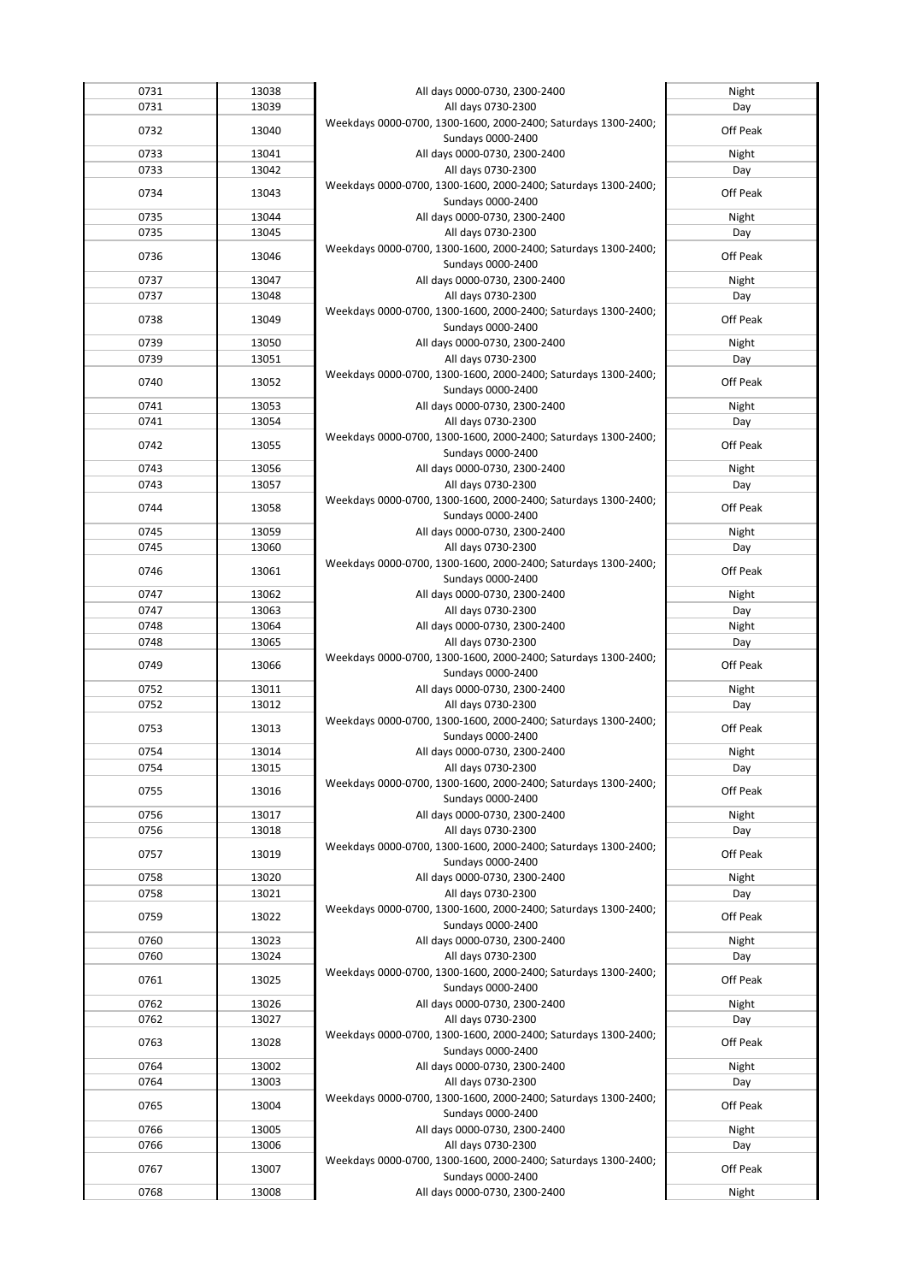| 0731 | 13038 | All days 0000-0730, 2300-2400                                  | Night    |
|------|-------|----------------------------------------------------------------|----------|
| 0731 | 13039 | All days 0730-2300                                             | Day      |
|      |       | Weekdays 0000-0700, 1300-1600, 2000-2400; Saturdays 1300-2400; |          |
| 0732 | 13040 |                                                                | Off Peak |
|      |       | Sundays 0000-2400                                              |          |
| 0733 | 13041 | All days 0000-0730, 2300-2400                                  | Night    |
| 0733 | 13042 | All days 0730-2300                                             | Day      |
| 0734 |       | Weekdays 0000-0700, 1300-1600, 2000-2400; Saturdays 1300-2400; | Off Peak |
|      | 13043 | Sundays 0000-2400                                              |          |
| 0735 | 13044 | All days 0000-0730, 2300-2400                                  | Night    |
| 0735 | 13045 | All days 0730-2300                                             | Day      |
|      |       | Weekdays 0000-0700, 1300-1600, 2000-2400; Saturdays 1300-2400; |          |
| 0736 | 13046 |                                                                | Off Peak |
|      |       | Sundays 0000-2400                                              |          |
| 0737 | 13047 | All days 0000-0730, 2300-2400                                  | Night    |
| 0737 | 13048 | All days 0730-2300                                             | Day      |
| 0738 | 13049 | Weekdays 0000-0700, 1300-1600, 2000-2400; Saturdays 1300-2400; | Off Peak |
|      |       | Sundays 0000-2400                                              |          |
| 0739 | 13050 | All days 0000-0730, 2300-2400                                  | Night    |
| 0739 | 13051 | All days 0730-2300                                             | Day      |
|      |       | Weekdays 0000-0700, 1300-1600, 2000-2400; Saturdays 1300-2400; |          |
| 0740 | 13052 | Sundays 0000-2400                                              | Off Peak |
| 0741 | 13053 | All days 0000-0730, 2300-2400                                  |          |
|      |       |                                                                | Night    |
| 0741 | 13054 | All days 0730-2300                                             | Day      |
| 0742 | 13055 | Weekdays 0000-0700, 1300-1600, 2000-2400; Saturdays 1300-2400; | Off Peak |
|      |       | Sundays 0000-2400                                              |          |
| 0743 | 13056 | All days 0000-0730, 2300-2400                                  | Night    |
| 0743 | 13057 | All days 0730-2300                                             | Day      |
| 0744 | 13058 | Weekdays 0000-0700, 1300-1600, 2000-2400; Saturdays 1300-2400; | Off Peak |
|      |       | Sundays 0000-2400                                              |          |
| 0745 | 13059 | All days 0000-0730, 2300-2400                                  | Night    |
| 0745 | 13060 | All days 0730-2300                                             | Day      |
|      |       | Weekdays 0000-0700, 1300-1600, 2000-2400; Saturdays 1300-2400; |          |
| 0746 | 13061 | Sundays 0000-2400                                              | Off Peak |
| 0747 | 13062 | All days 0000-0730, 2300-2400                                  | Night    |
| 0747 | 13063 | All days 0730-2300                                             | Day      |
| 0748 |       |                                                                |          |
|      | 13064 | All days 0000-0730, 2300-2400                                  | Night    |
| 0748 | 13065 | All days 0730-2300                                             | Day      |
| 0749 | 13066 | Weekdays 0000-0700, 1300-1600, 2000-2400; Saturdays 1300-2400; | Off Peak |
|      |       | Sundays 0000-2400                                              |          |
| 0752 | 13011 | All days 0000-0730, 2300-2400                                  | Night    |
| 0752 | 13012 | All days 0730-2300                                             | Day      |
| 0753 | 13013 | Weekdays 0000-0700, 1300-1600, 2000-2400; Saturdays 1300-2400; | Off Peak |
|      |       | Sundays 0000-2400                                              |          |
| 0754 | 13014 | All days 0000-0730, 2300-2400                                  | Night    |
| 0754 | 13015 | All days 0730-2300                                             | Day      |
|      |       | Weekdays 0000-0700, 1300-1600, 2000-2400; Saturdays 1300-2400; |          |
| 0755 | 13016 | Sundays 0000-2400                                              | Off Peak |
| 0756 | 13017 | All days 0000-0730, 2300-2400                                  | Night    |
| 0756 | 13018 | All days 0730-2300                                             | Day      |
|      |       | Weekdays 0000-0700, 1300-1600, 2000-2400; Saturdays 1300-2400; |          |
| 0757 | 13019 |                                                                | Off Peak |
|      |       | Sundays 0000-2400                                              |          |
| 0758 | 13020 | All days 0000-0730, 2300-2400                                  | Night    |
| 0758 | 13021 | All days 0730-2300                                             | Day      |
| 0759 | 13022 | Weekdays 0000-0700, 1300-1600, 2000-2400; Saturdays 1300-2400; | Off Peak |
|      |       | Sundays 0000-2400                                              |          |
| 0760 | 13023 | All days 0000-0730, 2300-2400                                  | Night    |
| 0760 | 13024 | All days 0730-2300                                             | Day      |
| 0761 | 13025 | Weekdays 0000-0700, 1300-1600, 2000-2400; Saturdays 1300-2400; | Off Peak |
|      |       | Sundays 0000-2400                                              |          |
| 0762 | 13026 | All days 0000-0730, 2300-2400                                  | Night    |
| 0762 | 13027 | All days 0730-2300                                             | Day      |
|      |       | Weekdays 0000-0700, 1300-1600, 2000-2400; Saturdays 1300-2400; |          |
| 0763 | 13028 | Sundays 0000-2400                                              | Off Peak |
| 0764 | 13002 | All days 0000-0730, 2300-2400                                  | Night    |
| 0764 | 13003 | All days 0730-2300                                             | Day      |
|      |       | Weekdays 0000-0700, 1300-1600, 2000-2400; Saturdays 1300-2400; |          |
| 0765 | 13004 | Sundays 0000-2400                                              | Off Peak |
| 0766 | 13005 | All days 0000-0730, 2300-2400                                  | Night    |
|      |       |                                                                |          |
| 0766 | 13006 | All days 0730-2300                                             | Day      |
| 0767 | 13007 | Weekdays 0000-0700, 1300-1600, 2000-2400; Saturdays 1300-2400; | Off Peak |
| 0768 |       | Sundays 0000-2400                                              |          |
|      | 13008 | All days 0000-0730, 2300-2400                                  | Night    |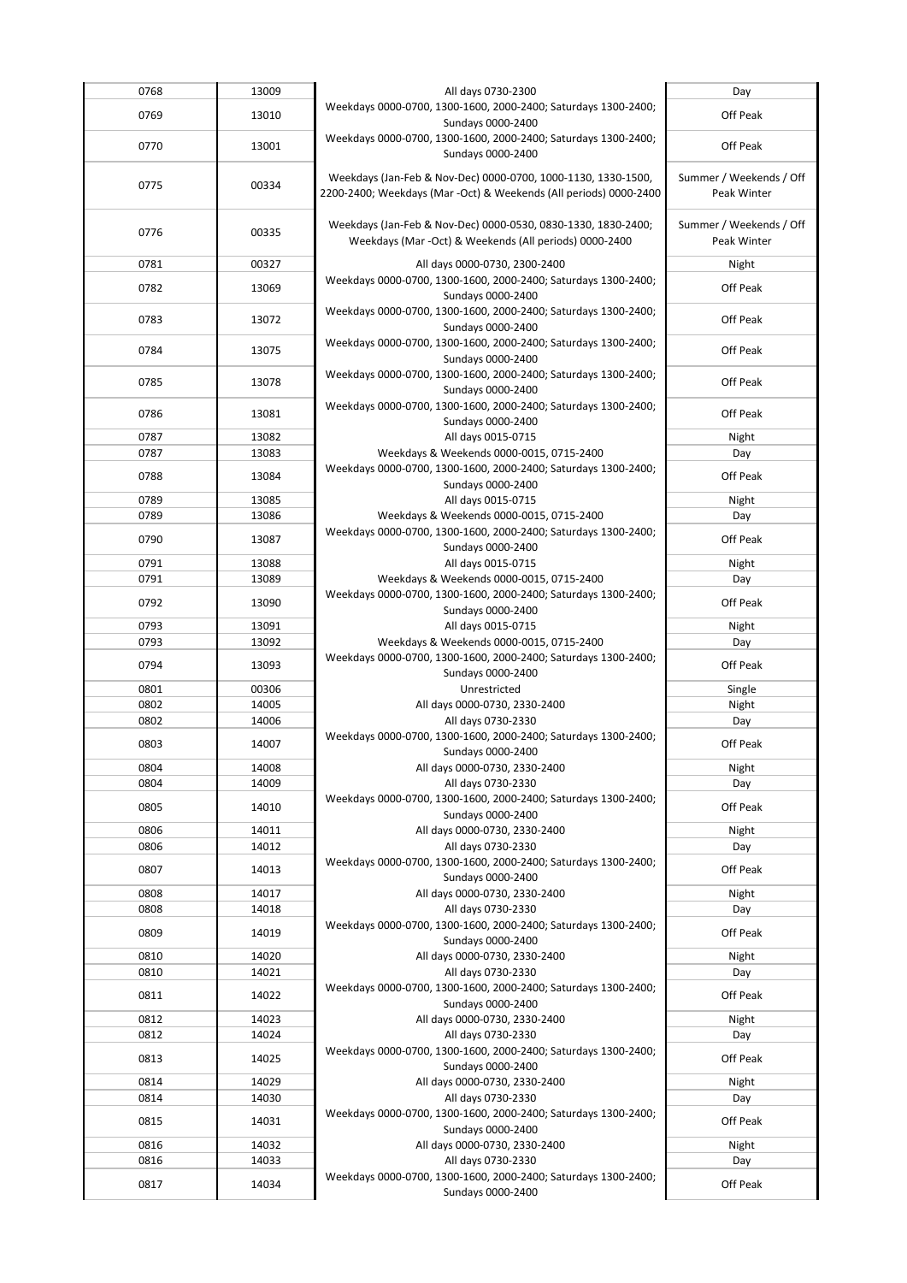| 0768         | 13009          | All days 0730-2300                                                                   | Day                     |
|--------------|----------------|--------------------------------------------------------------------------------------|-------------------------|
| 0769         | 13010          | Weekdays 0000-0700, 1300-1600, 2000-2400; Saturdays 1300-2400;                       | Off Peak                |
|              |                | Sundays 0000-2400                                                                    |                         |
| 0770         | 13001          | Weekdays 0000-0700, 1300-1600, 2000-2400; Saturdays 1300-2400;                       | Off Peak                |
|              |                | Sundays 0000-2400                                                                    |                         |
| 0775         |                | Weekdays (Jan-Feb & Nov-Dec) 0000-0700, 1000-1130, 1330-1500,                        | Summer / Weekends / Off |
|              | 00334          | 2200-2400; Weekdays (Mar -Oct) & Weekends (All periods) 0000-2400                    | Peak Winter             |
|              |                |                                                                                      |                         |
| 0776         | 00335          | Weekdays (Jan-Feb & Nov-Dec) 0000-0530, 0830-1330, 1830-2400;                        | Summer / Weekends / Off |
|              |                | Weekdays (Mar -Oct) & Weekends (All periods) 0000-2400                               | Peak Winter             |
| 0781         | 00327          | All days 0000-0730, 2300-2400                                                        | Night                   |
| 0782         | 13069          | Weekdays 0000-0700, 1300-1600, 2000-2400; Saturdays 1300-2400;                       | Off Peak                |
|              |                | Sundays 0000-2400                                                                    |                         |
| 0783         | 13072          | Weekdays 0000-0700, 1300-1600, 2000-2400; Saturdays 1300-2400;                       | Off Peak                |
|              |                | Sundays 0000-2400                                                                    |                         |
| 0784         | 13075          | Weekdays 0000-0700, 1300-1600, 2000-2400; Saturdays 1300-2400;                       | Off Peak                |
|              |                | Sundays 0000-2400<br>Weekdays 0000-0700, 1300-1600, 2000-2400; Saturdays 1300-2400;  |                         |
| 0785         | 13078          | Sundays 0000-2400                                                                    | Off Peak                |
|              |                | Weekdays 0000-0700, 1300-1600, 2000-2400; Saturdays 1300-2400;                       |                         |
| 0786         | 13081          | Sundays 0000-2400                                                                    | Off Peak                |
| 0787         | 13082          | All days 0015-0715                                                                   | Night                   |
| 0787         | 13083          | Weekdays & Weekends 0000-0015, 0715-2400                                             | Day                     |
| 0788         | 13084          | Weekdays 0000-0700, 1300-1600, 2000-2400; Saturdays 1300-2400;                       | Off Peak                |
|              |                | Sundays 0000-2400                                                                    |                         |
| 0789         | 13085          | All days 0015-0715                                                                   | Night                   |
| 0789         | 13086          | Weekdays & Weekends 0000-0015, 0715-2400                                             | Day                     |
| 0790         | 13087          | Weekdays 0000-0700, 1300-1600, 2000-2400; Saturdays 1300-2400;                       | Off Peak                |
| 0791         | 13088          | Sundays 0000-2400<br>All days 0015-0715                                              | Night                   |
| 0791         | 13089          | Weekdays & Weekends 0000-0015, 0715-2400                                             | Day                     |
|              |                | Weekdays 0000-0700, 1300-1600, 2000-2400; Saturdays 1300-2400;                       |                         |
| 0792         | 13090          | Sundays 0000-2400                                                                    | Off Peak                |
| 0793         | 13091          | All days 0015-0715                                                                   | Night                   |
| 0793         | 13092          | Weekdays & Weekends 0000-0015, 0715-2400                                             | Day                     |
| 0794         | 13093          | Weekdays 0000-0700, 1300-1600, 2000-2400; Saturdays 1300-2400;                       | Off Peak                |
|              |                | Sundays 0000-2400                                                                    |                         |
| 0801         | 00306          | Unrestricted                                                                         | Single                  |
| 0802<br>0802 | 14005<br>14006 | All days 0000-0730, 2330-2400<br>All days 0730-2330                                  | Night                   |
|              |                | Weekdays 0000-0700, 1300-1600, 2000-2400; Saturdays 1300-2400;                       | Day                     |
| 0803         | 14007          | Sundays 0000-2400                                                                    | Off Peak                |
| 0804         | 14008          | All days 0000-0730, 2330-2400                                                        | Night                   |
| 0804         | 14009          | All days 0730-2330                                                                   | Day                     |
| 0805         | 14010          | Weekdays 0000-0700, 1300-1600, 2000-2400; Saturdays 1300-2400;                       | Off Peak                |
|              |                | Sundays 0000-2400                                                                    |                         |
| 0806         | 14011          | All days 0000-0730, 2330-2400                                                        | Night                   |
| 0806         | 14012          | All days 0730-2330<br>Weekdays 0000-0700, 1300-1600, 2000-2400; Saturdays 1300-2400; | Day                     |
| 0807         | 14013          | Sundays 0000-2400                                                                    | Off Peak                |
| 0808         | 14017          | All days 0000-0730, 2330-2400                                                        | Night                   |
| 0808         | 14018          | All days 0730-2330                                                                   | Day                     |
|              |                | Weekdays 0000-0700, 1300-1600, 2000-2400; Saturdays 1300-2400;                       |                         |
| 0809         | 14019          | Sundays 0000-2400                                                                    | Off Peak                |
| 0810         | 14020          | All days 0000-0730, 2330-2400                                                        | Night                   |
| 0810         | 14021          | All days 0730-2330                                                                   | Day                     |
| 0811         | 14022          | Weekdays 0000-0700, 1300-1600, 2000-2400; Saturdays 1300-2400;                       | Off Peak                |
| 0812         | 14023          | Sundays 0000-2400<br>All days 0000-0730, 2330-2400                                   |                         |
| 0812         | 14024          | All days 0730-2330                                                                   | Night<br>Day            |
|              |                | Weekdays 0000-0700, 1300-1600, 2000-2400; Saturdays 1300-2400;                       |                         |
| 0813         | 14025          | Sundays 0000-2400                                                                    | Off Peak                |
| 0814         | 14029          | All days 0000-0730, 2330-2400                                                        | Night                   |
| 0814         | 14030          | All days 0730-2330                                                                   | Day                     |
| 0815         | 14031          | Weekdays 0000-0700, 1300-1600, 2000-2400; Saturdays 1300-2400;                       | Off Peak                |
|              |                | Sundays 0000-2400                                                                    |                         |
| 0816         | 14032          | All days 0000-0730, 2330-2400<br>All days 0730-2330                                  | Night                   |
| 0816         | 14033          | Weekdays 0000-0700, 1300-1600, 2000-2400; Saturdays 1300-2400;                       | Day                     |
| 0817         | 14034          | Sundays 0000-2400                                                                    | Off Peak                |
|              |                |                                                                                      |                         |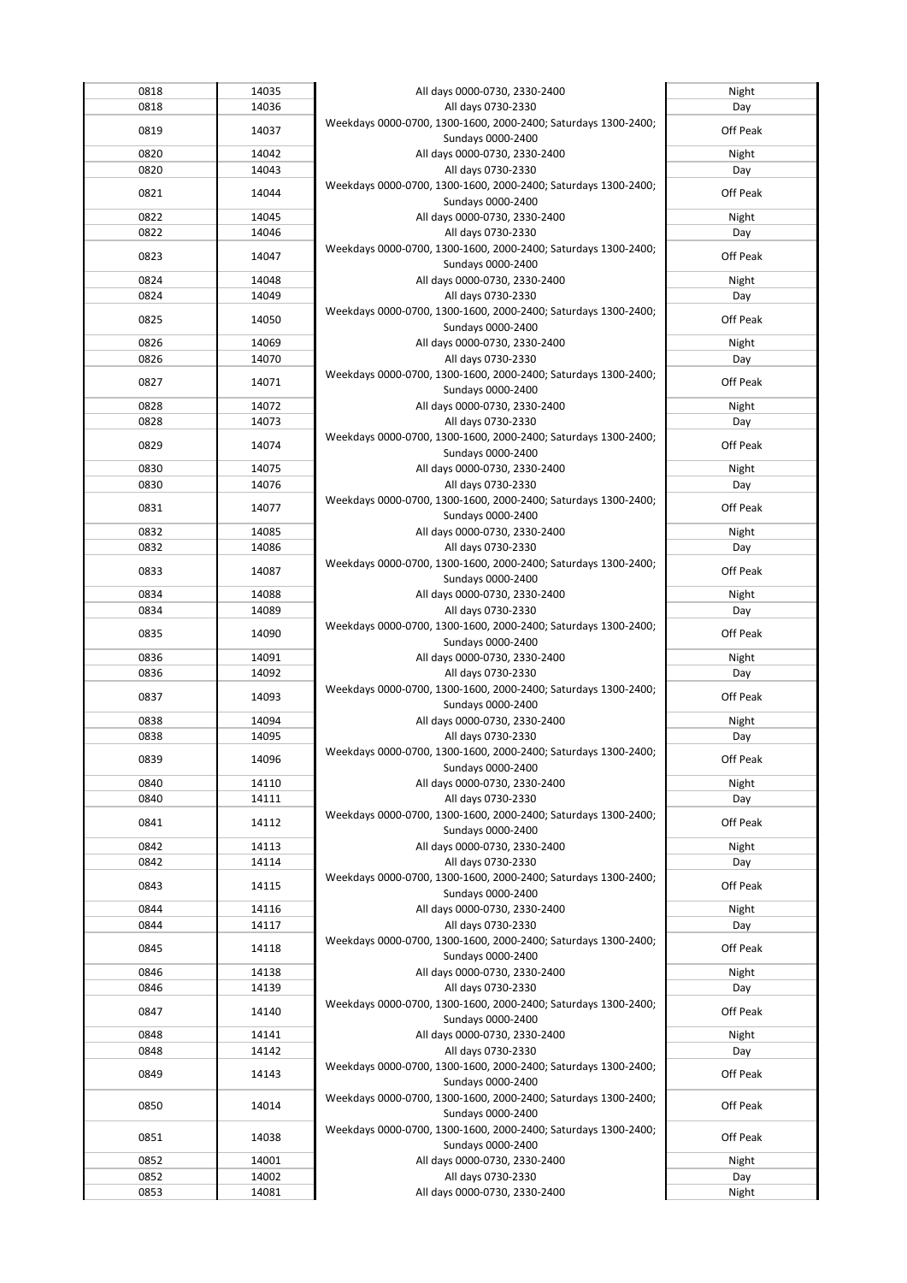|              | 14035          | All days 0000-0730, 2330-2400                                  | Night        |
|--------------|----------------|----------------------------------------------------------------|--------------|
| 0818<br>0818 | 14036          | All days 0730-2330                                             | Day          |
|              |                | Weekdays 0000-0700, 1300-1600, 2000-2400; Saturdays 1300-2400; |              |
| 0819         | 14037          |                                                                | Off Peak     |
|              |                | Sundays 0000-2400                                              |              |
| 0820         | 14042          | All days 0000-0730, 2330-2400                                  | Night        |
| 0820         | 14043          | All days 0730-2330                                             | Day          |
|              |                | Weekdays 0000-0700, 1300-1600, 2000-2400; Saturdays 1300-2400; |              |
| 0821         | 14044          | Sundays 0000-2400                                              | Off Peak     |
| 0822         | 14045          | All days 0000-0730, 2330-2400                                  | Night        |
| 0822         | 14046          | All days 0730-2330                                             | Day          |
|              |                | Weekdays 0000-0700, 1300-1600, 2000-2400; Saturdays 1300-2400; |              |
| 0823         | 14047          |                                                                | Off Peak     |
|              |                | Sundays 0000-2400                                              |              |
| 0824         | 14048          | All days 0000-0730, 2330-2400                                  | Night        |
| 0824         | 14049          | All days 0730-2330                                             | Day          |
| 0825         | 14050          | Weekdays 0000-0700, 1300-1600, 2000-2400; Saturdays 1300-2400; | Off Peak     |
|              |                | Sundays 0000-2400                                              |              |
| 0826         | 14069          | All days 0000-0730, 2330-2400                                  | Night        |
| 0826         | 14070          | All days 0730-2330                                             | Day          |
|              |                | Weekdays 0000-0700, 1300-1600, 2000-2400; Saturdays 1300-2400; |              |
| 0827         | 14071          | Sundays 0000-2400                                              | Off Peak     |
|              |                |                                                                |              |
| 0828         | 14072          | All days 0000-0730, 2330-2400                                  | Night        |
| 0828         | 14073          | All days 0730-2330                                             | Day          |
| 0829         | 14074          | Weekdays 0000-0700, 1300-1600, 2000-2400; Saturdays 1300-2400; | Off Peak     |
|              |                | Sundays 0000-2400                                              |              |
| 0830         | 14075          | All days 0000-0730, 2330-2400                                  | Night        |
| 0830         | 14076          | All days 0730-2330                                             | Day          |
|              |                | Weekdays 0000-0700, 1300-1600, 2000-2400; Saturdays 1300-2400; |              |
| 0831         | 14077          | Sundays 0000-2400                                              | Off Peak     |
| 0832         | 14085          | All days 0000-0730, 2330-2400                                  | Night        |
| 0832         | 14086          | All days 0730-2330                                             | Day          |
|              |                |                                                                |              |
| 0833         | 14087          | Weekdays 0000-0700, 1300-1600, 2000-2400; Saturdays 1300-2400; | Off Peak     |
|              |                | Sundays 0000-2400                                              |              |
| 0834         | 14088          | All days 0000-0730, 2330-2400                                  | Night        |
| 0834         | 14089          | All days 0730-2330                                             | Day          |
| 0835         | 14090          | Weekdays 0000-0700, 1300-1600, 2000-2400; Saturdays 1300-2400; | Off Peak     |
|              |                | Sundays 0000-2400                                              |              |
| 0836         | 14091          | All days 0000-0730, 2330-2400                                  | Night        |
| 0836         | 14092          | All days 0730-2330                                             | Day          |
|              |                | Weekdays 0000-0700, 1300-1600, 2000-2400; Saturdays 1300-2400; |              |
| 0837         | 14093          | Sundays 0000-2400                                              | Off Peak     |
| 0838         | 14094          | All days 0000-0730, 2330-2400                                  | Night        |
| 0838         |                | All days 0730-2330                                             |              |
|              |                |                                                                |              |
|              | 14095          |                                                                | Day          |
| 0839         | 14096          | Weekdays 0000-0700, 1300-1600, 2000-2400; Saturdays 1300-2400; | Off Peak     |
|              |                | Sundays 0000-2400                                              |              |
| 0840         | 14110          | All days 0000-0730, 2330-2400                                  | Night        |
| 0840         | 14111          | All days 0730-2330                                             | Day          |
|              |                | Weekdays 0000-0700, 1300-1600, 2000-2400; Saturdays 1300-2400; |              |
| 0841         | 14112          | Sundays 0000-2400                                              | Off Peak     |
| 0842         | 14113          | All days 0000-0730, 2330-2400                                  | Night        |
| 0842         | 14114          | All days 0730-2330                                             | Day          |
|              |                | Weekdays 0000-0700, 1300-1600, 2000-2400; Saturdays 1300-2400; |              |
| 0843         | 14115          |                                                                | Off Peak     |
|              |                | Sundays 0000-2400                                              |              |
| 0844         | 14116          | All days 0000-0730, 2330-2400                                  | Night        |
| 0844         | 14117          | All days 0730-2330                                             | Day          |
| 0845         | 14118          | Weekdays 0000-0700, 1300-1600, 2000-2400; Saturdays 1300-2400; | Off Peak     |
|              |                | Sundays 0000-2400                                              |              |
| 0846         | 14138          | All days 0000-0730, 2330-2400                                  | Night        |
| 0846         | 14139          | All days 0730-2330                                             | Day          |
|              |                | Weekdays 0000-0700, 1300-1600, 2000-2400; Saturdays 1300-2400; |              |
| 0847         | 14140          | Sundays 0000-2400                                              | Off Peak     |
| 0848         | 14141          | All days 0000-0730, 2330-2400                                  | Night        |
| 0848         | 14142          | All days 0730-2330                                             | Day          |
|              |                | Weekdays 0000-0700, 1300-1600, 2000-2400; Saturdays 1300-2400; |              |
| 0849         | 14143          | Sundays 0000-2400                                              | Off Peak     |
|              |                |                                                                |              |
| 0850         | 14014          | Weekdays 0000-0700, 1300-1600, 2000-2400; Saturdays 1300-2400; | Off Peak     |
|              |                | Sundays 0000-2400                                              |              |
| 0851         | 14038          | Weekdays 0000-0700, 1300-1600, 2000-2400; Saturdays 1300-2400; | Off Peak     |
|              |                | Sundays 0000-2400                                              |              |
| 0852         | 14001          | All days 0000-0730, 2330-2400                                  | Night        |
| 0852<br>0853 | 14002<br>14081 | All days 0730-2330<br>All days 0000-0730, 2330-2400            | Day<br>Night |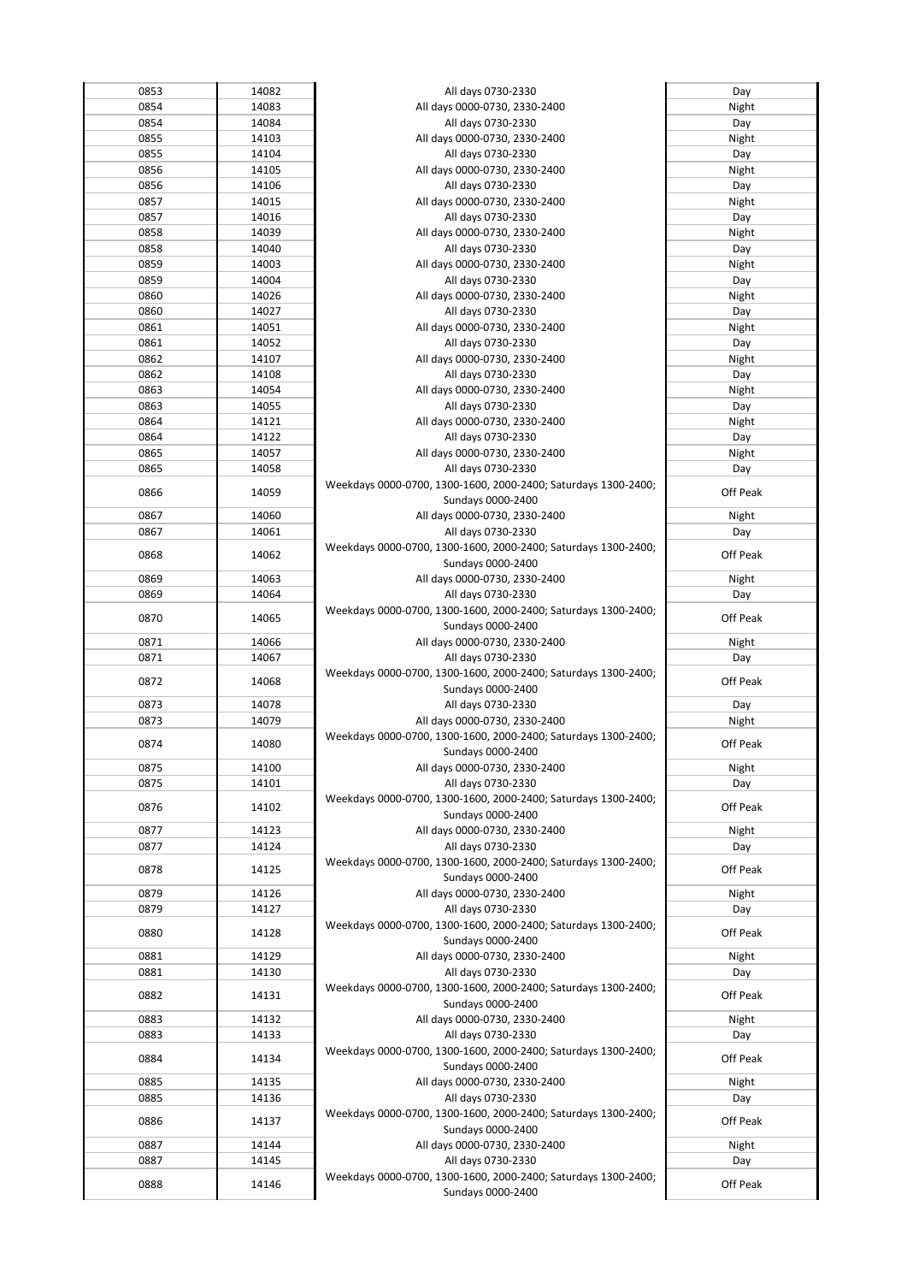| 0853 | 14082 | All days 0730-2330                                                                  | Day      |
|------|-------|-------------------------------------------------------------------------------------|----------|
| 0854 | 14083 | All days 0000-0730, 2330-2400                                                       | Night    |
| 0854 | 14084 | All days 0730-2330                                                                  | Day      |
| 0855 | 14103 | All days 0000-0730, 2330-2400                                                       | Night    |
| 0855 | 14104 | All days 0730-2330                                                                  | Day      |
| 0856 | 14105 | All days 0000-0730, 2330-2400                                                       | Night    |
|      |       |                                                                                     |          |
| 0856 | 14106 | All days 0730-2330                                                                  | Day      |
| 0857 | 14015 | All days 0000-0730, 2330-2400                                                       | Night    |
| 0857 | 14016 | All days 0730-2330                                                                  | Day      |
| 0858 | 14039 | All days 0000-0730, 2330-2400                                                       | Night    |
| 0858 | 14040 | All days 0730-2330                                                                  | Day      |
| 0859 | 14003 | All days 0000-0730, 2330-2400                                                       | Night    |
| 0859 | 14004 | All days 0730-2330                                                                  | Day      |
| 0860 | 14026 | All days 0000-0730, 2330-2400                                                       | Night    |
| 0860 | 14027 | All days 0730-2330                                                                  | Day      |
| 0861 | 14051 | All days 0000-0730, 2330-2400                                                       | Night    |
| 0861 | 14052 | All days 0730-2330                                                                  | Day      |
| 0862 | 14107 | All days 0000-0730, 2330-2400                                                       | Night    |
| 0862 | 14108 | All days 0730-2330                                                                  | Day      |
| 0863 | 14054 | All days 0000-0730, 2330-2400                                                       | Night    |
| 0863 | 14055 | All days 0730-2330                                                                  | Day      |
| 0864 | 14121 | All days 0000-0730, 2330-2400                                                       | Night    |
| 0864 | 14122 | All days 0730-2330                                                                  | Day      |
| 0865 | 14057 |                                                                                     | Night    |
| 0865 | 14058 | All days 0000-0730, 2330-2400                                                       |          |
|      |       | All days 0730-2330                                                                  | Day      |
| 0866 | 14059 | Weekdays 0000-0700, 1300-1600, 2000-2400; Saturdays 1300-2400;                      | Off Peak |
|      |       | Sundays 0000-2400                                                                   |          |
| 0867 | 14060 | All days 0000-0730, 2330-2400                                                       | Night    |
| 0867 | 14061 | All days 0730-2330                                                                  | Day      |
| 0868 | 14062 | Weekdays 0000-0700, 1300-1600, 2000-2400; Saturdays 1300-2400;                      | Off Peak |
|      |       | Sundays 0000-2400                                                                   |          |
| 0869 | 14063 | All days 0000-0730, 2330-2400                                                       | Night    |
| 0869 | 14064 | All days 0730-2330                                                                  | Day      |
| 0870 | 14065 | Weekdays 0000-0700, 1300-1600, 2000-2400; Saturdays 1300-2400;                      | Off Peak |
|      |       | Sundays 0000-2400                                                                   |          |
| 0871 | 14066 | All days 0000-0730, 2330-2400                                                       | Night    |
| 0871 | 14067 | All days 0730-2330                                                                  | Day      |
|      |       | Weekdays 0000-0700, 1300-1600, 2000-2400; Saturdays 1300-2400;                      |          |
|      |       |                                                                                     |          |
| 0872 | 14068 |                                                                                     | Off Peak |
|      | 14078 | Sundays 0000-2400                                                                   |          |
| 0873 |       | All days 0730-2330                                                                  | Day      |
| 0873 | 14079 | All days 0000-0730, 2330-2400                                                       | Night    |
| 0874 | 14080 | Weekdays 0000-0700, 1300-1600, 2000-2400; Saturdays 1300-2400;                      | Off Peak |
|      |       | Sundays 0000-2400                                                                   |          |
| 0875 | 14100 | All days 0000-0730, 2330-2400                                                       | Night    |
| 0875 | 14101 | All days 0730-2330                                                                  | Day      |
| 0876 | 14102 | Weekdays 0000-0700, 1300-1600, 2000-2400; Saturdays 1300-2400;                      | Off Peak |
|      |       | Sundays 0000-2400                                                                   |          |
| 0877 | 14123 | All days 0000-0730, 2330-2400                                                       | Night    |
| 0877 | 14124 | All days 0730-2330                                                                  | Day      |
| 0878 | 14125 | Weekdays 0000-0700, 1300-1600, 2000-2400; Saturdays 1300-2400;                      | Off Peak |
|      |       | Sundays 0000-2400                                                                   |          |
| 0879 | 14126 | All days 0000-0730, 2330-2400                                                       | Night    |
| 0879 | 14127 | All days 0730-2330                                                                  | Day      |
|      |       | Weekdays 0000-0700, 1300-1600, 2000-2400; Saturdays 1300-2400;                      |          |
| 0880 | 14128 | Sundays 0000-2400                                                                   | Off Peak |
| 0881 | 14129 | All days 0000-0730, 2330-2400                                                       | Night    |
| 0881 | 14130 | All days 0730-2330                                                                  | Day      |
|      |       | Weekdays 0000-0700, 1300-1600, 2000-2400; Saturdays 1300-2400;                      |          |
| 0882 | 14131 | Sundays 0000-2400                                                                   | Off Peak |
| 0883 | 14132 | All days 0000-0730, 2330-2400                                                       | Night    |
| 0883 | 14133 | All days 0730-2330                                                                  | Day      |
|      |       |                                                                                     |          |
| 0884 | 14134 | Weekdays 0000-0700, 1300-1600, 2000-2400; Saturdays 1300-2400;                      | Off Peak |
|      |       | Sundays 0000-2400                                                                   |          |
| 0885 | 14135 | All days 0000-0730, 2330-2400                                                       | Night    |
| 0885 | 14136 | All days 0730-2330                                                                  | Day      |
| 0886 | 14137 | Weekdays 0000-0700, 1300-1600, 2000-2400; Saturdays 1300-2400;                      | Off Peak |
|      |       | Sundays 0000-2400                                                                   |          |
| 0887 | 14144 | All days 0000-0730, 2330-2400                                                       | Night    |
| 0887 | 14145 | All days 0730-2330                                                                  | Day      |
| 0888 | 14146 | Weekdays 0000-0700, 1300-1600, 2000-2400; Saturdays 1300-2400;<br>Sundays 0000-2400 | Off Peak |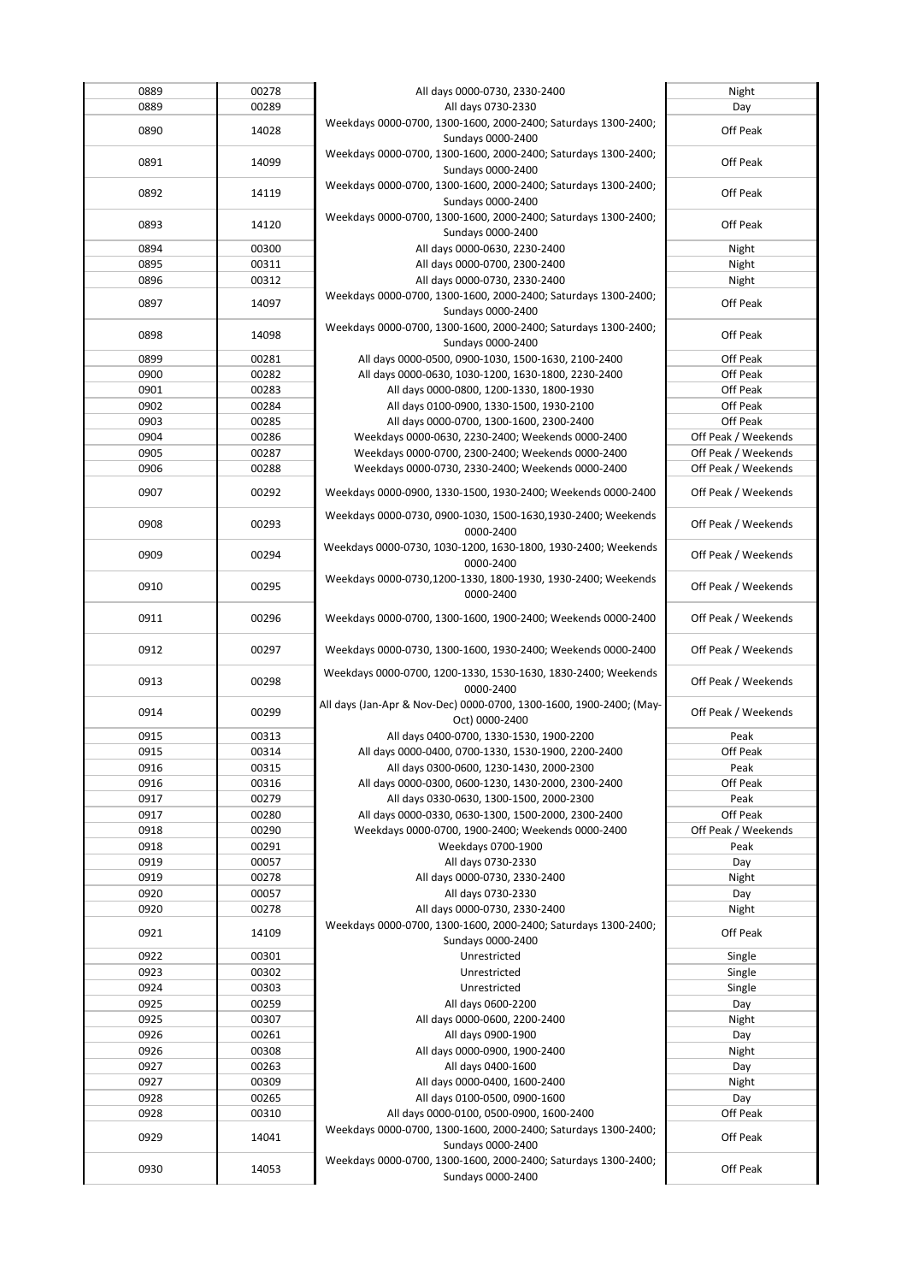| 0889 | 00278 | All days 0000-0730, 2330-2400                                       |                     |
|------|-------|---------------------------------------------------------------------|---------------------|
|      |       |                                                                     | Night               |
| 0889 | 00289 | All days 0730-2330                                                  | Day                 |
|      |       | Weekdays 0000-0700, 1300-1600, 2000-2400; Saturdays 1300-2400;      |                     |
| 0890 | 14028 | Sundays 0000-2400                                                   | Off Peak            |
|      |       |                                                                     |                     |
| 0891 | 14099 | Weekdays 0000-0700, 1300-1600, 2000-2400; Saturdays 1300-2400;      | Off Peak            |
|      |       | Sundays 0000-2400                                                   |                     |
|      |       | Weekdays 0000-0700, 1300-1600, 2000-2400; Saturdays 1300-2400;      |                     |
| 0892 | 14119 |                                                                     | Off Peak            |
|      |       | Sundays 0000-2400                                                   |                     |
|      |       | Weekdays 0000-0700, 1300-1600, 2000-2400; Saturdays 1300-2400;      |                     |
| 0893 | 14120 | Sundays 0000-2400                                                   | Off Peak            |
| 0894 | 00300 | All days 0000-0630, 2230-2400                                       | Night               |
|      |       |                                                                     |                     |
| 0895 | 00311 | All days 0000-0700, 2300-2400                                       | Night               |
| 0896 | 00312 | All days 0000-0730, 2330-2400                                       | Night               |
|      |       | Weekdays 0000-0700, 1300-1600, 2000-2400; Saturdays 1300-2400;      |                     |
| 0897 | 14097 |                                                                     | Off Peak            |
|      |       | Sundays 0000-2400                                                   |                     |
| 0898 | 14098 | Weekdays 0000-0700, 1300-1600, 2000-2400; Saturdays 1300-2400;      | Off Peak            |
|      |       | Sundays 0000-2400                                                   |                     |
| 0899 | 00281 | All days 0000-0500, 0900-1030, 1500-1630, 2100-2400                 | Off Peak            |
|      |       |                                                                     |                     |
| 0900 | 00282 | All days 0000-0630, 1030-1200, 1630-1800, 2230-2400                 | Off Peak            |
| 0901 | 00283 | All days 0000-0800, 1200-1330, 1800-1930                            | Off Peak            |
| 0902 | 00284 | All days 0100-0900, 1330-1500, 1930-2100                            | Off Peak            |
|      |       |                                                                     |                     |
| 0903 | 00285 | All days 0000-0700, 1300-1600, 2300-2400                            | Off Peak            |
| 0904 | 00286 | Weekdays 0000-0630, 2230-2400; Weekends 0000-2400                   | Off Peak / Weekends |
| 0905 | 00287 | Weekdays 0000-0700, 2300-2400; Weekends 0000-2400                   | Off Peak / Weekends |
| 0906 | 00288 | Weekdays 0000-0730, 2330-2400; Weekends 0000-2400                   | Off Peak / Weekends |
|      |       |                                                                     |                     |
| 0907 | 00292 | Weekdays 0000-0900, 1330-1500, 1930-2400; Weekends 0000-2400        | Off Peak / Weekends |
|      |       |                                                                     |                     |
|      |       | Weekdays 0000-0730, 0900-1030, 1500-1630, 1930-2400; Weekends       |                     |
| 0908 | 00293 |                                                                     | Off Peak / Weekends |
|      |       | 0000-2400                                                           |                     |
|      |       | Weekdays 0000-0730, 1030-1200, 1630-1800, 1930-2400; Weekends       |                     |
| 0909 | 00294 | 0000-2400                                                           | Off Peak / Weekends |
|      |       | Weekdays 0000-0730,1200-1330, 1800-1930, 1930-2400; Weekends        |                     |
| 0910 | 00295 |                                                                     | Off Peak / Weekends |
|      |       | 0000-2400                                                           |                     |
|      |       |                                                                     |                     |
| 0911 | 00296 | Weekdays 0000-0700, 1300-1600, 1900-2400; Weekends 0000-2400        | Off Peak / Weekends |
|      |       |                                                                     |                     |
| 0912 | 00297 | Weekdays 0000-0730, 1300-1600, 1930-2400; Weekends 0000-2400        | Off Peak / Weekends |
|      |       |                                                                     |                     |
|      |       | Weekdays 0000-0700, 1200-1330, 1530-1630, 1830-2400; Weekends       |                     |
| 0913 | 00298 | 0000-2400                                                           | Off Peak / Weekends |
|      |       |                                                                     |                     |
| 0914 | 00299 | All days (Jan-Apr & Nov-Dec) 0000-0700, 1300-1600, 1900-2400; (May- | Off Peak / Weekends |
|      |       | Oct) 0000-2400                                                      |                     |
| 0915 | 00313 | All days 0400-0700, 1330-1530, 1900-2200                            | Peak                |
|      |       |                                                                     |                     |
| 0915 | 00314 | All days 0000-0400, 0700-1330, 1530-1900, 2200-2400                 | Off Peak            |
| 0916 | 00315 | All days 0300-0600, 1230-1430, 2000-2300                            | Peak                |
| 0916 | 00316 | All days 0000-0300, 0600-1230, 1430-2000, 2300-2400                 | Off Peak            |
| 0917 | 00279 | All days 0330-0630, 1300-1500, 2000-2300                            | Peak                |
|      |       |                                                                     |                     |
| 0917 | 00280 | All days 0000-0330, 0630-1300, 1500-2000, 2300-2400                 |                     |
| 0918 |       |                                                                     | Off Peak            |
|      | 00290 | Weekdays 0000-0700, 1900-2400; Weekends 0000-2400                   | Off Peak / Weekends |
| 0918 | 00291 | Weekdays 0700-1900                                                  | Peak                |
|      |       |                                                                     |                     |
| 0919 | 00057 | All days 0730-2330                                                  | Day                 |
| 0919 | 00278 | All days 0000-0730, 2330-2400                                       | Night               |
| 0920 | 00057 | All days 0730-2330                                                  | Day                 |
|      |       |                                                                     |                     |
| 0920 | 00278 | All days 0000-0730, 2330-2400                                       | Night               |
| 0921 | 14109 | Weekdays 0000-0700, 1300-1600, 2000-2400; Saturdays 1300-2400;      | Off Peak            |
|      |       | Sundays 0000-2400                                                   |                     |
| 0922 | 00301 | Unrestricted                                                        | Single              |
|      |       |                                                                     |                     |
| 0923 | 00302 | Unrestricted                                                        | Single              |
| 0924 | 00303 | Unrestricted                                                        | Single              |
| 0925 | 00259 | All days 0600-2200                                                  | Day                 |
| 0925 | 00307 | All days 0000-0600, 2200-2400                                       | Night               |
|      |       |                                                                     |                     |
| 0926 | 00261 | All days 0900-1900                                                  | Day                 |
| 0926 | 00308 | All days 0000-0900, 1900-2400                                       | Night               |
| 0927 | 00263 | All days 0400-1600                                                  | Day                 |
|      |       |                                                                     |                     |
| 0927 | 00309 | All days 0000-0400, 1600-2400                                       | Night               |
| 0928 | 00265 | All days 0100-0500, 0900-1600                                       | Day                 |
| 0928 | 00310 | All days 0000-0100, 0500-0900, 1600-2400                            | Off Peak            |
|      |       | Weekdays 0000-0700, 1300-1600, 2000-2400; Saturdays 1300-2400;      |                     |
| 0929 | 14041 |                                                                     | Off Peak            |
|      |       | Sundays 0000-2400                                                   |                     |
| 0930 | 14053 | Weekdays 0000-0700, 1300-1600, 2000-2400; Saturdays 1300-2400;      | Off Peak            |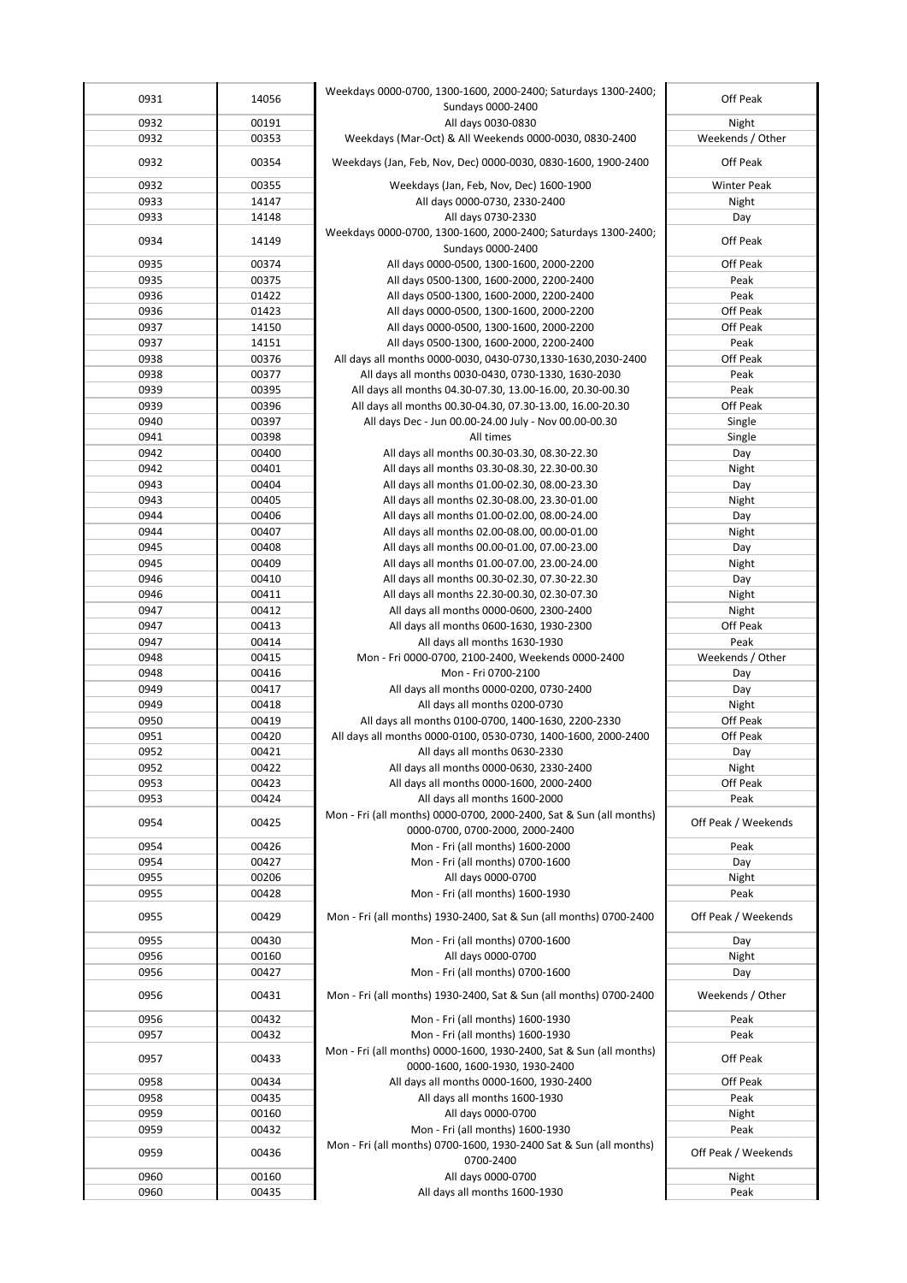| 0931         | 14056          | Weekdays 0000-0700, 1300-1600, 2000-2400; Saturdays 1300-2400;                                                        | Off Peak             |
|--------------|----------------|-----------------------------------------------------------------------------------------------------------------------|----------------------|
|              |                | Sundays 0000-2400                                                                                                     |                      |
| 0932         | 00191          | All days 0030-0830                                                                                                    | Night                |
| 0932         | 00353          | Weekdays (Mar-Oct) & All Weekends 0000-0030, 0830-2400                                                                | Weekends / Other     |
| 0932         | 00354          | Weekdays (Jan, Feb, Nov, Dec) 0000-0030, 0830-1600, 1900-2400                                                         | Off Peak             |
| 0932         | 00355          | Weekdays (Jan, Feb, Nov, Dec) 1600-1900                                                                               | Winter Peak          |
| 0933         | 14147          | All days 0000-0730, 2330-2400                                                                                         | Night                |
| 0933         | 14148          | All days 0730-2330                                                                                                    | Day                  |
| 0934         | 14149          | Weekdays 0000-0700, 1300-1600, 2000-2400; Saturdays 1300-2400;                                                        | Off Peak             |
|              |                | Sundays 0000-2400                                                                                                     |                      |
| 0935         | 00374          | All days 0000-0500, 1300-1600, 2000-2200                                                                              | Off Peak             |
| 0935         | 00375          | All days 0500-1300, 1600-2000, 2200-2400                                                                              | Peak                 |
| 0936         | 01422<br>01423 | All days 0500-1300, 1600-2000, 2200-2400                                                                              | Peak<br>Off Peak     |
| 0936<br>0937 | 14150          | All days 0000-0500, 1300-1600, 2000-2200<br>All days 0000-0500, 1300-1600, 2000-2200                                  | Off Peak             |
| 0937         | 14151          | All days 0500-1300, 1600-2000, 2200-2400                                                                              | Peak                 |
| 0938         | 00376          | All days all months 0000-0030, 0430-0730,1330-1630,2030-2400                                                          | Off Peak             |
| 0938         | 00377          | All days all months 0030-0430, 0730-1330, 1630-2030                                                                   | Peak                 |
| 0939         | 00395          | All days all months 04.30-07.30, 13.00-16.00, 20.30-00.30                                                             | Peak                 |
| 0939         | 00396          | All days all months 00.30-04.30, 07.30-13.00, 16.00-20.30                                                             | Off Peak             |
| 0940         | 00397          | All days Dec - Jun 00.00-24.00 July - Nov 00.00-00.30                                                                 | Single               |
| 0941         | 00398          | All times                                                                                                             | Single               |
| 0942         | 00400          | All days all months 00.30-03.30, 08.30-22.30                                                                          | Day                  |
| 0942         | 00401          | All days all months 03.30-08.30, 22.30-00.30                                                                          | Night                |
| 0943<br>0943 | 00404<br>00405 | All days all months 01.00-02.30, 08.00-23.30<br>All days all months 02.30-08.00, 23.30-01.00                          | Day                  |
| 0944         | 00406          | All days all months 01.00-02.00, 08.00-24.00                                                                          | Night<br>Day         |
| 0944         | 00407          | All days all months 02.00-08.00, 00.00-01.00                                                                          | Night                |
| 0945         | 00408          | All days all months 00.00-01.00, 07.00-23.00                                                                          | Day                  |
| 0945         | 00409          | All days all months 01.00-07.00, 23.00-24.00                                                                          | Night                |
| 0946         | 00410          | All days all months 00.30-02.30, 07.30-22.30                                                                          | Day                  |
| 0946         | 00411          | All days all months 22.30-00.30, 02.30-07.30                                                                          | Night                |
| 0947         | 00412          | All days all months 0000-0600, 2300-2400                                                                              | Night                |
| 0947         | 00413          | All days all months 0600-1630, 1930-2300                                                                              | Off Peak             |
| 0947         | 00414          | All days all months 1630-1930                                                                                         | Peak                 |
| 0948         | 00415          | Mon - Fri 0000-0700, 2100-2400, Weekends 0000-2400                                                                    |                      |
|              |                |                                                                                                                       | Weekends / Other     |
| 0948         | 00416          | Mon - Fri 0700-2100                                                                                                   | Day                  |
| 0949         | 00417          | All days all months 0000-0200, 0730-2400                                                                              | Day                  |
| 0949         | 00418          | All days all months 0200-0730                                                                                         | Night                |
| 0950<br>0951 | 00419<br>00420 | All days all months 0100-0700, 1400-1630, 2200-2330<br>All days all months 0000-0100, 0530-0730, 1400-1600, 2000-2400 | Off Peak<br>Off Peak |
| 0952         | 00421          | All days all months 0630-2330                                                                                         | Day                  |
| 0952         | 00422          | All days all months 0000-0630, 2330-2400                                                                              | Night                |
| 0953         | 00423          | All days all months 0000-1600, 2000-2400                                                                              | Off Peak             |
| 0953         | 00424          | All days all months 1600-2000                                                                                         | Peak                 |
| 0954         | 00425          | Mon - Fri (all months) 0000-0700, 2000-2400, Sat & Sun (all months)                                                   | Off Peak / Weekends  |
|              |                | 0000-0700, 0700-2000, 2000-2400                                                                                       |                      |
| 0954         | 00426          | Mon - Fri (all months) 1600-2000                                                                                      | Peak                 |
| 0954         | 00427          | Mon - Fri (all months) 0700-1600                                                                                      | Day                  |
| 0955<br>0955 | 00206<br>00428 | All days 0000-0700<br>Mon - Fri (all months) 1600-1930                                                                | Night<br>Peak        |
|              |                |                                                                                                                       |                      |
| 0955         | 00429          | Mon - Fri (all months) 1930-2400, Sat & Sun (all months) 0700-2400                                                    | Off Peak / Weekends  |
| 0955         | 00430          | Mon - Fri (all months) 0700-1600                                                                                      | Day                  |
| 0956         | 00160          | All days 0000-0700                                                                                                    | Night                |
| 0956         | 00427          | Mon - Fri (all months) 0700-1600                                                                                      | Day                  |
| 0956         | 00431          | Mon - Fri (all months) 1930-2400, Sat & Sun (all months) 0700-2400                                                    | Weekends / Other     |
| 0956         | 00432          | Mon - Fri (all months) 1600-1930                                                                                      | Peak                 |
| 0957         | 00432          | Mon - Fri (all months) 1600-1930                                                                                      | Peak                 |
| 0957         | 00433          | Mon - Fri (all months) 0000-1600, 1930-2400, Sat & Sun (all months)<br>0000-1600, 1600-1930, 1930-2400                | Off Peak             |
| 0958         | 00434          | All days all months 0000-1600, 1930-2400                                                                              | Off Peak             |
| 0958         | 00435          | All days all months 1600-1930                                                                                         | Peak                 |
| 0959         | 00160          | All days 0000-0700                                                                                                    | Night                |
| 0959         | 00432          | Mon - Fri (all months) 1600-1930                                                                                      | Peak                 |
| 0959         | 00436          | Mon - Fri (all months) 0700-1600, 1930-2400 Sat & Sun (all months)<br>0700-2400                                       | Off Peak / Weekends  |
| 0960<br>0960 | 00160<br>00435 | All days 0000-0700<br>All days all months 1600-1930                                                                   | Night<br>Peak        |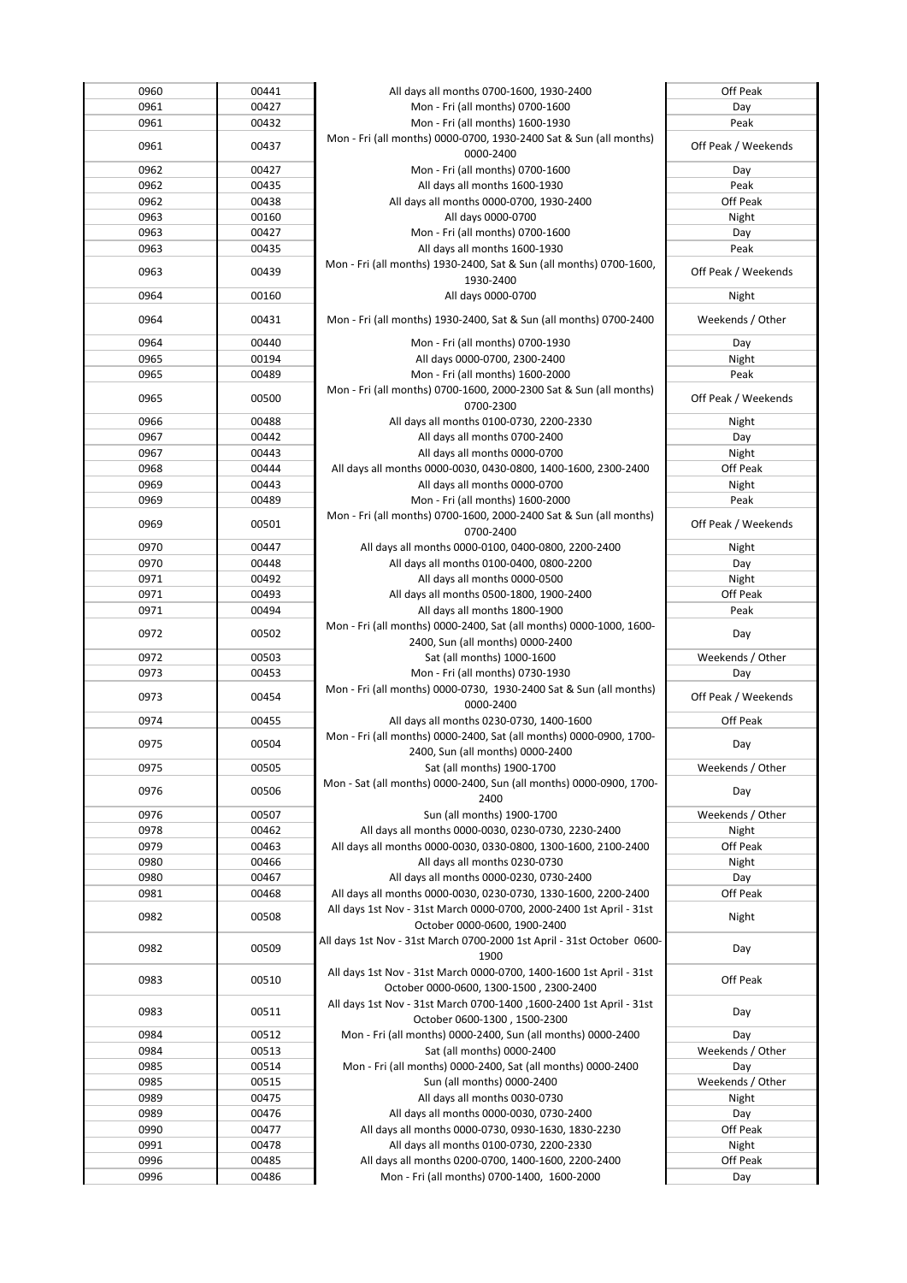| 0960 | 00441 | All days all months 0700-1600, 1930-2400                               | Off Peak            |
|------|-------|------------------------------------------------------------------------|---------------------|
| 0961 | 00427 | Mon - Fri (all months) 0700-1600                                       | Day                 |
| 0961 | 00432 | Mon - Fri (all months) 1600-1930                                       | Peak                |
|      |       | Mon - Fri (all months) 0000-0700, 1930-2400 Sat & Sun (all months)     |                     |
| 0961 | 00437 |                                                                        | Off Peak / Weekends |
|      |       | 0000-2400                                                              |                     |
| 0962 | 00427 | Mon - Fri (all months) 0700-1600                                       | Day                 |
| 0962 | 00435 | All days all months 1600-1930                                          | Peak                |
| 0962 | 00438 | All days all months 0000-0700, 1930-2400                               | Off Peak            |
| 0963 | 00160 | All days 0000-0700                                                     | Night               |
| 0963 | 00427 | Mon - Fri (all months) 0700-1600                                       | Day                 |
| 0963 | 00435 | All days all months 1600-1930                                          | Peak                |
|      |       | Mon - Fri (all months) 1930-2400, Sat & Sun (all months) 0700-1600,    |                     |
| 0963 | 00439 | 1930-2400                                                              | Off Peak / Weekends |
|      |       |                                                                        |                     |
| 0964 | 00160 | All days 0000-0700                                                     | Night               |
| 0964 | 00431 | Mon - Fri (all months) 1930-2400, Sat & Sun (all months) 0700-2400     | Weekends / Other    |
|      |       |                                                                        |                     |
| 0964 | 00440 | Mon - Fri (all months) 0700-1930                                       | Day                 |
| 0965 | 00194 | All days 0000-0700, 2300-2400                                          | Night               |
| 0965 | 00489 | Mon - Fri (all months) 1600-2000                                       | Peak                |
|      |       | Mon - Fri (all months) 0700-1600, 2000-2300 Sat & Sun (all months)     |                     |
| 0965 | 00500 | 0700-2300                                                              | Off Peak / Weekends |
| 0966 | 00488 | All days all months 0100-0730, 2200-2330                               | Night               |
|      |       |                                                                        |                     |
| 0967 | 00442 | All days all months 0700-2400                                          | Day                 |
| 0967 | 00443 | All days all months 0000-0700                                          | Night               |
| 0968 | 00444 | All days all months 0000-0030, 0430-0800, 1400-1600, 2300-2400         | Off Peak            |
| 0969 | 00443 | All days all months 0000-0700                                          | Night               |
| 0969 | 00489 | Mon - Fri (all months) 1600-2000                                       | Peak                |
|      |       | Mon - Fri (all months) 0700-1600, 2000-2400 Sat & Sun (all months)     |                     |
| 0969 | 00501 | 0700-2400                                                              | Off Peak / Weekends |
| 0970 | 00447 | All days all months 0000-0100, 0400-0800, 2200-2400                    | Night               |
| 0970 | 00448 | All days all months 0100-0400, 0800-2200                               | Day                 |
|      |       |                                                                        |                     |
| 0971 | 00492 | All days all months 0000-0500                                          | Night               |
| 0971 | 00493 | All days all months 0500-1800, 1900-2400                               | Off Peak            |
| 0971 | 00494 | All days all months 1800-1900                                          | Peak                |
| 0972 | 00502 | Mon - Fri (all months) 0000-2400, Sat (all months) 0000-1000, 1600-    | Day                 |
|      |       | 2400, Sun (all months) 0000-2400                                       |                     |
| 0972 | 00503 | Sat (all months) 1000-1600                                             | Weekends / Other    |
| 0973 | 00453 | Mon - Fri (all months) 0730-1930                                       | Day                 |
|      |       | Mon - Fri (all months) 0000-0730, 1930-2400 Sat & Sun (all months)     |                     |
| 0973 | 00454 | 0000-2400                                                              | Off Peak / Weekends |
| 0974 | 00455 | All days all months 0230-0730, 1400-1600                               | Off Peak            |
|      |       |                                                                        |                     |
| 0975 | 00504 | Mon - Fri (all months) 0000-2400, Sat (all months) 0000-0900, 1700-    | Day                 |
|      |       | 2400, Sun (all months) 0000-2400                                       |                     |
| 0975 | 00505 | Sat (all months) 1900-1700                                             | Weekends / Other    |
| 0976 | 00506 | Mon - Sat (all months) 0000-2400, Sun (all months) 0000-0900, 1700-    | Day                 |
|      |       | 2400                                                                   |                     |
| 0976 | 00507 | Sun (all months) 1900-1700                                             | Weekends / Other    |
| 0978 | 00462 | All days all months 0000-0030, 0230-0730, 2230-2400                    | Night               |
| 0979 | 00463 | All days all months 0000-0030, 0330-0800, 1300-1600, 2100-2400         | Off Peak            |
| 0980 | 00466 | All days all months 0230-0730                                          | Night               |
| 0980 | 00467 | All days all months 0000-0230, 0730-2400                               | Day                 |
| 0981 | 00468 | All days all months 0000-0030, 0230-0730, 1330-1600, 2200-2400         | Off Peak            |
|      |       |                                                                        |                     |
| 0982 | 00508 | All days 1st Nov - 31st March 0000-0700, 2000-2400 1st April - 31st    | Night               |
|      |       | October 0000-0600, 1900-2400                                           |                     |
| 0982 | 00509 | All days 1st Nov - 31st March 0700-2000 1st April - 31st October 0600- | Day                 |
|      |       | 1900                                                                   |                     |
| 0983 | 00510 | All days 1st Nov - 31st March 0000-0700, 1400-1600 1st April - 31st    | Off Peak            |
|      |       | October 0000-0600, 1300-1500, 2300-2400                                |                     |
|      |       | All days 1st Nov - 31st March 0700-1400, 1600-2400 1st April - 31st    |                     |
| 0983 | 00511 | October 0600-1300, 1500-2300                                           | Day                 |
| 0984 | 00512 | Mon - Fri (all months) 0000-2400, Sun (all months) 0000-2400           | Day                 |
| 0984 | 00513 | Sat (all months) 0000-2400                                             | Weekends / Other    |
| 0985 | 00514 | Mon - Fri (all months) 0000-2400, Sat (all months) 0000-2400           | Day                 |
|      |       |                                                                        |                     |
| 0985 | 00515 | Sun (all months) 0000-2400                                             | Weekends / Other    |
| 0989 | 00475 | All days all months 0030-0730                                          | Night               |
| 0989 | 00476 | All days all months 0000-0030, 0730-2400                               | Day                 |
| 0990 | 00477 | All days all months 0000-0730, 0930-1630, 1830-2230                    | Off Peak            |
| 0991 | 00478 | All days all months 0100-0730, 2200-2330                               | Night               |
| 0996 | 00485 | All days all months 0200-0700, 1400-1600, 2200-2400                    | Off Peak            |
| 0996 | 00486 | Mon - Fri (all months) 0700-1400, 1600-2000                            | Day                 |
|      |       |                                                                        |                     |